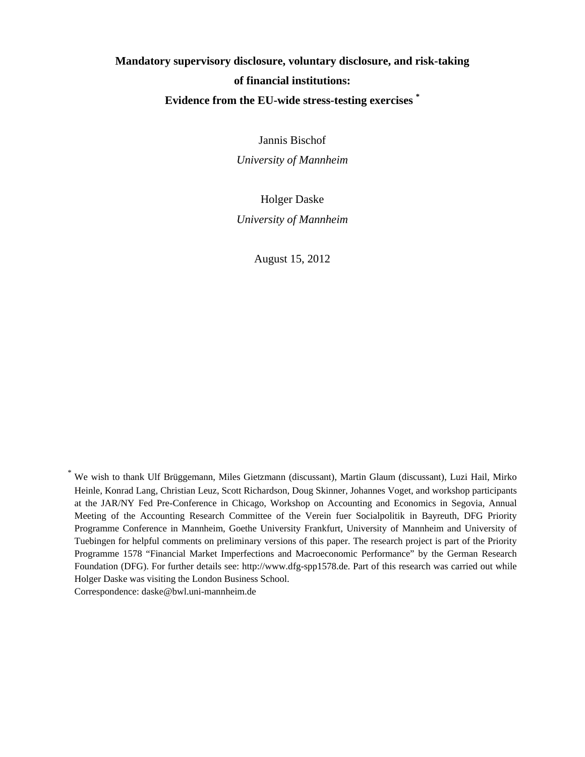# **Mandatory supervisory disclosure, voluntary disclosure, and risk-taking of financial institutions: Evidence from the EU-wide stress-testing exercises \***

Jannis Bischof

*University of Mannheim* 

Holger Daske *University of Mannheim* 

August 15, 2012

\* We wish to thank Ulf Brüggemann, Miles Gietzmann (discussant), Martin Glaum (discussant), Luzi Hail, Mirko Heinle, Konrad Lang, Christian Leuz, Scott Richardson, Doug Skinner, Johannes Voget, and workshop participants at the JAR/NY Fed Pre-Conference in Chicago, Workshop on Accounting and Economics in Segovia, Annual Meeting of the Accounting Research Committee of the Verein fuer Socialpolitik in Bayreuth, DFG Priority Programme Conference in Mannheim, Goethe University Frankfurt, University of Mannheim and University of Tuebingen for helpful comments on preliminary versions of this paper. The research project is part of the Priority Programme 1578 "Financial Market Imperfections and Macroeconomic Performance" by the German Research Foundation (DFG). For further details see: http://www.dfg-spp1578.de. Part of this research was carried out while Holger Daske was visiting the London Business School.

Correspondence: daske@bwl.uni-mannheim.de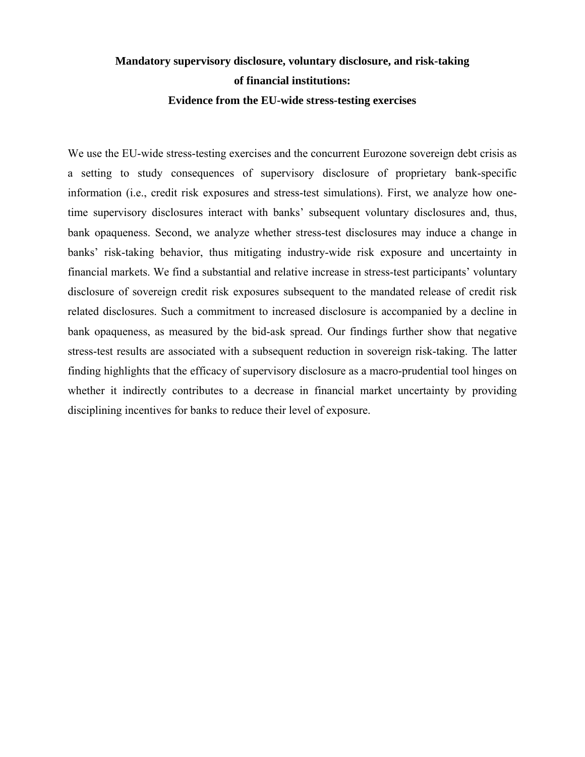# **Mandatory supervisory disclosure, voluntary disclosure, and risk-taking of financial institutions: Evidence from the EU-wide stress-testing exercises**

We use the EU-wide stress-testing exercises and the concurrent Eurozone sovereign debt crisis as a setting to study consequences of supervisory disclosure of proprietary bank-specific information (i.e., credit risk exposures and stress-test simulations). First, we analyze how onetime supervisory disclosures interact with banks' subsequent voluntary disclosures and, thus, bank opaqueness. Second, we analyze whether stress-test disclosures may induce a change in banks' risk-taking behavior, thus mitigating industry-wide risk exposure and uncertainty in financial markets. We find a substantial and relative increase in stress-test participants' voluntary disclosure of sovereign credit risk exposures subsequent to the mandated release of credit risk related disclosures. Such a commitment to increased disclosure is accompanied by a decline in bank opaqueness, as measured by the bid-ask spread. Our findings further show that negative stress-test results are associated with a subsequent reduction in sovereign risk-taking. The latter finding highlights that the efficacy of supervisory disclosure as a macro-prudential tool hinges on whether it indirectly contributes to a decrease in financial market uncertainty by providing disciplining incentives for banks to reduce their level of exposure.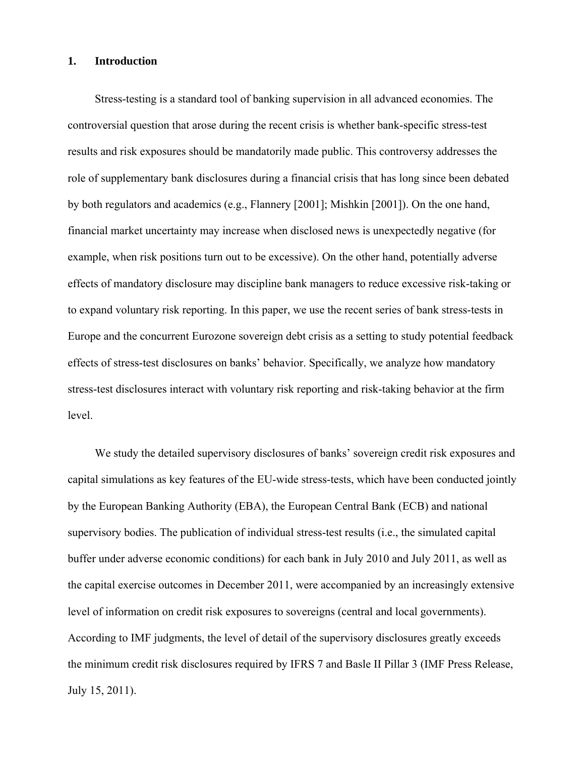#### **1. Introduction**

Stress-testing is a standard tool of banking supervision in all advanced economies. The controversial question that arose during the recent crisis is whether bank-specific stress-test results and risk exposures should be mandatorily made public. This controversy addresses the role of supplementary bank disclosures during a financial crisis that has long since been debated by both regulators and academics (e.g., Flannery [2001]; Mishkin [2001]). On the one hand, financial market uncertainty may increase when disclosed news is unexpectedly negative (for example, when risk positions turn out to be excessive). On the other hand, potentially adverse effects of mandatory disclosure may discipline bank managers to reduce excessive risk-taking or to expand voluntary risk reporting. In this paper, we use the recent series of bank stress-tests in Europe and the concurrent Eurozone sovereign debt crisis as a setting to study potential feedback effects of stress-test disclosures on banks' behavior. Specifically, we analyze how mandatory stress-test disclosures interact with voluntary risk reporting and risk-taking behavior at the firm level.

We study the detailed supervisory disclosures of banks' sovereign credit risk exposures and capital simulations as key features of the EU-wide stress-tests, which have been conducted jointly by the European Banking Authority (EBA), the European Central Bank (ECB) and national supervisory bodies. The publication of individual stress-test results (i.e., the simulated capital buffer under adverse economic conditions) for each bank in July 2010 and July 2011, as well as the capital exercise outcomes in December 2011, were accompanied by an increasingly extensive level of information on credit risk exposures to sovereigns (central and local governments). According to IMF judgments, the level of detail of the supervisory disclosures greatly exceeds the minimum credit risk disclosures required by IFRS 7 and Basle II Pillar 3 (IMF Press Release, July 15, 2011).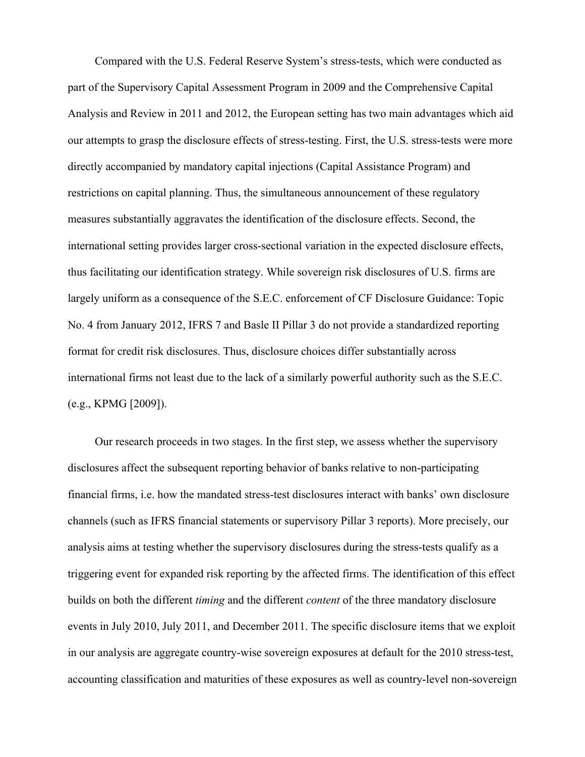Compared with the U.S. Federal Reserve System's stress-tests, which were conducted as part of the Supervisory Capital Assessment Program in 2009 and the Comprehensive Capital Analysis and Review in 2011 and 2012, the European setting has two main advantages which aid our attempts to grasp the disclosure effects of stress-testing. First, the U.S. stress-tests were more directly accompanied by mandatory capital injections (Capital Assistance Program) and restrictions on capital planning. Thus, the simultaneous announcement of these regulatory measures substantially aggravates the identification of the disclosure effects. Second, the international setting provides larger cross-sectional variation in the expected disclosure effects, thus facilitating our identification strategy. While sovereign risk disclosures of U.S. firms are largely uniform as a consequence of the S.E.C. enforcement of CF Disclosure Guidance: Topic No. 4 from January 2012, IFRS 7 and Basle II Pillar 3 do not provide a standardized reporting format for credit risk disclosures. Thus, disclosure choices differ substantially across international firms not least due to the lack of a similarly powerful authority such as the S.E.C. (e.g., KPMG [2009]).

Our research proceeds in two stages. In the first step, we assess whether the supervisory disclosures affect the subsequent reporting behavior of banks relative to non-participating financial firms, i.e. how the mandated stress-test disclosures interact with banks' own disclosure channels (such as IFRS financial statements or supervisory Pillar 3 reports). More precisely, our analysis aims at testing whether the supervisory disclosures during the stress-tests qualify as a triggering event for expanded risk reporting by the affected firms. The identification of this effect builds on both the different *timing* and the different *content* of the three mandatory disclosure events in July 2010, July 2011, and December 2011. The specific disclosure items that we exploit in our analysis are aggregate country-wise sovereign exposures at default for the 2010 stress-test, accounting classification and maturities of these exposures as well as country-level non-sovereign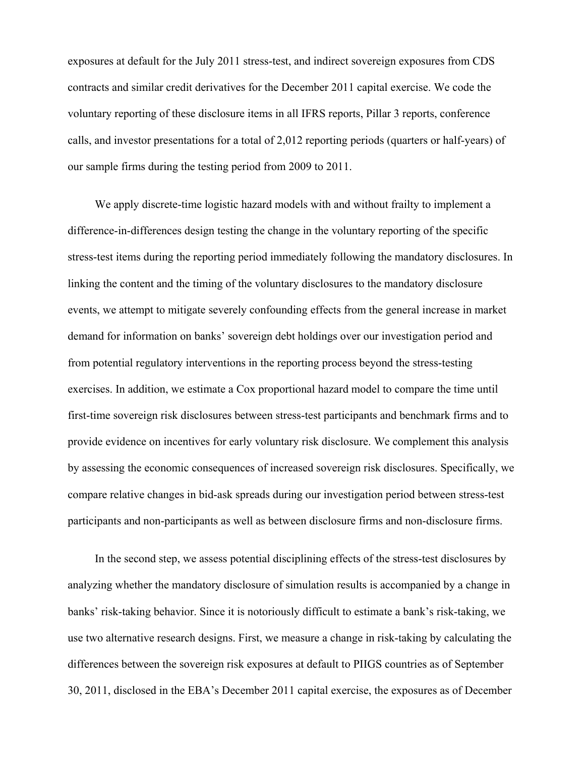exposures at default for the July 2011 stress-test, and indirect sovereign exposures from CDS contracts and similar credit derivatives for the December 2011 capital exercise. We code the voluntary reporting of these disclosure items in all IFRS reports, Pillar 3 reports, conference calls, and investor presentations for a total of 2,012 reporting periods (quarters or half-years) of our sample firms during the testing period from 2009 to 2011.

We apply discrete-time logistic hazard models with and without frailty to implement a difference-in-differences design testing the change in the voluntary reporting of the specific stress-test items during the reporting period immediately following the mandatory disclosures. In linking the content and the timing of the voluntary disclosures to the mandatory disclosure events, we attempt to mitigate severely confounding effects from the general increase in market demand for information on banks' sovereign debt holdings over our investigation period and from potential regulatory interventions in the reporting process beyond the stress-testing exercises. In addition, we estimate a Cox proportional hazard model to compare the time until first-time sovereign risk disclosures between stress-test participants and benchmark firms and to provide evidence on incentives for early voluntary risk disclosure. We complement this analysis by assessing the economic consequences of increased sovereign risk disclosures. Specifically, we compare relative changes in bid-ask spreads during our investigation period between stress-test participants and non-participants as well as between disclosure firms and non-disclosure firms.

In the second step, we assess potential disciplining effects of the stress-test disclosures by analyzing whether the mandatory disclosure of simulation results is accompanied by a change in banks' risk-taking behavior. Since it is notoriously difficult to estimate a bank's risk-taking, we use two alternative research designs. First, we measure a change in risk-taking by calculating the differences between the sovereign risk exposures at default to PIIGS countries as of September 30, 2011, disclosed in the EBA's December 2011 capital exercise, the exposures as of December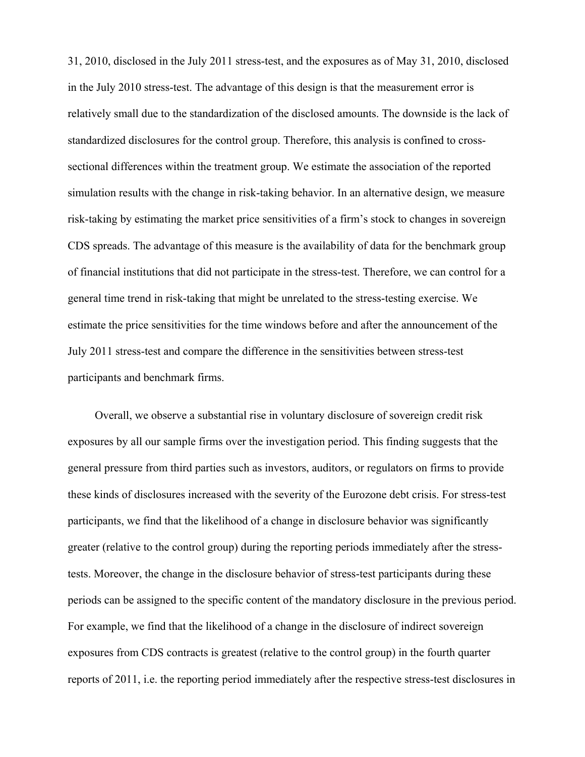31, 2010, disclosed in the July 2011 stress-test, and the exposures as of May 31, 2010, disclosed in the July 2010 stress-test. The advantage of this design is that the measurement error is relatively small due to the standardization of the disclosed amounts. The downside is the lack of standardized disclosures for the control group. Therefore, this analysis is confined to crosssectional differences within the treatment group. We estimate the association of the reported simulation results with the change in risk-taking behavior. In an alternative design, we measure risk-taking by estimating the market price sensitivities of a firm's stock to changes in sovereign CDS spreads. The advantage of this measure is the availability of data for the benchmark group of financial institutions that did not participate in the stress-test. Therefore, we can control for a general time trend in risk-taking that might be unrelated to the stress-testing exercise. We estimate the price sensitivities for the time windows before and after the announcement of the July 2011 stress-test and compare the difference in the sensitivities between stress-test participants and benchmark firms.

Overall, we observe a substantial rise in voluntary disclosure of sovereign credit risk exposures by all our sample firms over the investigation period. This finding suggests that the general pressure from third parties such as investors, auditors, or regulators on firms to provide these kinds of disclosures increased with the severity of the Eurozone debt crisis. For stress-test participants, we find that the likelihood of a change in disclosure behavior was significantly greater (relative to the control group) during the reporting periods immediately after the stresstests. Moreover, the change in the disclosure behavior of stress-test participants during these periods can be assigned to the specific content of the mandatory disclosure in the previous period. For example, we find that the likelihood of a change in the disclosure of indirect sovereign exposures from CDS contracts is greatest (relative to the control group) in the fourth quarter reports of 2011, i.e. the reporting period immediately after the respective stress-test disclosures in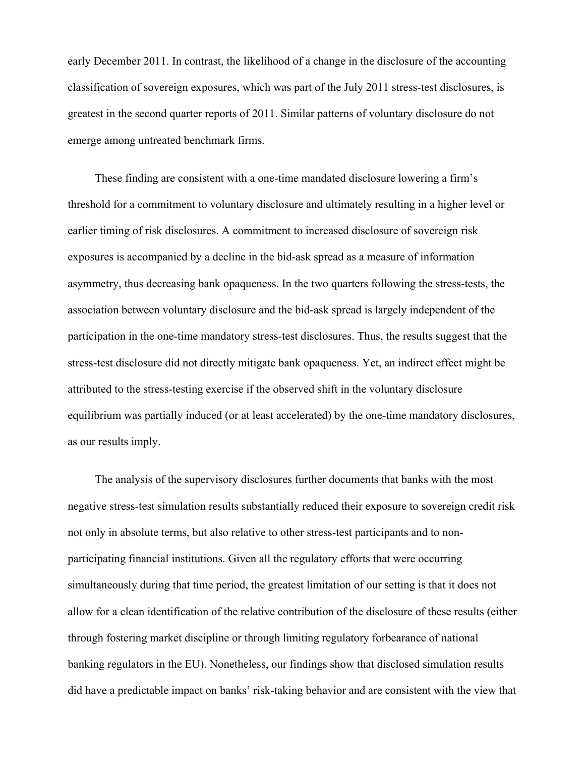early December 2011. In contrast, the likelihood of a change in the disclosure of the accounting classification of sovereign exposures, which was part of the July 2011 stress-test disclosures, is greatest in the second quarter reports of 2011. Similar patterns of voluntary disclosure do not emerge among untreated benchmark firms.

These finding are consistent with a one-time mandated disclosure lowering a firm's threshold for a commitment to voluntary disclosure and ultimately resulting in a higher level or earlier timing of risk disclosures. A commitment to increased disclosure of sovereign risk exposures is accompanied by a decline in the bid-ask spread as a measure of information asymmetry, thus decreasing bank opaqueness. In the two quarters following the stress-tests, the association between voluntary disclosure and the bid-ask spread is largely independent of the participation in the one-time mandatory stress-test disclosures. Thus, the results suggest that the stress-test disclosure did not directly mitigate bank opaqueness. Yet, an indirect effect might be attributed to the stress-testing exercise if the observed shift in the voluntary disclosure equilibrium was partially induced (or at least accelerated) by the one-time mandatory disclosures, as our results imply.

The analysis of the supervisory disclosures further documents that banks with the most negative stress-test simulation results substantially reduced their exposure to sovereign credit risk not only in absolute terms, but also relative to other stress-test participants and to nonparticipating financial institutions. Given all the regulatory efforts that were occurring simultaneously during that time period, the greatest limitation of our setting is that it does not allow for a clean identification of the relative contribution of the disclosure of these results (either through fostering market discipline or through limiting regulatory forbearance of national banking regulators in the EU). Nonetheless, our findings show that disclosed simulation results did have a predictable impact on banks' risk-taking behavior and are consistent with the view that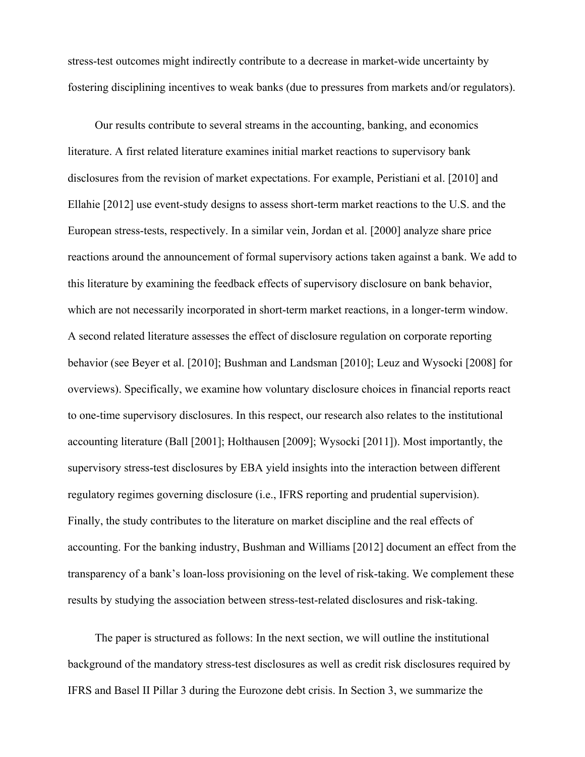stress-test outcomes might indirectly contribute to a decrease in market-wide uncertainty by fostering disciplining incentives to weak banks (due to pressures from markets and/or regulators).

Our results contribute to several streams in the accounting, banking, and economics literature. A first related literature examines initial market reactions to supervisory bank disclosures from the revision of market expectations. For example, Peristiani et al. [2010] and Ellahie [2012] use event-study designs to assess short-term market reactions to the U.S. and the European stress-tests, respectively. In a similar vein, Jordan et al. [2000] analyze share price reactions around the announcement of formal supervisory actions taken against a bank. We add to this literature by examining the feedback effects of supervisory disclosure on bank behavior, which are not necessarily incorporated in short-term market reactions, in a longer-term window. A second related literature assesses the effect of disclosure regulation on corporate reporting behavior (see Beyer et al. [2010]; Bushman and Landsman [2010]; Leuz and Wysocki [2008] for overviews). Specifically, we examine how voluntary disclosure choices in financial reports react to one-time supervisory disclosures. In this respect, our research also relates to the institutional accounting literature (Ball [2001]; Holthausen [2009]; Wysocki [2011]). Most importantly, the supervisory stress-test disclosures by EBA yield insights into the interaction between different regulatory regimes governing disclosure (i.e., IFRS reporting and prudential supervision). Finally, the study contributes to the literature on market discipline and the real effects of accounting. For the banking industry, Bushman and Williams [2012] document an effect from the transparency of a bank's loan-loss provisioning on the level of risk-taking. We complement these results by studying the association between stress-test-related disclosures and risk-taking.

The paper is structured as follows: In the next section, we will outline the institutional background of the mandatory stress-test disclosures as well as credit risk disclosures required by IFRS and Basel II Pillar 3 during the Eurozone debt crisis. In Section 3, we summarize the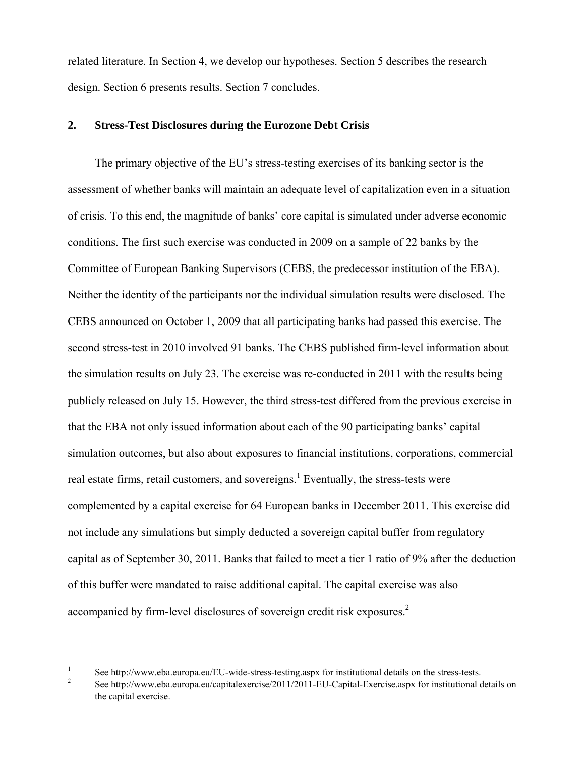related literature. In Section 4, we develop our hypotheses. Section 5 describes the research design. Section 6 presents results. Section 7 concludes.

## **2. Stress-Test Disclosures during the Eurozone Debt Crisis**

The primary objective of the EU's stress-testing exercises of its banking sector is the assessment of whether banks will maintain an adequate level of capitalization even in a situation of crisis. To this end, the magnitude of banks' core capital is simulated under adverse economic conditions. The first such exercise was conducted in 2009 on a sample of 22 banks by the Committee of European Banking Supervisors (CEBS, the predecessor institution of the EBA). Neither the identity of the participants nor the individual simulation results were disclosed. The CEBS announced on October 1, 2009 that all participating banks had passed this exercise. The second stress-test in 2010 involved 91 banks. The CEBS published firm-level information about the simulation results on July 23. The exercise was re-conducted in 2011 with the results being publicly released on July 15. However, the third stress-test differed from the previous exercise in that the EBA not only issued information about each of the 90 participating banks' capital simulation outcomes, but also about exposures to financial institutions, corporations, commercial real estate firms, retail customers, and sovereigns.<sup>1</sup> Eventually, the stress-tests were complemented by a capital exercise for 64 European banks in December 2011. This exercise did not include any simulations but simply deducted a sovereign capital buffer from regulatory capital as of September 30, 2011. Banks that failed to meet a tier 1 ratio of 9% after the deduction of this buffer were mandated to raise additional capital. The capital exercise was also accompanied by firm-level disclosures of sovereign credit risk exposures.<sup>2</sup>

 $\overline{a}$ 

<sup>1</sup> See http://www.eba.europa.eu/EU-wide-stress-testing.aspx for institutional details on the stress-tests.

See http://www.eba.europa.eu/capitalexercise/2011/2011-EU-Capital-Exercise.aspx for institutional details on the capital exercise.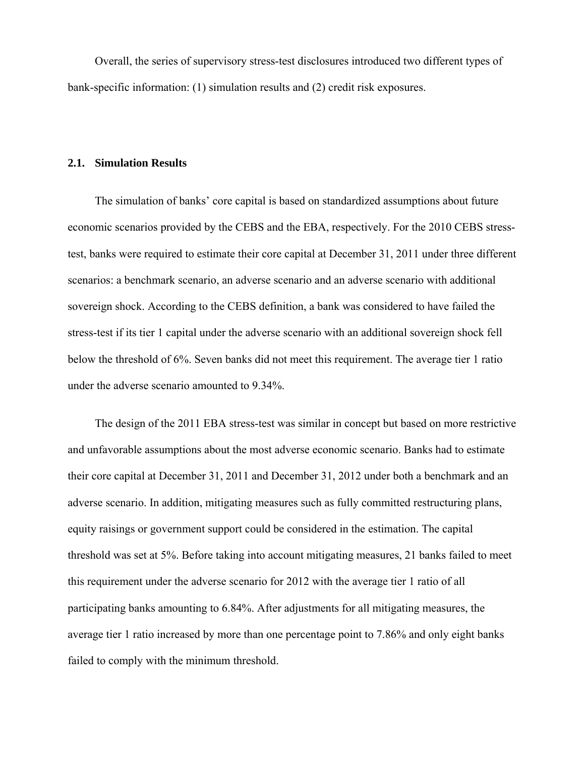Overall, the series of supervisory stress-test disclosures introduced two different types of bank-specific information: (1) simulation results and (2) credit risk exposures.

## **2.1. Simulation Results**

The simulation of banks' core capital is based on standardized assumptions about future economic scenarios provided by the CEBS and the EBA, respectively. For the 2010 CEBS stresstest, banks were required to estimate their core capital at December 31, 2011 under three different scenarios: a benchmark scenario, an adverse scenario and an adverse scenario with additional sovereign shock. According to the CEBS definition, a bank was considered to have failed the stress-test if its tier 1 capital under the adverse scenario with an additional sovereign shock fell below the threshold of 6%. Seven banks did not meet this requirement. The average tier 1 ratio under the adverse scenario amounted to 9.34%.

The design of the 2011 EBA stress-test was similar in concept but based on more restrictive and unfavorable assumptions about the most adverse economic scenario. Banks had to estimate their core capital at December 31, 2011 and December 31, 2012 under both a benchmark and an adverse scenario. In addition, mitigating measures such as fully committed restructuring plans, equity raisings or government support could be considered in the estimation. The capital threshold was set at 5%. Before taking into account mitigating measures, 21 banks failed to meet this requirement under the adverse scenario for 2012 with the average tier 1 ratio of all participating banks amounting to 6.84%. After adjustments for all mitigating measures, the average tier 1 ratio increased by more than one percentage point to 7.86% and only eight banks failed to comply with the minimum threshold.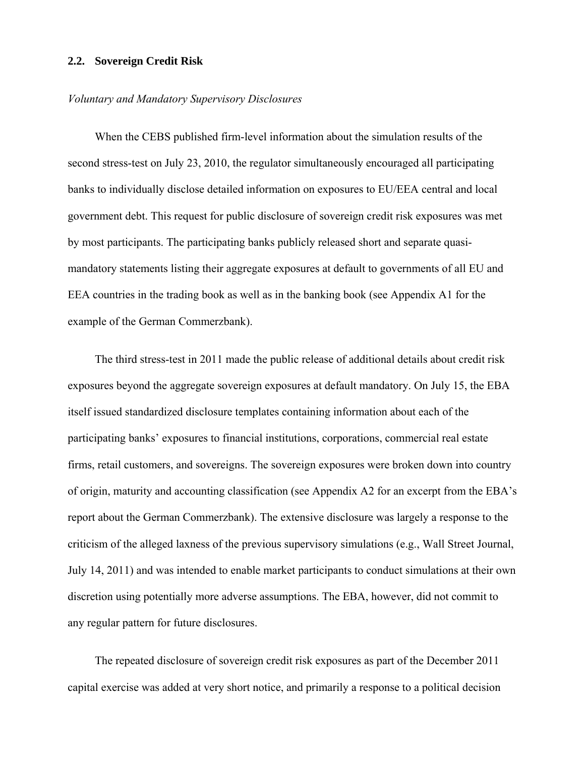#### **2.2. Sovereign Credit Risk**

#### *Voluntary and Mandatory Supervisory Disclosures*

When the CEBS published firm-level information about the simulation results of the second stress-test on July 23, 2010, the regulator simultaneously encouraged all participating banks to individually disclose detailed information on exposures to EU/EEA central and local government debt. This request for public disclosure of sovereign credit risk exposures was met by most participants. The participating banks publicly released short and separate quasimandatory statements listing their aggregate exposures at default to governments of all EU and EEA countries in the trading book as well as in the banking book (see Appendix A1 for the example of the German Commerzbank).

The third stress-test in 2011 made the public release of additional details about credit risk exposures beyond the aggregate sovereign exposures at default mandatory. On July 15, the EBA itself issued standardized disclosure templates containing information about each of the participating banks' exposures to financial institutions, corporations, commercial real estate firms, retail customers, and sovereigns. The sovereign exposures were broken down into country of origin, maturity and accounting classification (see Appendix A2 for an excerpt from the EBA's report about the German Commerzbank). The extensive disclosure was largely a response to the criticism of the alleged laxness of the previous supervisory simulations (e.g., Wall Street Journal, July 14, 2011) and was intended to enable market participants to conduct simulations at their own discretion using potentially more adverse assumptions. The EBA, however, did not commit to any regular pattern for future disclosures.

The repeated disclosure of sovereign credit risk exposures as part of the December 2011 capital exercise was added at very short notice, and primarily a response to a political decision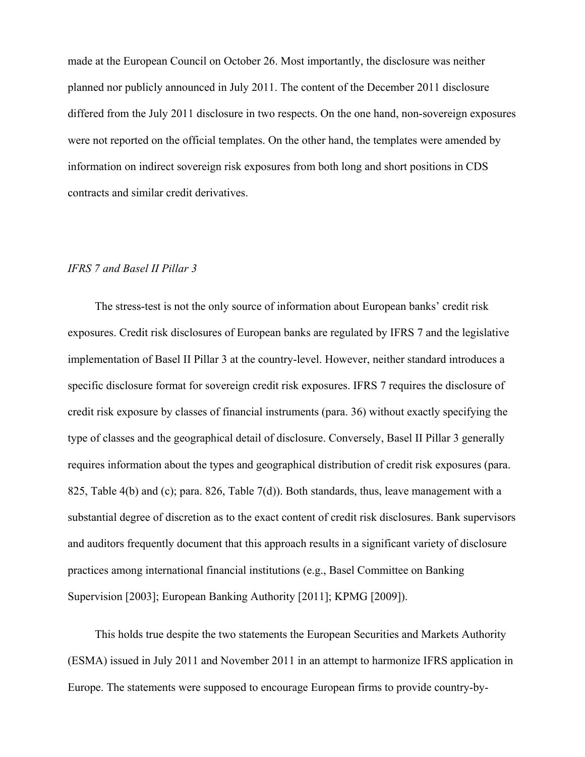made at the European Council on October 26. Most importantly, the disclosure was neither planned nor publicly announced in July 2011. The content of the December 2011 disclosure differed from the July 2011 disclosure in two respects. On the one hand, non-sovereign exposures were not reported on the official templates. On the other hand, the templates were amended by information on indirect sovereign risk exposures from both long and short positions in CDS contracts and similar credit derivatives.

## *IFRS 7 and Basel II Pillar 3*

The stress-test is not the only source of information about European banks' credit risk exposures. Credit risk disclosures of European banks are regulated by IFRS 7 and the legislative implementation of Basel II Pillar 3 at the country-level. However, neither standard introduces a specific disclosure format for sovereign credit risk exposures. IFRS 7 requires the disclosure of credit risk exposure by classes of financial instruments (para. 36) without exactly specifying the type of classes and the geographical detail of disclosure. Conversely, Basel II Pillar 3 generally requires information about the types and geographical distribution of credit risk exposures (para. 825, Table 4(b) and (c); para. 826, Table 7(d)). Both standards, thus, leave management with a substantial degree of discretion as to the exact content of credit risk disclosures. Bank supervisors and auditors frequently document that this approach results in a significant variety of disclosure practices among international financial institutions (e.g., Basel Committee on Banking Supervision [2003]; European Banking Authority [2011]; KPMG [2009]).

This holds true despite the two statements the European Securities and Markets Authority (ESMA) issued in July 2011 and November 2011 in an attempt to harmonize IFRS application in Europe. The statements were supposed to encourage European firms to provide country-by-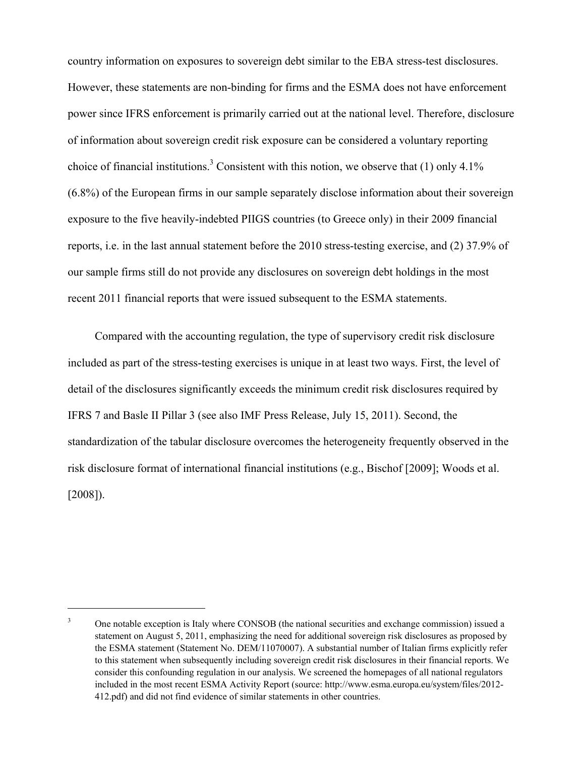country information on exposures to sovereign debt similar to the EBA stress-test disclosures. However, these statements are non-binding for firms and the ESMA does not have enforcement power since IFRS enforcement is primarily carried out at the national level. Therefore, disclosure of information about sovereign credit risk exposure can be considered a voluntary reporting choice of financial institutions.<sup>3</sup> Consistent with this notion, we observe that (1) only 4.1% (6.8%) of the European firms in our sample separately disclose information about their sovereign exposure to the five heavily-indebted PIIGS countries (to Greece only) in their 2009 financial reports, i.e. in the last annual statement before the 2010 stress-testing exercise, and (2) 37.9% of our sample firms still do not provide any disclosures on sovereign debt holdings in the most recent 2011 financial reports that were issued subsequent to the ESMA statements.

Compared with the accounting regulation, the type of supervisory credit risk disclosure included as part of the stress-testing exercises is unique in at least two ways. First, the level of detail of the disclosures significantly exceeds the minimum credit risk disclosures required by IFRS 7 and Basle II Pillar 3 (see also IMF Press Release, July 15, 2011). Second, the standardization of the tabular disclosure overcomes the heterogeneity frequently observed in the risk disclosure format of international financial institutions (e.g., Bischof [2009]; Woods et al. [2008]).

 $\overline{a}$ 

<sup>3</sup> One notable exception is Italy where CONSOB (the national securities and exchange commission) issued a statement on August 5, 2011, emphasizing the need for additional sovereign risk disclosures as proposed by the ESMA statement (Statement No. DEM/11070007). A substantial number of Italian firms explicitly refer to this statement when subsequently including sovereign credit risk disclosures in their financial reports. We consider this confounding regulation in our analysis. We screened the homepages of all national regulators included in the most recent ESMA Activity Report (source: http://www.esma.europa.eu/system/files/2012- 412.pdf) and did not find evidence of similar statements in other countries.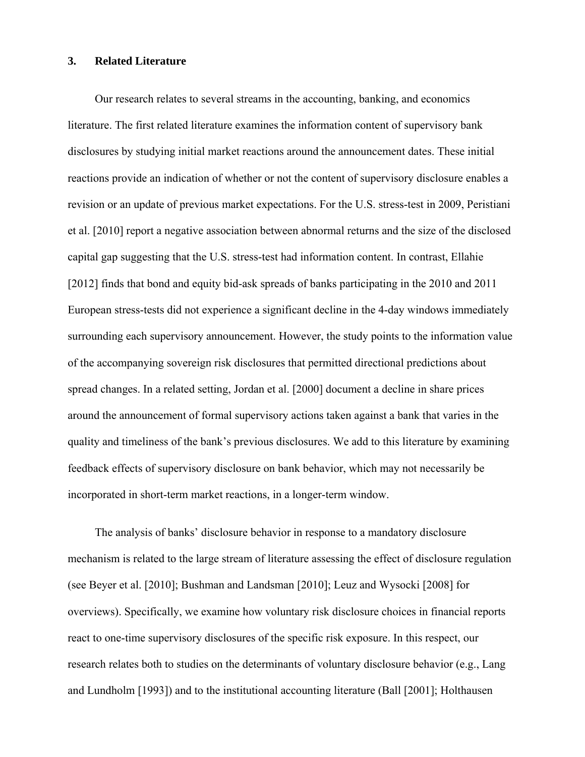#### **3. Related Literature**

Our research relates to several streams in the accounting, banking, and economics literature. The first related literature examines the information content of supervisory bank disclosures by studying initial market reactions around the announcement dates. These initial reactions provide an indication of whether or not the content of supervisory disclosure enables a revision or an update of previous market expectations. For the U.S. stress-test in 2009, Peristiani et al. [2010] report a negative association between abnormal returns and the size of the disclosed capital gap suggesting that the U.S. stress-test had information content. In contrast, Ellahie [2012] finds that bond and equity bid-ask spreads of banks participating in the 2010 and 2011 European stress-tests did not experience a significant decline in the 4-day windows immediately surrounding each supervisory announcement. However, the study points to the information value of the accompanying sovereign risk disclosures that permitted directional predictions about spread changes. In a related setting, Jordan et al. [2000] document a decline in share prices around the announcement of formal supervisory actions taken against a bank that varies in the quality and timeliness of the bank's previous disclosures. We add to this literature by examining feedback effects of supervisory disclosure on bank behavior, which may not necessarily be incorporated in short-term market reactions, in a longer-term window.

The analysis of banks' disclosure behavior in response to a mandatory disclosure mechanism is related to the large stream of literature assessing the effect of disclosure regulation (see Beyer et al. [2010]; Bushman and Landsman [2010]; Leuz and Wysocki [2008] for overviews). Specifically, we examine how voluntary risk disclosure choices in financial reports react to one-time supervisory disclosures of the specific risk exposure. In this respect, our research relates both to studies on the determinants of voluntary disclosure behavior (e.g., Lang and Lundholm [1993]) and to the institutional accounting literature (Ball [2001]; Holthausen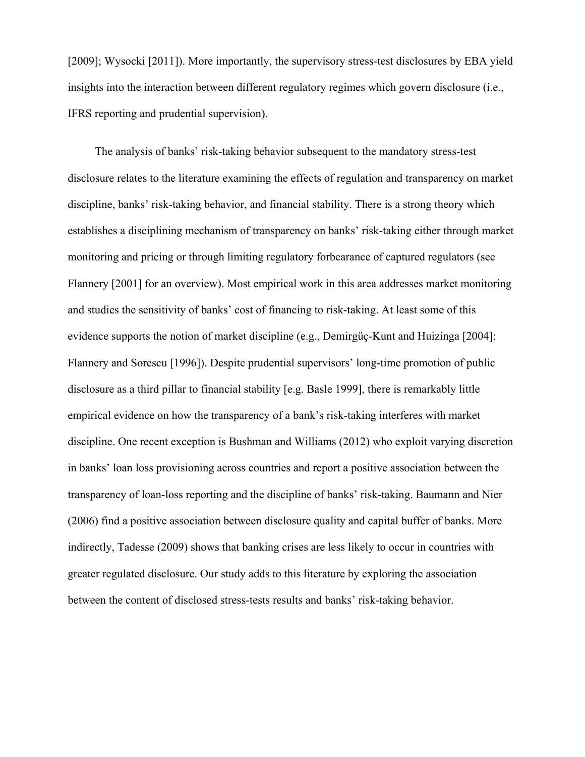[2009]; Wysocki [2011]). More importantly, the supervisory stress-test disclosures by EBA yield insights into the interaction between different regulatory regimes which govern disclosure (i.e., IFRS reporting and prudential supervision).

The analysis of banks' risk-taking behavior subsequent to the mandatory stress-test disclosure relates to the literature examining the effects of regulation and transparency on market discipline, banks' risk-taking behavior, and financial stability. There is a strong theory which establishes a disciplining mechanism of transparency on banks' risk-taking either through market monitoring and pricing or through limiting regulatory forbearance of captured regulators (see Flannery [2001] for an overview). Most empirical work in this area addresses market monitoring and studies the sensitivity of banks' cost of financing to risk-taking. At least some of this evidence supports the notion of market discipline (e.g., Demirgüç-Kunt and Huizinga [2004]; Flannery and Sorescu [1996]). Despite prudential supervisors' long-time promotion of public disclosure as a third pillar to financial stability [e.g. Basle 1999], there is remarkably little empirical evidence on how the transparency of a bank's risk-taking interferes with market discipline. One recent exception is Bushman and Williams (2012) who exploit varying discretion in banks' loan loss provisioning across countries and report a positive association between the transparency of loan-loss reporting and the discipline of banks' risk-taking. Baumann and Nier (2006) find a positive association between disclosure quality and capital buffer of banks. More indirectly, Tadesse (2009) shows that banking crises are less likely to occur in countries with greater regulated disclosure. Our study adds to this literature by exploring the association between the content of disclosed stress-tests results and banks' risk-taking behavior.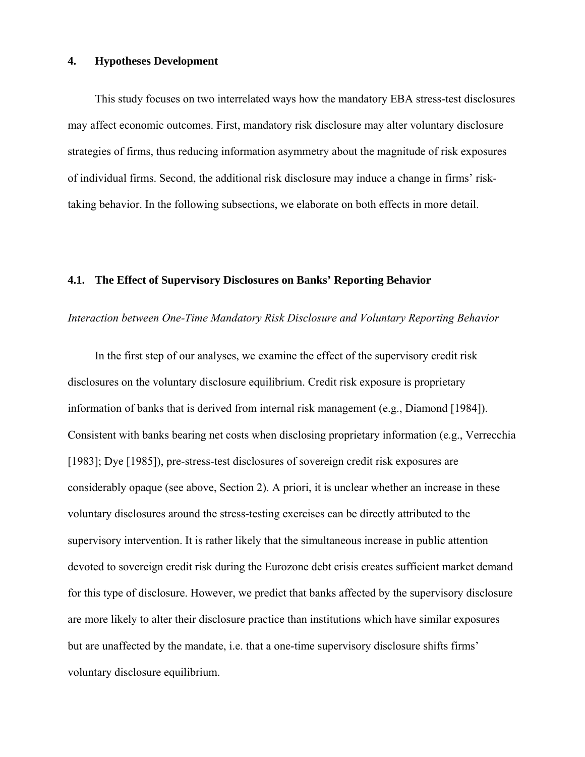#### **4. Hypotheses Development**

This study focuses on two interrelated ways how the mandatory EBA stress-test disclosures may affect economic outcomes. First, mandatory risk disclosure may alter voluntary disclosure strategies of firms, thus reducing information asymmetry about the magnitude of risk exposures of individual firms. Second, the additional risk disclosure may induce a change in firms' risktaking behavior. In the following subsections, we elaborate on both effects in more detail.

#### **4.1. The Effect of Supervisory Disclosures on Banks' Reporting Behavior**

#### *Interaction between One-Time Mandatory Risk Disclosure and Voluntary Reporting Behavior*

In the first step of our analyses, we examine the effect of the supervisory credit risk disclosures on the voluntary disclosure equilibrium. Credit risk exposure is proprietary information of banks that is derived from internal risk management (e.g., Diamond [1984]). Consistent with banks bearing net costs when disclosing proprietary information (e.g., Verrecchia [1983]; Dye [1985]), pre-stress-test disclosures of sovereign credit risk exposures are considerably opaque (see above, Section 2). A priori, it is unclear whether an increase in these voluntary disclosures around the stress-testing exercises can be directly attributed to the supervisory intervention. It is rather likely that the simultaneous increase in public attention devoted to sovereign credit risk during the Eurozone debt crisis creates sufficient market demand for this type of disclosure. However, we predict that banks affected by the supervisory disclosure are more likely to alter their disclosure practice than institutions which have similar exposures but are unaffected by the mandate, i.e. that a one-time supervisory disclosure shifts firms' voluntary disclosure equilibrium.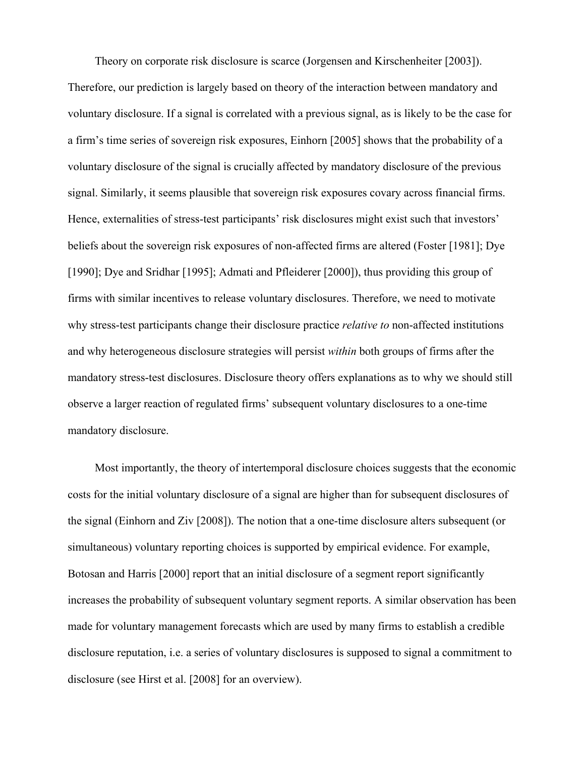Theory on corporate risk disclosure is scarce (Jorgensen and Kirschenheiter [2003]). Therefore, our prediction is largely based on theory of the interaction between mandatory and voluntary disclosure. If a signal is correlated with a previous signal, as is likely to be the case for a firm's time series of sovereign risk exposures, Einhorn [2005] shows that the probability of a voluntary disclosure of the signal is crucially affected by mandatory disclosure of the previous signal. Similarly, it seems plausible that sovereign risk exposures covary across financial firms. Hence, externalities of stress-test participants' risk disclosures might exist such that investors' beliefs about the sovereign risk exposures of non-affected firms are altered (Foster [1981]; Dye [1990]; Dye and Sridhar [1995]; Admati and Pfleiderer [2000]), thus providing this group of firms with similar incentives to release voluntary disclosures. Therefore, we need to motivate why stress-test participants change their disclosure practice *relative to* non-affected institutions and why heterogeneous disclosure strategies will persist *within* both groups of firms after the mandatory stress-test disclosures. Disclosure theory offers explanations as to why we should still observe a larger reaction of regulated firms' subsequent voluntary disclosures to a one-time mandatory disclosure.

Most importantly, the theory of intertemporal disclosure choices suggests that the economic costs for the initial voluntary disclosure of a signal are higher than for subsequent disclosures of the signal (Einhorn and Ziv [2008]). The notion that a one-time disclosure alters subsequent (or simultaneous) voluntary reporting choices is supported by empirical evidence. For example, Botosan and Harris [2000] report that an initial disclosure of a segment report significantly increases the probability of subsequent voluntary segment reports. A similar observation has been made for voluntary management forecasts which are used by many firms to establish a credible disclosure reputation, i.e. a series of voluntary disclosures is supposed to signal a commitment to disclosure (see Hirst et al. [2008] for an overview).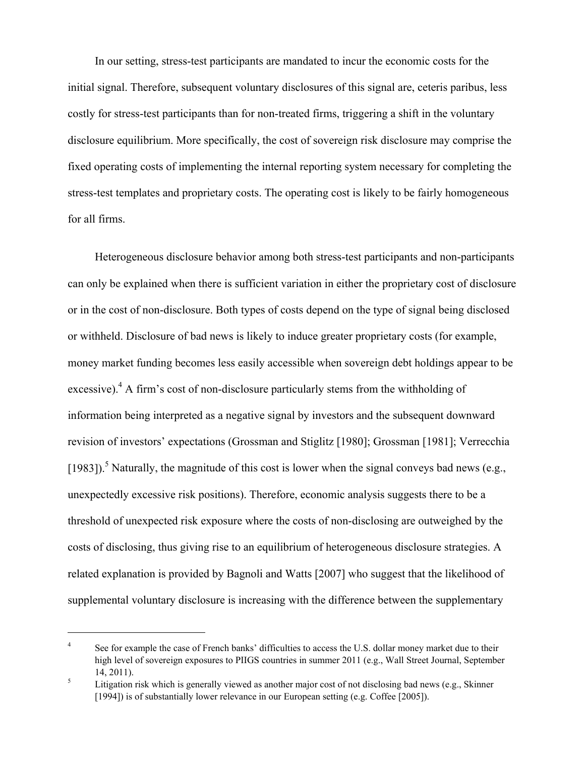In our setting, stress-test participants are mandated to incur the economic costs for the initial signal. Therefore, subsequent voluntary disclosures of this signal are, ceteris paribus, less costly for stress-test participants than for non-treated firms, triggering a shift in the voluntary disclosure equilibrium. More specifically, the cost of sovereign risk disclosure may comprise the fixed operating costs of implementing the internal reporting system necessary for completing the stress-test templates and proprietary costs. The operating cost is likely to be fairly homogeneous for all firms.

Heterogeneous disclosure behavior among both stress-test participants and non-participants can only be explained when there is sufficient variation in either the proprietary cost of disclosure or in the cost of non-disclosure. Both types of costs depend on the type of signal being disclosed or withheld. Disclosure of bad news is likely to induce greater proprietary costs (for example, money market funding becomes less easily accessible when sovereign debt holdings appear to be excessive). $^{4}$  A firm's cost of non-disclosure particularly stems from the withholding of information being interpreted as a negative signal by investors and the subsequent downward revision of investors' expectations (Grossman and Stiglitz [1980]; Grossman [1981]; Verrecchia [1983]).<sup>5</sup> Naturally, the magnitude of this cost is lower when the signal conveys bad news (e.g., unexpectedly excessive risk positions). Therefore, economic analysis suggests there to be a threshold of unexpected risk exposure where the costs of non-disclosing are outweighed by the costs of disclosing, thus giving rise to an equilibrium of heterogeneous disclosure strategies. A related explanation is provided by Bagnoli and Watts [2007] who suggest that the likelihood of supplemental voluntary disclosure is increasing with the difference between the supplementary

 $\overline{a}$ 

<sup>4</sup> See for example the case of French banks' difficulties to access the U.S. dollar money market due to their high level of sovereign exposures to PIIGS countries in summer 2011 (e.g., Wall Street Journal, September  $14, 2011$ ).

Litigation risk which is generally viewed as another major cost of not disclosing bad news (e.g., Skinner [1994]) is of substantially lower relevance in our European setting (e.g. Coffee [2005]).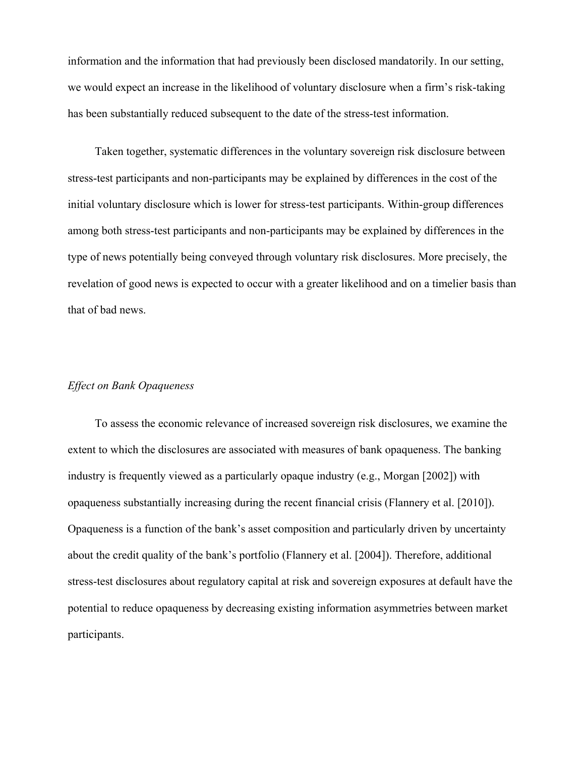information and the information that had previously been disclosed mandatorily. In our setting, we would expect an increase in the likelihood of voluntary disclosure when a firm's risk-taking has been substantially reduced subsequent to the date of the stress-test information.

Taken together, systematic differences in the voluntary sovereign risk disclosure between stress-test participants and non-participants may be explained by differences in the cost of the initial voluntary disclosure which is lower for stress-test participants. Within-group differences among both stress-test participants and non-participants may be explained by differences in the type of news potentially being conveyed through voluntary risk disclosures. More precisely, the revelation of good news is expected to occur with a greater likelihood and on a timelier basis than that of bad news.

## *Effect on Bank Opaqueness*

To assess the economic relevance of increased sovereign risk disclosures, we examine the extent to which the disclosures are associated with measures of bank opaqueness. The banking industry is frequently viewed as a particularly opaque industry (e.g., Morgan [2002]) with opaqueness substantially increasing during the recent financial crisis (Flannery et al. [2010]). Opaqueness is a function of the bank's asset composition and particularly driven by uncertainty about the credit quality of the bank's portfolio (Flannery et al. [2004]). Therefore, additional stress-test disclosures about regulatory capital at risk and sovereign exposures at default have the potential to reduce opaqueness by decreasing existing information asymmetries between market participants.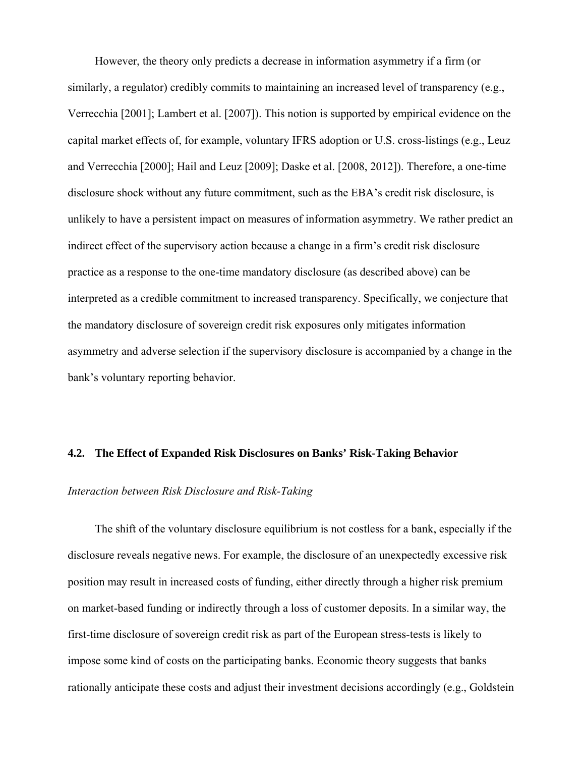However, the theory only predicts a decrease in information asymmetry if a firm (or similarly, a regulator) credibly commits to maintaining an increased level of transparency (e.g., Verrecchia [2001]; Lambert et al. [2007]). This notion is supported by empirical evidence on the capital market effects of, for example, voluntary IFRS adoption or U.S. cross-listings (e.g., Leuz and Verrecchia [2000]; Hail and Leuz [2009]; Daske et al. [2008, 2012]). Therefore, a one-time disclosure shock without any future commitment, such as the EBA's credit risk disclosure, is unlikely to have a persistent impact on measures of information asymmetry. We rather predict an indirect effect of the supervisory action because a change in a firm's credit risk disclosure practice as a response to the one-time mandatory disclosure (as described above) can be interpreted as a credible commitment to increased transparency. Specifically, we conjecture that the mandatory disclosure of sovereign credit risk exposures only mitigates information asymmetry and adverse selection if the supervisory disclosure is accompanied by a change in the bank's voluntary reporting behavior.

### **4.2. The Effect of Expanded Risk Disclosures on Banks' Risk-Taking Behavior**

# *Interaction between Risk Disclosure and Risk-Taking*

The shift of the voluntary disclosure equilibrium is not costless for a bank, especially if the disclosure reveals negative news. For example, the disclosure of an unexpectedly excessive risk position may result in increased costs of funding, either directly through a higher risk premium on market-based funding or indirectly through a loss of customer deposits. In a similar way, the first-time disclosure of sovereign credit risk as part of the European stress-tests is likely to impose some kind of costs on the participating banks. Economic theory suggests that banks rationally anticipate these costs and adjust their investment decisions accordingly (e.g., Goldstein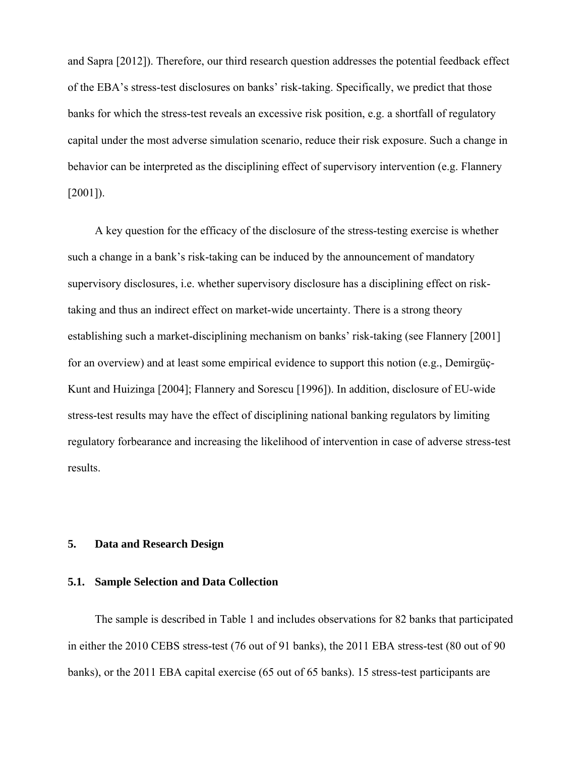and Sapra [2012]). Therefore, our third research question addresses the potential feedback effect of the EBA's stress-test disclosures on banks' risk-taking. Specifically, we predict that those banks for which the stress-test reveals an excessive risk position, e.g. a shortfall of regulatory capital under the most adverse simulation scenario, reduce their risk exposure. Such a change in behavior can be interpreted as the disciplining effect of supervisory intervention (e.g. Flannery [2001]).

A key question for the efficacy of the disclosure of the stress-testing exercise is whether such a change in a bank's risk-taking can be induced by the announcement of mandatory supervisory disclosures, i.e. whether supervisory disclosure has a disciplining effect on risktaking and thus an indirect effect on market-wide uncertainty. There is a strong theory establishing such a market-disciplining mechanism on banks' risk-taking (see Flannery [2001] for an overview) and at least some empirical evidence to support this notion (e.g., Demirgüç-Kunt and Huizinga [2004]; Flannery and Sorescu [1996]). In addition, disclosure of EU-wide stress-test results may have the effect of disciplining national banking regulators by limiting regulatory forbearance and increasing the likelihood of intervention in case of adverse stress-test results.

## **5. Data and Research Design**

### **5.1. Sample Selection and Data Collection**

The sample is described in Table 1 and includes observations for 82 banks that participated in either the 2010 CEBS stress-test (76 out of 91 banks), the 2011 EBA stress-test (80 out of 90 banks), or the 2011 EBA capital exercise (65 out of 65 banks). 15 stress-test participants are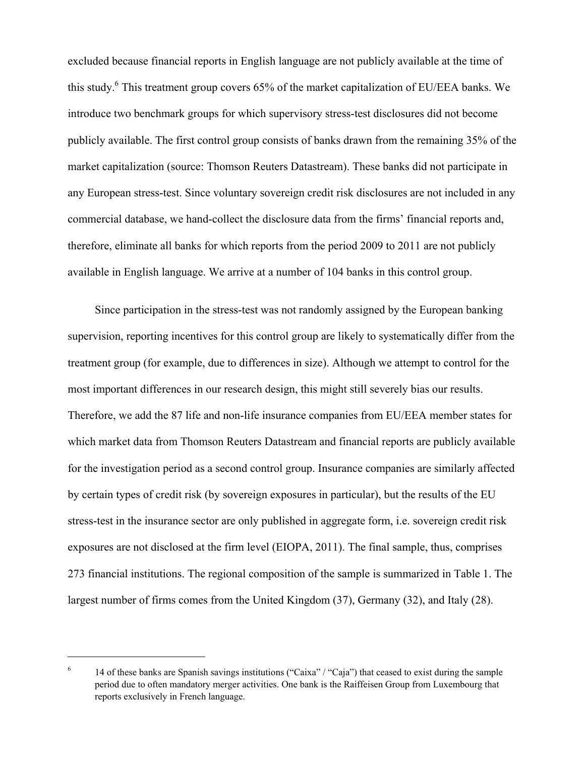excluded because financial reports in English language are not publicly available at the time of this study.<sup>6</sup> This treatment group covers 65% of the market capitalization of EU/EEA banks. We introduce two benchmark groups for which supervisory stress-test disclosures did not become publicly available. The first control group consists of banks drawn from the remaining 35% of the market capitalization (source: Thomson Reuters Datastream). These banks did not participate in any European stress-test. Since voluntary sovereign credit risk disclosures are not included in any commercial database, we hand-collect the disclosure data from the firms' financial reports and, therefore, eliminate all banks for which reports from the period 2009 to 2011 are not publicly available in English language. We arrive at a number of 104 banks in this control group.

Since participation in the stress-test was not randomly assigned by the European banking supervision, reporting incentives for this control group are likely to systematically differ from the treatment group (for example, due to differences in size). Although we attempt to control for the most important differences in our research design, this might still severely bias our results. Therefore, we add the 87 life and non-life insurance companies from EU/EEA member states for which market data from Thomson Reuters Datastream and financial reports are publicly available for the investigation period as a second control group. Insurance companies are similarly affected by certain types of credit risk (by sovereign exposures in particular), but the results of the EU stress-test in the insurance sector are only published in aggregate form, i.e. sovereign credit risk exposures are not disclosed at the firm level (EIOPA, 2011). The final sample, thus, comprises 273 financial institutions. The regional composition of the sample is summarized in Table 1. The largest number of firms comes from the United Kingdom (37), Germany (32), and Italy (28).

 $\overline{a}$ 

<sup>6</sup> 14 of these banks are Spanish savings institutions ("Caixa" / "Caja") that ceased to exist during the sample period due to often mandatory merger activities. One bank is the Raiffeisen Group from Luxembourg that reports exclusively in French language.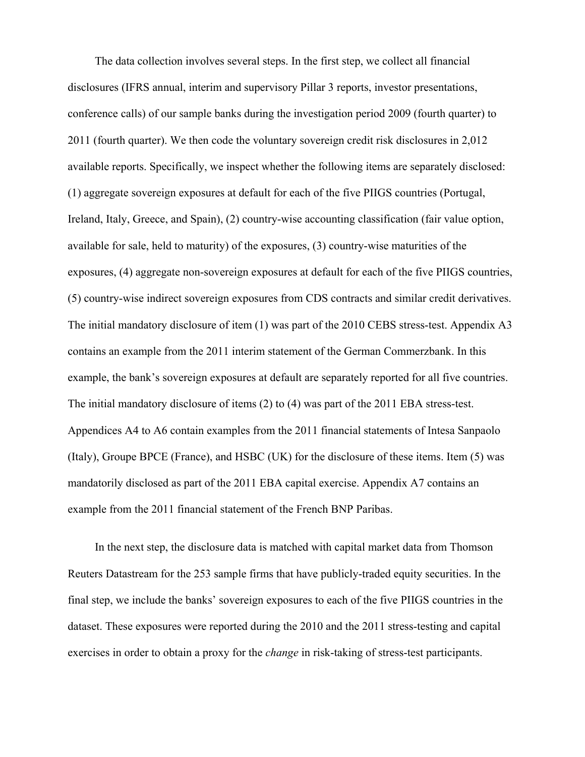The data collection involves several steps. In the first step, we collect all financial disclosures (IFRS annual, interim and supervisory Pillar 3 reports, investor presentations, conference calls) of our sample banks during the investigation period 2009 (fourth quarter) to 2011 (fourth quarter). We then code the voluntary sovereign credit risk disclosures in 2,012 available reports. Specifically, we inspect whether the following items are separately disclosed: (1) aggregate sovereign exposures at default for each of the five PIIGS countries (Portugal, Ireland, Italy, Greece, and Spain), (2) country-wise accounting classification (fair value option, available for sale, held to maturity) of the exposures, (3) country-wise maturities of the exposures, (4) aggregate non-sovereign exposures at default for each of the five PIIGS countries, (5) country-wise indirect sovereign exposures from CDS contracts and similar credit derivatives. The initial mandatory disclosure of item (1) was part of the 2010 CEBS stress-test. Appendix A3 contains an example from the 2011 interim statement of the German Commerzbank. In this example, the bank's sovereign exposures at default are separately reported for all five countries. The initial mandatory disclosure of items (2) to (4) was part of the 2011 EBA stress-test. Appendices A4 to A6 contain examples from the 2011 financial statements of Intesa Sanpaolo (Italy), Groupe BPCE (France), and HSBC (UK) for the disclosure of these items. Item (5) was mandatorily disclosed as part of the 2011 EBA capital exercise. Appendix A7 contains an example from the 2011 financial statement of the French BNP Paribas.

In the next step, the disclosure data is matched with capital market data from Thomson Reuters Datastream for the 253 sample firms that have publicly-traded equity securities. In the final step, we include the banks' sovereign exposures to each of the five PIIGS countries in the dataset. These exposures were reported during the 2010 and the 2011 stress-testing and capital exercises in order to obtain a proxy for the *change* in risk-taking of stress-test participants.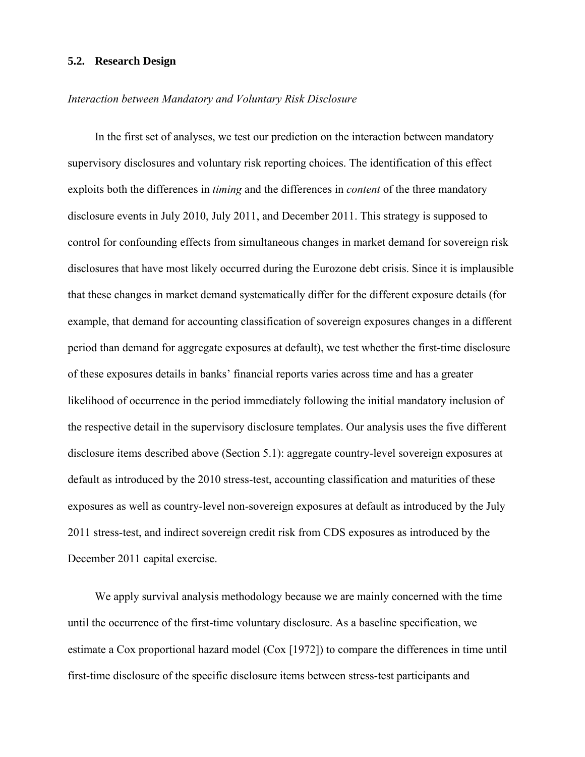#### **5.2. Research Design**

#### *Interaction between Mandatory and Voluntary Risk Disclosure*

In the first set of analyses, we test our prediction on the interaction between mandatory supervisory disclosures and voluntary risk reporting choices. The identification of this effect exploits both the differences in *timing* and the differences in *content* of the three mandatory disclosure events in July 2010, July 2011, and December 2011. This strategy is supposed to control for confounding effects from simultaneous changes in market demand for sovereign risk disclosures that have most likely occurred during the Eurozone debt crisis. Since it is implausible that these changes in market demand systematically differ for the different exposure details (for example, that demand for accounting classification of sovereign exposures changes in a different period than demand for aggregate exposures at default), we test whether the first-time disclosure of these exposures details in banks' financial reports varies across time and has a greater likelihood of occurrence in the period immediately following the initial mandatory inclusion of the respective detail in the supervisory disclosure templates. Our analysis uses the five different disclosure items described above (Section 5.1): aggregate country-level sovereign exposures at default as introduced by the 2010 stress-test, accounting classification and maturities of these exposures as well as country-level non-sovereign exposures at default as introduced by the July 2011 stress-test, and indirect sovereign credit risk from CDS exposures as introduced by the December 2011 capital exercise.

We apply survival analysis methodology because we are mainly concerned with the time until the occurrence of the first-time voluntary disclosure. As a baseline specification, we estimate a Cox proportional hazard model (Cox [1972]) to compare the differences in time until first-time disclosure of the specific disclosure items between stress-test participants and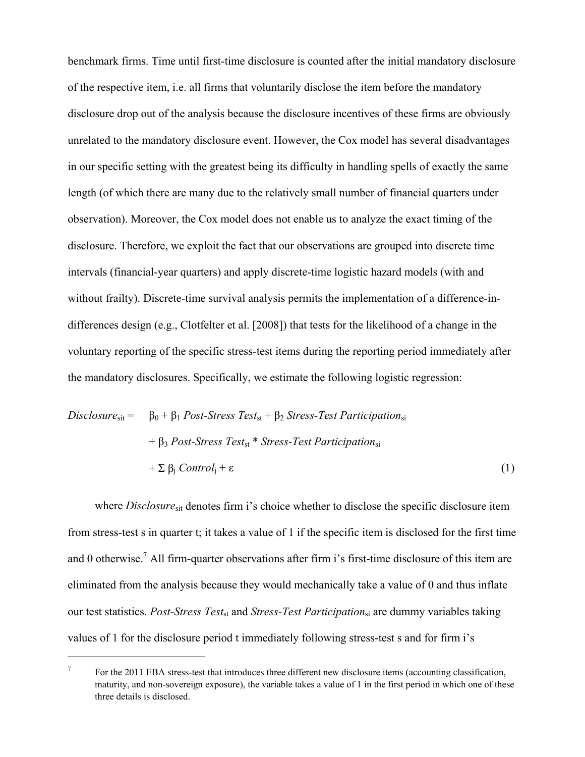benchmark firms. Time until first-time disclosure is counted after the initial mandatory disclosure of the respective item, i.e. all firms that voluntarily disclose the item before the mandatory disclosure drop out of the analysis because the disclosure incentives of these firms are obviously unrelated to the mandatory disclosure event. However, the Cox model has several disadvantages in our specific setting with the greatest being its difficulty in handling spells of exactly the same length (of which there are many due to the relatively small number of financial quarters under observation). Moreover, the Cox model does not enable us to analyze the exact timing of the disclosure. Therefore, we exploit the fact that our observations are grouped into discrete time intervals (financial-year quarters) and apply discrete-time logistic hazard models (with and without frailty). Discrete-time survival analysis permits the implementation of a difference-indifferences design (e.g., Clotfelter et al. [2008]) that tests for the likelihood of a change in the voluntary reporting of the specific stress-test items during the reporting period immediately after the mandatory disclosures. Specifically, we estimate the following logistic regression:

$$
Disclosure_{sit} = \beta_0 + \beta_1 Post\text{-Stress Test}_{st} + \beta_2 \text{Stress-Test Partition}_{si}
$$

$$
+ \beta_3 Post\text{-Stress Test}_{st} * \text{Stress-Test Partition}_{si}
$$

$$
+ \sum \beta_j \text{Control}_j + \varepsilon
$$
(1)

where *Disclosure*<sub>sit</sub> denotes firm i's choice whether to disclose the specific disclosure item from stress-test s in quarter t; it takes a value of 1 if the specific item is disclosed for the first time and 0 otherwise.<sup>7</sup> All firm-quarter observations after firm i's first-time disclosure of this item are eliminated from the analysis because they would mechanically take a value of 0 and thus inflate our test statistics. *Post-Stress Test*st and *Stress-Test Participation*si are dummy variables taking values of 1 for the disclosure period t immediately following stress-test s and for firm i's

 $\overline{a}$ 

<sup>7</sup> For the 2011 EBA stress-test that introduces three different new disclosure items (accounting classification, maturity, and non-sovereign exposure), the variable takes a value of 1 in the first period in which one of these three details is disclosed.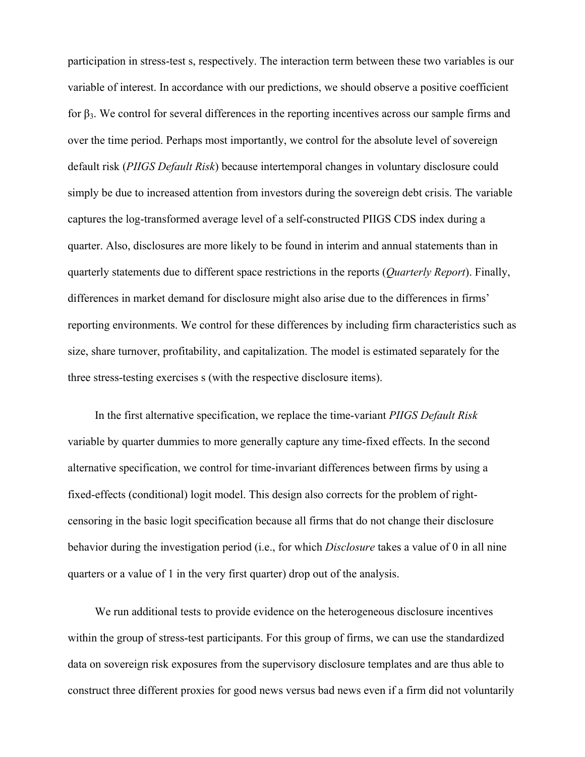participation in stress-test s, respectively. The interaction term between these two variables is our variable of interest. In accordance with our predictions, we should observe a positive coefficient for  $\beta_3$ . We control for several differences in the reporting incentives across our sample firms and over the time period. Perhaps most importantly, we control for the absolute level of sovereign default risk (*PIIGS Default Risk*) because intertemporal changes in voluntary disclosure could simply be due to increased attention from investors during the sovereign debt crisis. The variable captures the log-transformed average level of a self-constructed PIIGS CDS index during a quarter. Also, disclosures are more likely to be found in interim and annual statements than in quarterly statements due to different space restrictions in the reports (*Quarterly Report*). Finally, differences in market demand for disclosure might also arise due to the differences in firms' reporting environments. We control for these differences by including firm characteristics such as size, share turnover, profitability, and capitalization. The model is estimated separately for the three stress-testing exercises s (with the respective disclosure items).

In the first alternative specification, we replace the time-variant *PIIGS Default Risk*  variable by quarter dummies to more generally capture any time-fixed effects. In the second alternative specification, we control for time-invariant differences between firms by using a fixed-effects (conditional) logit model. This design also corrects for the problem of rightcensoring in the basic logit specification because all firms that do not change their disclosure behavior during the investigation period (i.e., for which *Disclosure* takes a value of 0 in all nine quarters or a value of 1 in the very first quarter) drop out of the analysis.

We run additional tests to provide evidence on the heterogeneous disclosure incentives within the group of stress-test participants. For this group of firms, we can use the standardized data on sovereign risk exposures from the supervisory disclosure templates and are thus able to construct three different proxies for good news versus bad news even if a firm did not voluntarily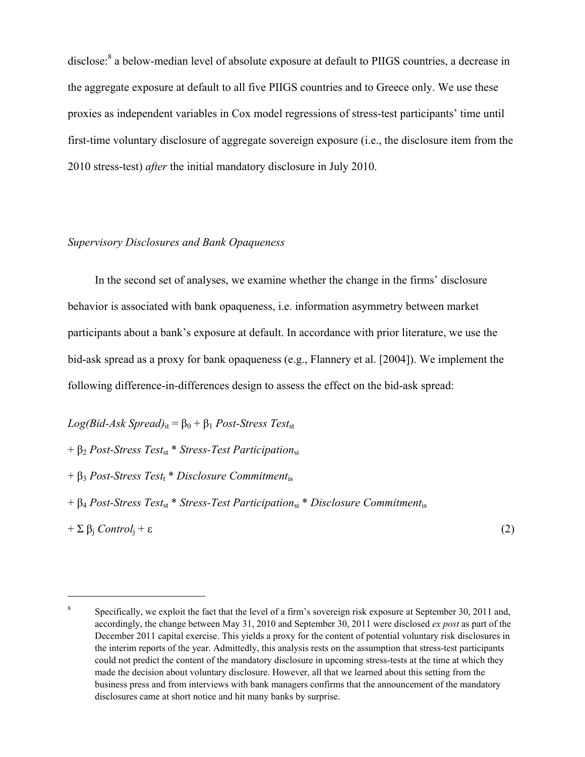disclose:<sup>8</sup> a below-median level of absolute exposure at default to PIIGS countries, a decrease in the aggregate exposure at default to all five PIIGS countries and to Greece only. We use these proxies as independent variables in Cox model regressions of stress-test participants' time until first-time voluntary disclosure of aggregate sovereign exposure (i.e., the disclosure item from the 2010 stress-test) *after* the initial mandatory disclosure in July 2010.

## *Supervisory Disclosures and Bank Opaqueness*

In the second set of analyses, we examine whether the change in the firms' disclosure behavior is associated with bank opaqueness, i.e. information asymmetry between market participants about a bank's exposure at default. In accordance with prior literature, we use the bid-ask spread as a proxy for bank opaqueness (e.g., Flannery et al. [2004]). We implement the following difference-in-differences design to assess the effect on the bid-ask spread:

 $Log(Bid-Ask\ Spread)_{it} = \beta_0 + \beta_1 \ Post-Stress\ Test_{st}$ 

+ β<sup>2</sup> *Post-Stress Test*st \* *Stress-Test Participation*si

- + β<sup>3</sup> *Post-Stress Test*t \* *Disclosure Commitment*is
- + β<sup>4</sup> *Post-Stress Test*st \* *Stress-Test Participation*si \* *Disclosure Commitment*is

 $+ \sum \beta_i \text{Control}_i + \varepsilon$  (2)

 $\overline{a}$ 

<sup>8</sup> Specifically, we exploit the fact that the level of a firm's sovereign risk exposure at September 30, 2011 and, accordingly, the change between May 31, 2010 and September 30, 2011 were disclosed *ex post* as part of the December 2011 capital exercise. This yields a proxy for the content of potential voluntary risk disclosures in the interim reports of the year. Admittedly, this analysis rests on the assumption that stress-test participants could not predict the content of the mandatory disclosure in upcoming stress-tests at the time at which they made the decision about voluntary disclosure. However, all that we learned about this setting from the business press and from interviews with bank managers confirms that the announcement of the mandatory disclosures came at short notice and hit many banks by surprise.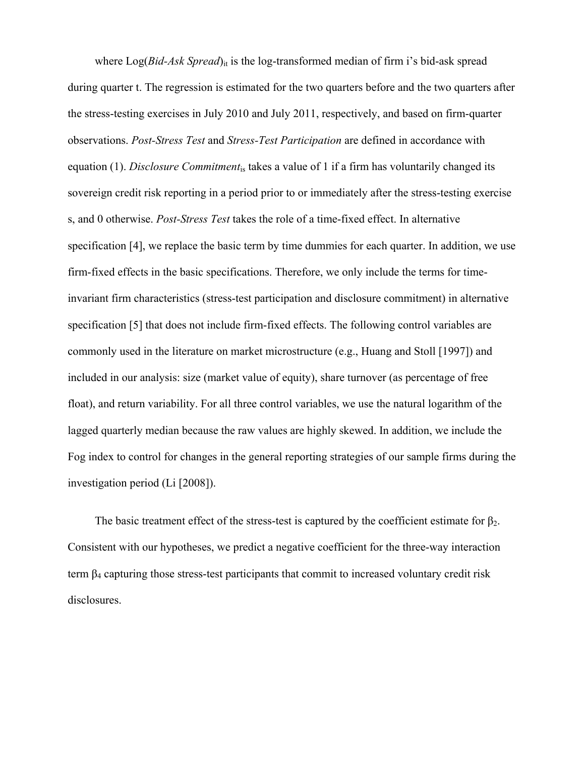where  $Log(Bid-Ask\;Spread)_{it}$  is the log-transformed median of firm i's bid-ask spread during quarter t. The regression is estimated for the two quarters before and the two quarters after the stress-testing exercises in July 2010 and July 2011, respectively, and based on firm-quarter observations. *Post-Stress Test* and *Stress-Test Participation* are defined in accordance with equation (1). *Disclosure Commitment*is takes a value of 1 if a firm has voluntarily changed its sovereign credit risk reporting in a period prior to or immediately after the stress-testing exercise s, and 0 otherwise. *Post-Stress Test* takes the role of a time-fixed effect. In alternative specification [4], we replace the basic term by time dummies for each quarter. In addition, we use firm-fixed effects in the basic specifications. Therefore, we only include the terms for timeinvariant firm characteristics (stress-test participation and disclosure commitment) in alternative specification [5] that does not include firm-fixed effects. The following control variables are commonly used in the literature on market microstructure (e.g., Huang and Stoll [1997]) and included in our analysis: size (market value of equity), share turnover (as percentage of free float), and return variability. For all three control variables, we use the natural logarithm of the lagged quarterly median because the raw values are highly skewed. In addition, we include the Fog index to control for changes in the general reporting strategies of our sample firms during the investigation period (Li [2008]).

The basic treatment effect of the stress-test is captured by the coefficient estimate for  $\beta_2$ . Consistent with our hypotheses, we predict a negative coefficient for the three-way interaction term  $\beta_4$  capturing those stress-test participants that commit to increased voluntary credit risk disclosures.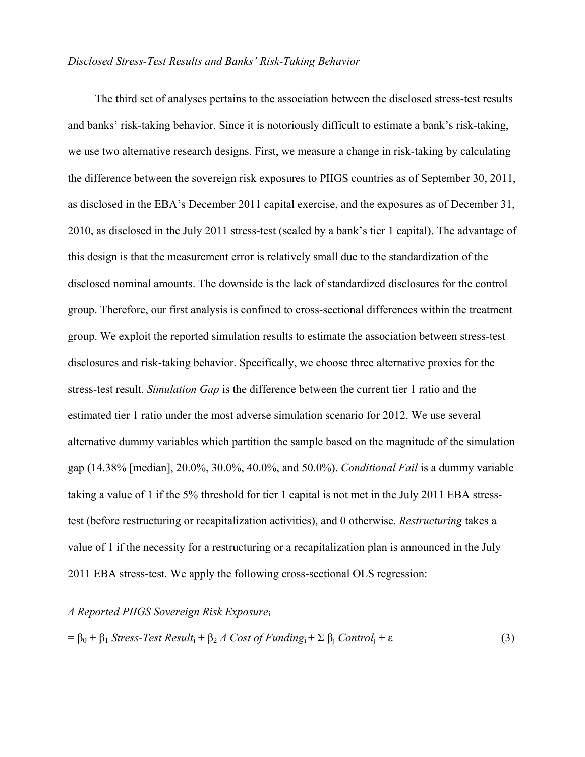### *Disclosed Stress-Test Results and Banks' Risk-Taking Behavior*

The third set of analyses pertains to the association between the disclosed stress-test results and banks' risk-taking behavior. Since it is notoriously difficult to estimate a bank's risk-taking, we use two alternative research designs. First, we measure a change in risk-taking by calculating the difference between the sovereign risk exposures to PIIGS countries as of September 30, 2011, as disclosed in the EBA's December 2011 capital exercise, and the exposures as of December 31, 2010, as disclosed in the July 2011 stress-test (scaled by a bank's tier 1 capital). The advantage of this design is that the measurement error is relatively small due to the standardization of the disclosed nominal amounts. The downside is the lack of standardized disclosures for the control group. Therefore, our first analysis is confined to cross-sectional differences within the treatment group. We exploit the reported simulation results to estimate the association between stress-test disclosures and risk-taking behavior. Specifically, we choose three alternative proxies for the stress-test result. *Simulation Gap* is the difference between the current tier 1 ratio and the estimated tier 1 ratio under the most adverse simulation scenario for 2012. We use several alternative dummy variables which partition the sample based on the magnitude of the simulation gap (14.38% [median], 20.0%, 30.0%, 40.0%, and 50.0%). *Conditional Fail* is a dummy variable taking a value of 1 if the 5% threshold for tier 1 capital is not met in the July 2011 EBA stresstest (before restructuring or recapitalization activities), and 0 otherwise. *Restructuring* takes a value of 1 if the necessity for a restructuring or a recapitalization plan is announced in the July 2011 EBA stress-test. We apply the following cross-sectional OLS regression:

## *Δ Reported PIIGS Sovereign Risk Exposure*<sup>i</sup>

$$
= \beta_0 + \beta_1 \text{Stress-Test Result}_i + \beta_2 \Delta \text{Cost of Funding}_i + \Sigma \beta_j \text{Control}_j + \varepsilon
$$
 (3)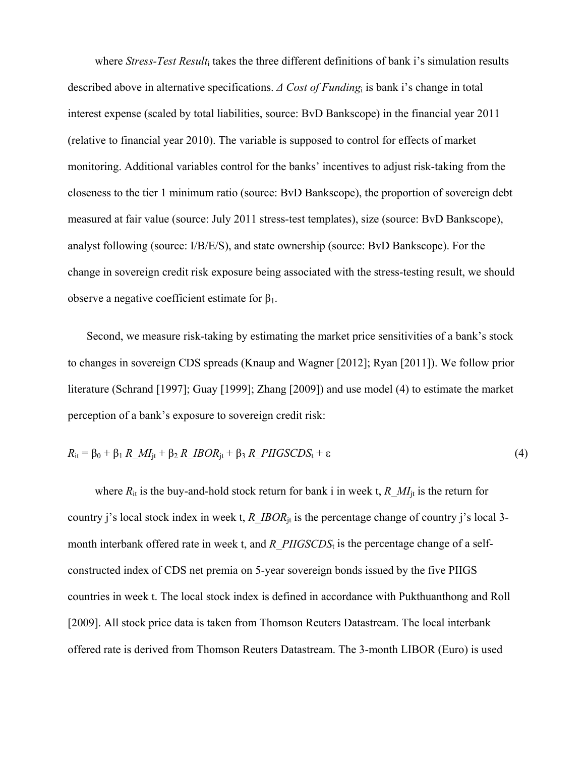where *Stress-Test Result*<sub>i</sub> takes the three different definitions of bank i's simulation results described above in alternative specifications. *Δ Cost of Funding*i is bank i's change in total interest expense (scaled by total liabilities, source: BvD Bankscope) in the financial year 2011 (relative to financial year 2010). The variable is supposed to control for effects of market monitoring. Additional variables control for the banks' incentives to adjust risk-taking from the closeness to the tier 1 minimum ratio (source: BvD Bankscope), the proportion of sovereign debt measured at fair value (source: July 2011 stress-test templates), size (source: BvD Bankscope), analyst following (source: I/B/E/S), and state ownership (source: BvD Bankscope). For the change in sovereign credit risk exposure being associated with the stress-testing result, we should observe a negative coefficient estimate for  $β_1$ .

Second, we measure risk-taking by estimating the market price sensitivities of a bank's stock to changes in sovereign CDS spreads (Knaup and Wagner [2012]; Ryan [2011]). We follow prior literature (Schrand [1997]; Guay [1999]; Zhang [2009]) and use model (4) to estimate the market perception of a bank's exposure to sovereign credit risk:

$$
R_{it} = \beta_0 + \beta_1 R\_MI_{jt} + \beta_2 R\_IBOR_{jt} + \beta_3 R\_PIIGSCDS_t + \varepsilon
$$
\n
$$
\tag{4}
$$

where  $R_{it}$  is the buy-and-hold stock return for bank i in week t,  $R$   $MI_{it}$  is the return for country j's local stock index in week t, *R\_IBOR*<sub>it</sub> is the percentage change of country j's local 3month interbank offered rate in week t, and *R\_PIIGSCDS*<sub>t</sub> is the percentage change of a selfconstructed index of CDS net premia on 5-year sovereign bonds issued by the five PIIGS countries in week t. The local stock index is defined in accordance with Pukthuanthong and Roll [2009]. All stock price data is taken from Thomson Reuters Datastream. The local interbank offered rate is derived from Thomson Reuters Datastream. The 3-month LIBOR (Euro) is used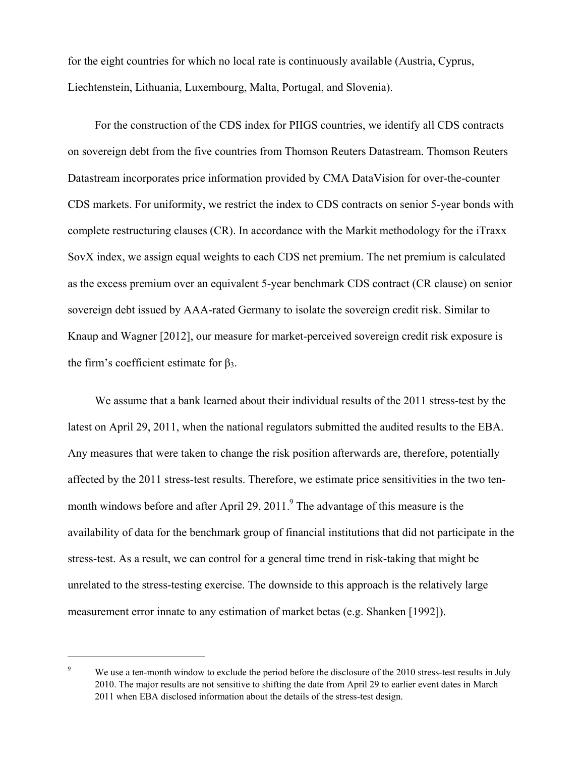for the eight countries for which no local rate is continuously available (Austria, Cyprus, Liechtenstein, Lithuania, Luxembourg, Malta, Portugal, and Slovenia).

For the construction of the CDS index for PIIGS countries, we identify all CDS contracts on sovereign debt from the five countries from Thomson Reuters Datastream. Thomson Reuters Datastream incorporates price information provided by CMA DataVision for over-the-counter CDS markets. For uniformity, we restrict the index to CDS contracts on senior 5-year bonds with complete restructuring clauses (CR). In accordance with the Markit methodology for the iTraxx SovX index, we assign equal weights to each CDS net premium. The net premium is calculated as the excess premium over an equivalent 5-year benchmark CDS contract (CR clause) on senior sovereign debt issued by AAA-rated Germany to isolate the sovereign credit risk. Similar to Knaup and Wagner [2012], our measure for market-perceived sovereign credit risk exposure is the firm's coefficient estimate for  $β_3$ .

We assume that a bank learned about their individual results of the 2011 stress-test by the latest on April 29, 2011, when the national regulators submitted the audited results to the EBA. Any measures that were taken to change the risk position afterwards are, therefore, potentially affected by the 2011 stress-test results. Therefore, we estimate price sensitivities in the two tenmonth windows before and after April 29, 2011.<sup>9</sup> The advantage of this measure is the availability of data for the benchmark group of financial institutions that did not participate in the stress-test. As a result, we can control for a general time trend in risk-taking that might be unrelated to the stress-testing exercise. The downside to this approach is the relatively large measurement error innate to any estimation of market betas (e.g. Shanken [1992]).

 $\overline{a}$ 

<sup>9</sup> We use a ten-month window to exclude the period before the disclosure of the 2010 stress-test results in July 2010. The major results are not sensitive to shifting the date from April 29 to earlier event dates in March 2011 when EBA disclosed information about the details of the stress-test design.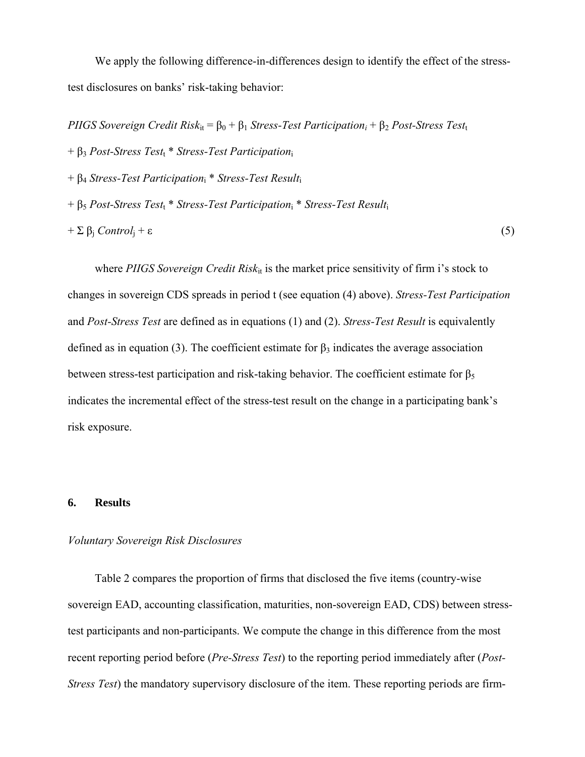We apply the following difference-in-differences design to identify the effect of the stresstest disclosures on banks' risk-taking behavior:

*PIIGS Sovereign Credit Risk*<sub>it</sub> =  $\beta_0 + \beta_1$  *Stress-Test Participation<sub>i</sub>* +  $\beta_2$  *Post-Stress Test*<sub>t</sub>

+ β<sup>3</sup> *Post-Stress Test*t \* *Stress-Test Participation*<sup>i</sup>

+ β<sup>4</sup> *Stress-Test Participation*i \* *Stress-Test Result*<sup>i</sup>

+ β<sup>5</sup> *Post-Stress Test*t \* *Stress-Test Participation*i \* *Stress-Test Result*<sup>i</sup>

 $+ \sum \beta_i \text{Control}_i + \varepsilon$  (5)

where *PIIGS Sovereign Credit Risk*<sub>it</sub> is the market price sensitivity of firm i's stock to changes in sovereign CDS spreads in period t (see equation (4) above). *Stress-Test Participation* and *Post-Stress Test* are defined as in equations (1) and (2). *Stress-Test Result* is equivalently defined as in equation (3). The coefficient estimate for  $\beta_3$  indicates the average association between stress-test participation and risk-taking behavior. The coefficient estimate for  $\beta_5$ indicates the incremental effect of the stress-test result on the change in a participating bank's risk exposure.

### **6. Results**

## *Voluntary Sovereign Risk Disclosures*

Table 2 compares the proportion of firms that disclosed the five items (country-wise sovereign EAD, accounting classification, maturities, non-sovereign EAD, CDS) between stresstest participants and non-participants. We compute the change in this difference from the most recent reporting period before (*Pre-Stress Test*) to the reporting period immediately after (*Post-Stress Test*) the mandatory supervisory disclosure of the item. These reporting periods are firm-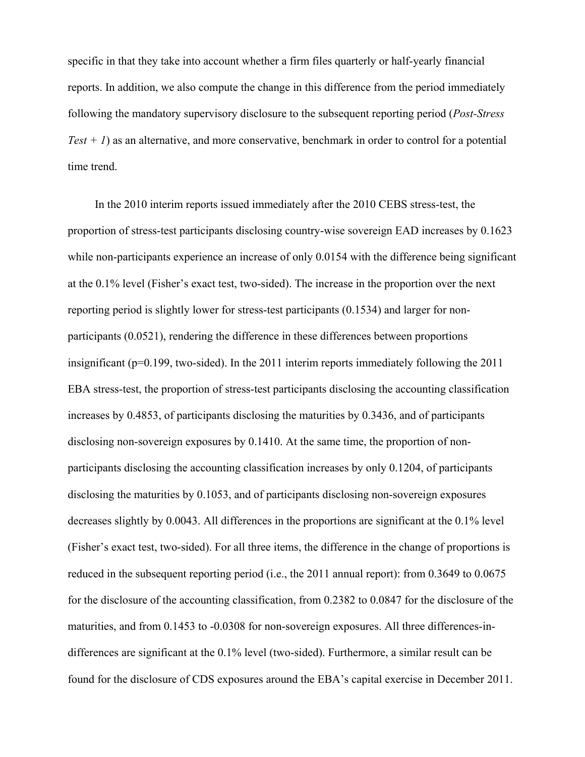specific in that they take into account whether a firm files quarterly or half-yearly financial reports. In addition, we also compute the change in this difference from the period immediately following the mandatory supervisory disclosure to the subsequent reporting period (*Post-Stress*   $Test + I$ ) as an alternative, and more conservative, benchmark in order to control for a potential time trend.

In the 2010 interim reports issued immediately after the 2010 CEBS stress-test, the proportion of stress-test participants disclosing country-wise sovereign EAD increases by 0.1623 while non-participants experience an increase of only 0.0154 with the difference being significant at the 0.1% level (Fisher's exact test, two-sided). The increase in the proportion over the next reporting period is slightly lower for stress-test participants (0.1534) and larger for nonparticipants (0.0521), rendering the difference in these differences between proportions insignificant (p=0.199, two-sided). In the 2011 interim reports immediately following the 2011 EBA stress-test, the proportion of stress-test participants disclosing the accounting classification increases by 0.4853, of participants disclosing the maturities by 0.3436, and of participants disclosing non-sovereign exposures by 0.1410. At the same time, the proportion of nonparticipants disclosing the accounting classification increases by only 0.1204, of participants disclosing the maturities by 0.1053, and of participants disclosing non-sovereign exposures decreases slightly by 0.0043. All differences in the proportions are significant at the 0.1% level (Fisher's exact test, two-sided). For all three items, the difference in the change of proportions is reduced in the subsequent reporting period (i.e., the 2011 annual report): from 0.3649 to 0.0675 for the disclosure of the accounting classification, from 0.2382 to 0.0847 for the disclosure of the maturities, and from 0.1453 to -0.0308 for non-sovereign exposures. All three differences-indifferences are significant at the 0.1% level (two-sided). Furthermore, a similar result can be found for the disclosure of CDS exposures around the EBA's capital exercise in December 2011.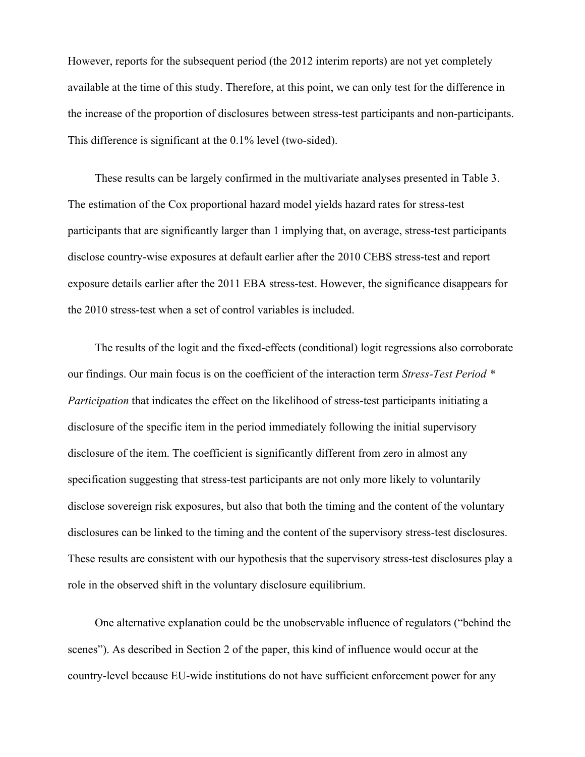However, reports for the subsequent period (the 2012 interim reports) are not yet completely available at the time of this study. Therefore, at this point, we can only test for the difference in the increase of the proportion of disclosures between stress-test participants and non-participants. This difference is significant at the 0.1% level (two-sided).

These results can be largely confirmed in the multivariate analyses presented in Table 3. The estimation of the Cox proportional hazard model yields hazard rates for stress-test participants that are significantly larger than 1 implying that, on average, stress-test participants disclose country-wise exposures at default earlier after the 2010 CEBS stress-test and report exposure details earlier after the 2011 EBA stress-test. However, the significance disappears for the 2010 stress-test when a set of control variables is included.

The results of the logit and the fixed-effects (conditional) logit regressions also corroborate our findings. Our main focus is on the coefficient of the interaction term *Stress-Test Period \* Participation* that indicates the effect on the likelihood of stress-test participants initiating a disclosure of the specific item in the period immediately following the initial supervisory disclosure of the item. The coefficient is significantly different from zero in almost any specification suggesting that stress-test participants are not only more likely to voluntarily disclose sovereign risk exposures, but also that both the timing and the content of the voluntary disclosures can be linked to the timing and the content of the supervisory stress-test disclosures. These results are consistent with our hypothesis that the supervisory stress-test disclosures play a role in the observed shift in the voluntary disclosure equilibrium.

One alternative explanation could be the unobservable influence of regulators ("behind the scenes"). As described in Section 2 of the paper, this kind of influence would occur at the country-level because EU-wide institutions do not have sufficient enforcement power for any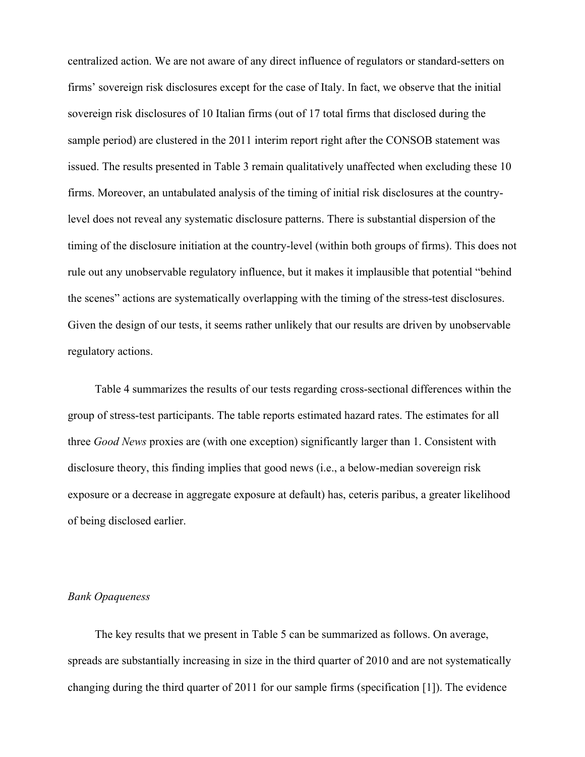centralized action. We are not aware of any direct influence of regulators or standard-setters on firms' sovereign risk disclosures except for the case of Italy. In fact, we observe that the initial sovereign risk disclosures of 10 Italian firms (out of 17 total firms that disclosed during the sample period) are clustered in the 2011 interim report right after the CONSOB statement was issued. The results presented in Table 3 remain qualitatively unaffected when excluding these 10 firms. Moreover, an untabulated analysis of the timing of initial risk disclosures at the countrylevel does not reveal any systematic disclosure patterns. There is substantial dispersion of the timing of the disclosure initiation at the country-level (within both groups of firms). This does not rule out any unobservable regulatory influence, but it makes it implausible that potential "behind the scenes" actions are systematically overlapping with the timing of the stress-test disclosures. Given the design of our tests, it seems rather unlikely that our results are driven by unobservable regulatory actions.

Table 4 summarizes the results of our tests regarding cross-sectional differences within the group of stress-test participants. The table reports estimated hazard rates. The estimates for all three *Good News* proxies are (with one exception) significantly larger than 1. Consistent with disclosure theory, this finding implies that good news (i.e., a below-median sovereign risk exposure or a decrease in aggregate exposure at default) has, ceteris paribus, a greater likelihood of being disclosed earlier.

# *Bank Opaqueness*

The key results that we present in Table 5 can be summarized as follows. On average, spreads are substantially increasing in size in the third quarter of 2010 and are not systematically changing during the third quarter of 2011 for our sample firms (specification [1]). The evidence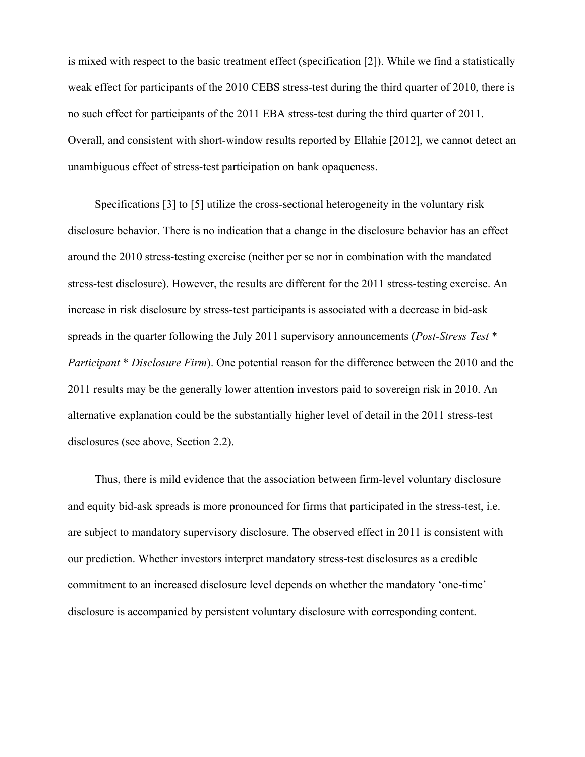is mixed with respect to the basic treatment effect (specification [2]). While we find a statistically weak effect for participants of the 2010 CEBS stress-test during the third quarter of 2010, there is no such effect for participants of the 2011 EBA stress-test during the third quarter of 2011. Overall, and consistent with short-window results reported by Ellahie [2012], we cannot detect an unambiguous effect of stress-test participation on bank opaqueness.

Specifications [3] to [5] utilize the cross-sectional heterogeneity in the voluntary risk disclosure behavior. There is no indication that a change in the disclosure behavior has an effect around the 2010 stress-testing exercise (neither per se nor in combination with the mandated stress-test disclosure). However, the results are different for the 2011 stress-testing exercise. An increase in risk disclosure by stress-test participants is associated with a decrease in bid-ask spreads in the quarter following the July 2011 supervisory announcements (*Post-Stress Test* \* *Participant* \* *Disclosure Firm*). One potential reason for the difference between the 2010 and the 2011 results may be the generally lower attention investors paid to sovereign risk in 2010. An alternative explanation could be the substantially higher level of detail in the 2011 stress-test disclosures (see above, Section 2.2).

Thus, there is mild evidence that the association between firm-level voluntary disclosure and equity bid-ask spreads is more pronounced for firms that participated in the stress-test, i.e. are subject to mandatory supervisory disclosure. The observed effect in 2011 is consistent with our prediction. Whether investors interpret mandatory stress-test disclosures as a credible commitment to an increased disclosure level depends on whether the mandatory 'one-time' disclosure is accompanied by persistent voluntary disclosure with corresponding content.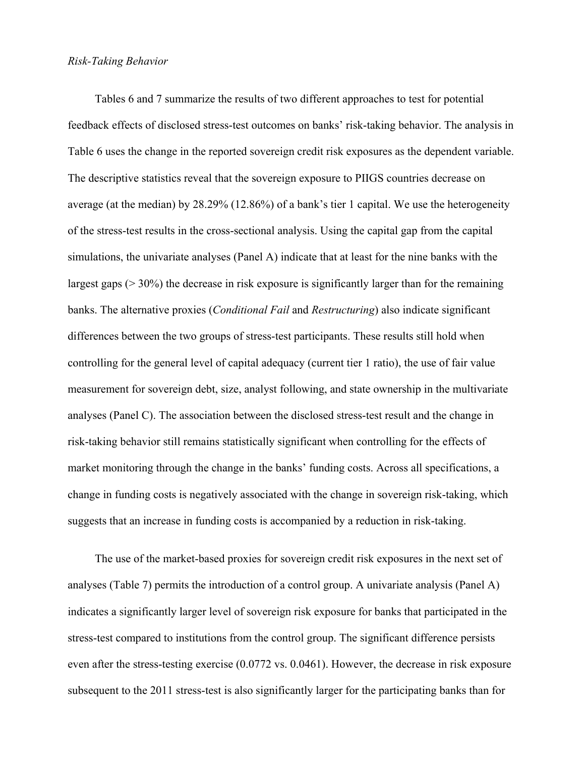Tables 6 and 7 summarize the results of two different approaches to test for potential feedback effects of disclosed stress-test outcomes on banks' risk-taking behavior. The analysis in Table 6 uses the change in the reported sovereign credit risk exposures as the dependent variable. The descriptive statistics reveal that the sovereign exposure to PIIGS countries decrease on average (at the median) by 28.29% (12.86%) of a bank's tier 1 capital. We use the heterogeneity of the stress-test results in the cross-sectional analysis. Using the capital gap from the capital simulations, the univariate analyses (Panel A) indicate that at least for the nine banks with the largest gaps (> 30%) the decrease in risk exposure is significantly larger than for the remaining banks. The alternative proxies (*Conditional Fail* and *Restructuring*) also indicate significant differences between the two groups of stress-test participants. These results still hold when controlling for the general level of capital adequacy (current tier 1 ratio), the use of fair value measurement for sovereign debt, size, analyst following, and state ownership in the multivariate analyses (Panel C). The association between the disclosed stress-test result and the change in risk-taking behavior still remains statistically significant when controlling for the effects of market monitoring through the change in the banks' funding costs. Across all specifications, a change in funding costs is negatively associated with the change in sovereign risk-taking, which suggests that an increase in funding costs is accompanied by a reduction in risk-taking.

The use of the market-based proxies for sovereign credit risk exposures in the next set of analyses (Table 7) permits the introduction of a control group. A univariate analysis (Panel A) indicates a significantly larger level of sovereign risk exposure for banks that participated in the stress-test compared to institutions from the control group. The significant difference persists even after the stress-testing exercise (0.0772 vs. 0.0461). However, the decrease in risk exposure subsequent to the 2011 stress-test is also significantly larger for the participating banks than for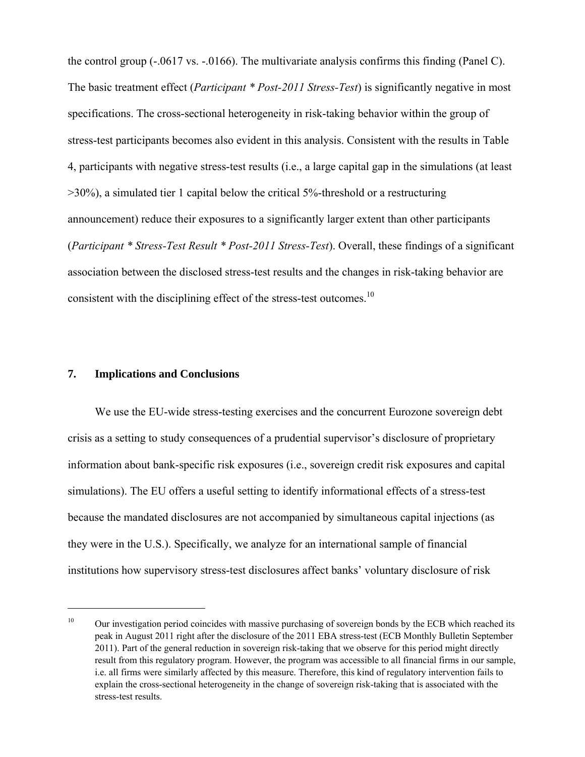the control group (-.0617 vs. -.0166). The multivariate analysis confirms this finding (Panel C). The basic treatment effect (*Participant \* Post-2011 Stress-Test*) is significantly negative in most specifications. The cross-sectional heterogeneity in risk-taking behavior within the group of stress-test participants becomes also evident in this analysis. Consistent with the results in Table 4, participants with negative stress-test results (i.e., a large capital gap in the simulations (at least  $>$ 30%), a simulated tier 1 capital below the critical 5%-threshold or a restructuring announcement) reduce their exposures to a significantly larger extent than other participants (*Participant \* Stress-Test Result \* Post-2011 Stress-Test*). Overall, these findings of a significant association between the disclosed stress-test results and the changes in risk-taking behavior are consistent with the disciplining effect of the stress-test outcomes.<sup>10</sup>

# **7. Implications and Conclusions**

 $\overline{a}$ 

We use the EU-wide stress-testing exercises and the concurrent Eurozone sovereign debt crisis as a setting to study consequences of a prudential supervisor's disclosure of proprietary information about bank-specific risk exposures (i.e., sovereign credit risk exposures and capital simulations). The EU offers a useful setting to identify informational effects of a stress-test because the mandated disclosures are not accompanied by simultaneous capital injections (as they were in the U.S.). Specifically, we analyze for an international sample of financial institutions how supervisory stress-test disclosures affect banks' voluntary disclosure of risk

<sup>&</sup>lt;sup>10</sup> Our investigation period coincides with massive purchasing of sovereign bonds by the ECB which reached its peak in August 2011 right after the disclosure of the 2011 EBA stress-test (ECB Monthly Bulletin September 2011). Part of the general reduction in sovereign risk-taking that we observe for this period might directly result from this regulatory program. However, the program was accessible to all financial firms in our sample, i.e. all firms were similarly affected by this measure. Therefore, this kind of regulatory intervention fails to explain the cross-sectional heterogeneity in the change of sovereign risk-taking that is associated with the stress-test results.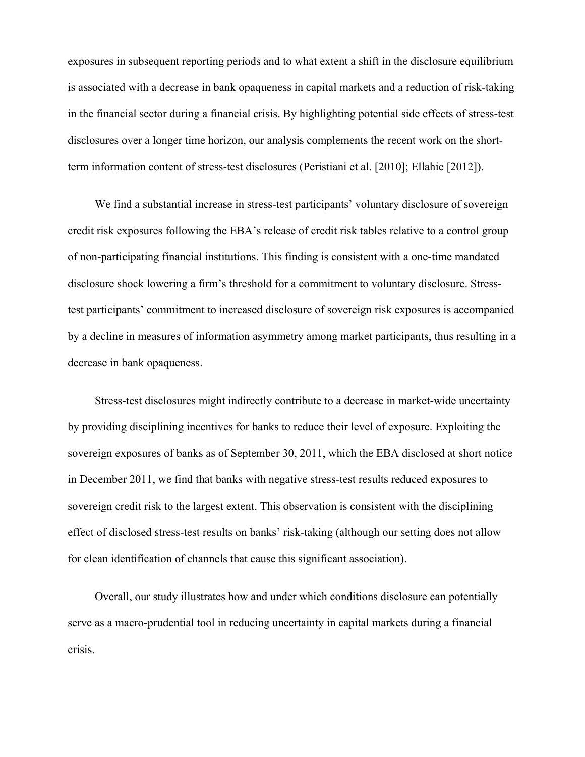exposures in subsequent reporting periods and to what extent a shift in the disclosure equilibrium is associated with a decrease in bank opaqueness in capital markets and a reduction of risk-taking in the financial sector during a financial crisis. By highlighting potential side effects of stress-test disclosures over a longer time horizon, our analysis complements the recent work on the shortterm information content of stress-test disclosures (Peristiani et al. [2010]; Ellahie [2012]).

We find a substantial increase in stress-test participants' voluntary disclosure of sovereign credit risk exposures following the EBA's release of credit risk tables relative to a control group of non-participating financial institutions. This finding is consistent with a one-time mandated disclosure shock lowering a firm's threshold for a commitment to voluntary disclosure. Stresstest participants' commitment to increased disclosure of sovereign risk exposures is accompanied by a decline in measures of information asymmetry among market participants, thus resulting in a decrease in bank opaqueness.

Stress-test disclosures might indirectly contribute to a decrease in market-wide uncertainty by providing disciplining incentives for banks to reduce their level of exposure. Exploiting the sovereign exposures of banks as of September 30, 2011, which the EBA disclosed at short notice in December 2011, we find that banks with negative stress-test results reduced exposures to sovereign credit risk to the largest extent. This observation is consistent with the disciplining effect of disclosed stress-test results on banks' risk-taking (although our setting does not allow for clean identification of channels that cause this significant association).

Overall, our study illustrates how and under which conditions disclosure can potentially serve as a macro-prudential tool in reducing uncertainty in capital markets during a financial crisis.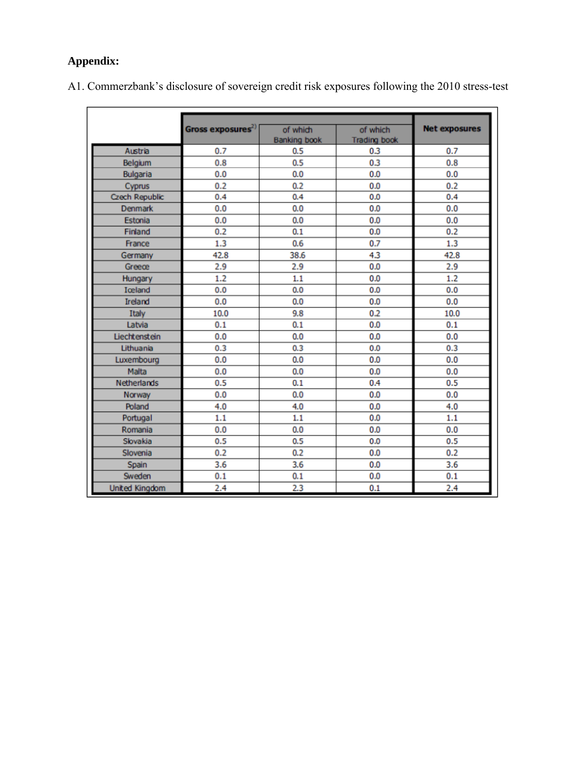# **Appendix:**

| A1. Commerzbank's disclosure of sovereign credit risk exposures following the 2010 stress-test |  |  |  |  |
|------------------------------------------------------------------------------------------------|--|--|--|--|
|------------------------------------------------------------------------------------------------|--|--|--|--|

|                       | Gross exposures <sup>2)</sup> | of which            | of which            | <b>Net exposures</b> |
|-----------------------|-------------------------------|---------------------|---------------------|----------------------|
|                       |                               | <b>Banking book</b> | <b>Trading book</b> |                      |
| Austria               | 0.7                           | 0.5                 | 0.3                 | 0.7                  |
| Belgium               | 0.8                           | 0.5                 | 0.3                 | 0.8                  |
| <b>Bulgaria</b>       | 0.0                           | 0.0                 | 0.0                 | 0.0                  |
| Cyprus                | 0.2                           | 0.2                 | 0.0                 | 0.2                  |
| Czech Republic        | 0.4                           | 0.4                 | 0.0                 | 0.4                  |
| Denmark               | 0.0                           | 0.0                 | 0.0                 | 0.0                  |
| Estonia               | 0.0                           | 0.0                 | 0.0                 | 0.0                  |
| Finland               | 0.2                           | 0.1                 | 0.0                 | 0.2                  |
| France                | 1.3                           | 0.6                 | 0.7                 | 1.3                  |
| Germany               | 42.8                          | 38.6                | 4.3                 | 42.8                 |
| Greece                | 2.9                           | 2.9                 | 0.0                 | 2.9                  |
| Hungary               | 1.2                           | 1.1                 | 0.0                 | 1.2                  |
| Iceland               | 0.0                           | 0.0                 | 0.0                 | 0.0                  |
| <b>Ireland</b>        | 0.0                           | 0.0                 | 0.0                 | 0.0                  |
| Italy                 | 10.0                          | 9.8                 | 0.2                 | 10.0                 |
| Latvia                | 0.1                           | 0.1                 | 0.0                 | 0.1                  |
| Liechtenstein         | 0.0                           | 0.0                 | 0.0                 | 0.0                  |
| Lithuania             | 0.3                           | 0.3                 | 0.0                 | 0.3                  |
| Luxembourg            | 0.0                           | 0.0                 | 0.0                 | 0.0                  |
| Malta                 | 0.0                           | 0.0                 | 0.0                 | 0.0                  |
| Netherlands           | 0.5                           | 0.1                 | 0.4                 | 0.5                  |
| Norway                | 0.0                           | 0.0                 | 0.0                 | 0.0                  |
| Poland                | 4.0                           | 4.0                 | 0.0                 | 4.0                  |
| Portugal              | 1.1                           | 1.1                 | 0.0                 | 1.1                  |
| Romania               | 0.0                           | 0.0                 | 0.0                 | 0.0                  |
| Slovakia              | 0.5                           | 0.5                 | 0.0                 | 0.5                  |
| Slovenia              | 0.2                           | 0.2                 | 0.0                 | 0.2                  |
| Spain                 | 3.6                           | 3.6                 | 0.0                 | 3.6                  |
| Sweden                | 0.1                           | 0.1                 | 0.0                 | 0.1                  |
| <b>United Kingdom</b> | 2.4                           | 2.3                 | 0.1                 | 2.4                  |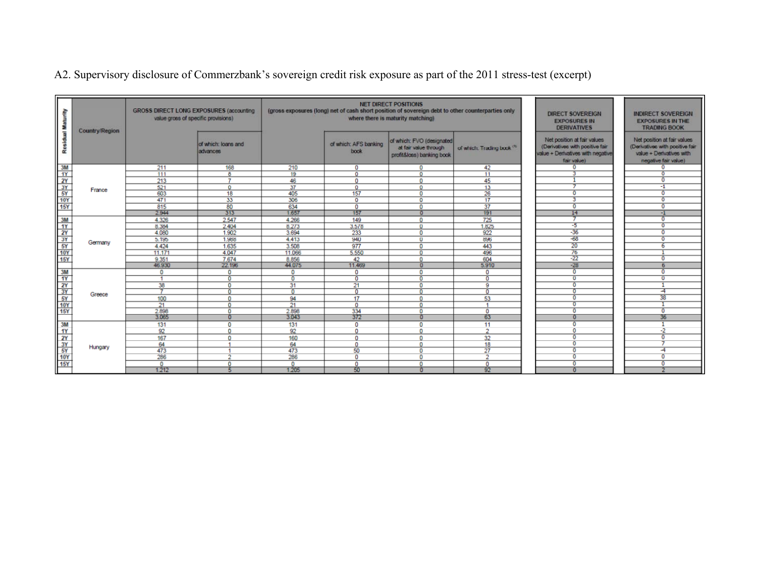A2. Supervisory disclosure of Commerzbank's sovereign credit risk exposure as part of the 2011 stress-test (excerpt)

| €                                                                                                                                                                                    | Country/Region | <b>GROSS DIRECT LONG EXPOSURES (accounting)</b><br>value gross of specific provisions) |                                  |              |                               | <b>NET DIRECT POSITIONS</b><br>(gross exposures (long) net of cash short position of sovereign debt to other counterparties only<br>where there is maturity matching) |                                       | <b>DIRECT SOVEREIGN</b><br><b>EXPOSURES IN</b><br><b>DERIVATIVES</b>                                               | <b>INDIRECT SOVEREIGN</b><br><b>EXPOSURES IN THE</b><br><b>TRADING BOOK</b>                                        |
|--------------------------------------------------------------------------------------------------------------------------------------------------------------------------------------|----------------|----------------------------------------------------------------------------------------|----------------------------------|--------------|-------------------------------|-----------------------------------------------------------------------------------------------------------------------------------------------------------------------|---------------------------------------|--------------------------------------------------------------------------------------------------------------------|--------------------------------------------------------------------------------------------------------------------|
| å                                                                                                                                                                                    |                |                                                                                        | of which: loans and<br>ladvances |              | of which: AFS banking<br>book | of which: FVO (designated<br>at fair value through<br>profit&loss) banking book                                                                                       | of which: Trading book <sup>(3)</sup> | Net position at fair values<br>(Derivatives with positive fair<br>value + Derivatives with negative<br>fair value) | Net position at fair values<br>(Derivatives with positive fair<br>value + Derivatives with<br>negative fair value) |
| 3M                                                                                                                                                                                   |                | 211                                                                                    | 168                              | 210          | o                             | o                                                                                                                                                                     | 42                                    |                                                                                                                    |                                                                                                                    |
| $\frac{11}{10}$ $\frac{1}{10}$ $\frac{1}{10}$ $\frac{1}{10}$ $\frac{1}{10}$ $\frac{1}{10}$ $\frac{1}{10}$ $\frac{1}{10}$ $\frac{1}{10}$ $\frac{1}{10}$ $\frac{1}{10}$ $\frac{1}{10}$ |                | 111                                                                                    | 8                                | 19           | $\Omega$                      | $\Omega$                                                                                                                                                              | 11                                    |                                                                                                                    |                                                                                                                    |
|                                                                                                                                                                                      |                | 213                                                                                    | 7                                | 46           | 0                             | $\Omega$                                                                                                                                                              | 45                                    |                                                                                                                    | $\Omega$                                                                                                           |
|                                                                                                                                                                                      | France         | 521                                                                                    | $\Omega$                         | 37           | $\Omega$                      | $\Omega$                                                                                                                                                              | 13                                    |                                                                                                                    | $-1$                                                                                                               |
| 5Y                                                                                                                                                                                   |                | 603                                                                                    | 18                               | 405          | 157                           | 0                                                                                                                                                                     | 26                                    | $\mathbf{0}$                                                                                                       | 0                                                                                                                  |
| 10Y                                                                                                                                                                                  |                | 471                                                                                    | 33                               | 306          | 0                             | 0                                                                                                                                                                     | 17                                    | 3                                                                                                                  | $\circ$                                                                                                            |
| 15Y                                                                                                                                                                                  |                | 815                                                                                    | 80                               | 634          | $\mathbf 0$                   | $\Omega$                                                                                                                                                              | 37                                    | $\overline{0}$                                                                                                     | 0                                                                                                                  |
|                                                                                                                                                                                      |                | 2.944                                                                                  | 313                              | 1.657        | 157                           | ō                                                                                                                                                                     | 191                                   | 14                                                                                                                 | -1                                                                                                                 |
| $\frac{3M}{1Y}$                                                                                                                                                                      |                | 4.326                                                                                  | 2.547                            | 4.266        | 149                           | $\Omega$                                                                                                                                                              | 725                                   |                                                                                                                    | $\Omega$                                                                                                           |
|                                                                                                                                                                                      |                | 8.384                                                                                  | 2.404                            | 8.273        | 3.578                         | 0                                                                                                                                                                     | 1.825                                 | -5                                                                                                                 | $\Omega$                                                                                                           |
|                                                                                                                                                                                      |                | 4.080                                                                                  | 1.902                            | 3.694        | 233                           | 0                                                                                                                                                                     | 922                                   | $-36$                                                                                                              | $\mathbf{0}$                                                                                                       |
| 3Y                                                                                                                                                                                   | Germany        | 5.195                                                                                  | 1.988                            | 4.413        | 940                           | 0                                                                                                                                                                     | 896                                   | $-68$                                                                                                              | $\overline{0}$                                                                                                     |
| 5Y                                                                                                                                                                                   |                | 4.424                                                                                  | 1.635                            | 3.508        | 977                           | 0                                                                                                                                                                     | 443                                   | 20                                                                                                                 | 6                                                                                                                  |
| $\frac{10Y}{15Y}$                                                                                                                                                                    |                | 11.171                                                                                 | 4.047                            | 11.066       | 5,550                         | $\Omega$                                                                                                                                                              | 496                                   | 76                                                                                                                 |                                                                                                                    |
|                                                                                                                                                                                      |                | 9.351                                                                                  | 7.674                            | 8.856        | 42                            | $\Omega$                                                                                                                                                              | 604                                   | $-22$                                                                                                              | $\Omega$                                                                                                           |
|                                                                                                                                                                                      |                | 46.930                                                                                 | 22.196                           | 44.075       | 11.469                        | $\Omega$                                                                                                                                                              | 5.910                                 | $-28$                                                                                                              |                                                                                                                    |
| 3M                                                                                                                                                                                   |                | 0                                                                                      | $\circ$                          | $\mathbf{O}$ | $\Omega$                      | 0                                                                                                                                                                     | $\Omega$                              | $\Omega$                                                                                                           | o                                                                                                                  |
| 1Y                                                                                                                                                                                   |                |                                                                                        | o                                | o            | $\overline{0}$                | 0                                                                                                                                                                     | $\Omega$                              | $\mathbf{0}$                                                                                                       | $\bf{0}$                                                                                                           |
|                                                                                                                                                                                      |                | 38                                                                                     | 0                                | 31           | 21                            | 0                                                                                                                                                                     | 9                                     | 0                                                                                                                  |                                                                                                                    |
|                                                                                                                                                                                      | Greece         |                                                                                        | n                                | $\Omega$     | $\Omega$                      |                                                                                                                                                                       |                                       |                                                                                                                    | ᅿ                                                                                                                  |
| 효과 의적                                                                                                                                                                                |                | 100                                                                                    | $\Omega$                         | 94           | 17                            | n                                                                                                                                                                     | 53                                    | $\Omega$                                                                                                           | 38                                                                                                                 |
|                                                                                                                                                                                      |                | 21                                                                                     | $\Omega$                         | 21           | $\mathbf{0}$                  | $\Omega$                                                                                                                                                              |                                       | $\circ$                                                                                                            |                                                                                                                    |
|                                                                                                                                                                                      |                | 2.898                                                                                  | $\circ$                          | 2.898        | 334                           | 0                                                                                                                                                                     | o                                     | $\Omega$                                                                                                           | 0                                                                                                                  |
|                                                                                                                                                                                      |                | 3.065                                                                                  |                                  | 3.043        | 372                           | n                                                                                                                                                                     | 63                                    | O                                                                                                                  | 36                                                                                                                 |
| 3M                                                                                                                                                                                   |                | 131                                                                                    | $\mathbf{0}$                     | 131          | 0                             | 0                                                                                                                                                                     | 11                                    | n                                                                                                                  |                                                                                                                    |
|                                                                                                                                                                                      |                | 92                                                                                     | o                                | 92           | $\Omega$                      | 0                                                                                                                                                                     | $\sim$                                | $\Omega$                                                                                                           | -2                                                                                                                 |
| $\frac{17}{10}$                                                                                                                                                                      |                | 167                                                                                    | $\Gamma$                         | 160          | 0                             | $\Omega$                                                                                                                                                              | 32                                    | 0                                                                                                                  | 0                                                                                                                  |
|                                                                                                                                                                                      | Hungary        | 64                                                                                     |                                  | 64           | $\Omega$                      | $\Omega$                                                                                                                                                              | 18                                    | n                                                                                                                  |                                                                                                                    |
|                                                                                                                                                                                      |                | 473                                                                                    |                                  | 473          | 50                            | 0                                                                                                                                                                     | 27                                    | o                                                                                                                  | -4                                                                                                                 |
|                                                                                                                                                                                      |                | 286                                                                                    | n                                | 286          | $\Omega$                      | 0                                                                                                                                                                     | $\mathcal{L}$                         | o                                                                                                                  | n                                                                                                                  |
| <b>15Y</b>                                                                                                                                                                           |                | $\mathbf{0}$                                                                           | $\Omega$                         | $\Omega$     | $\Omega$                      | O                                                                                                                                                                     | 0                                     | $\Omega$                                                                                                           | $\Omega$                                                                                                           |
|                                                                                                                                                                                      |                | 1.212                                                                                  |                                  | 1.205        | 50                            | n                                                                                                                                                                     | 92                                    | n                                                                                                                  |                                                                                                                    |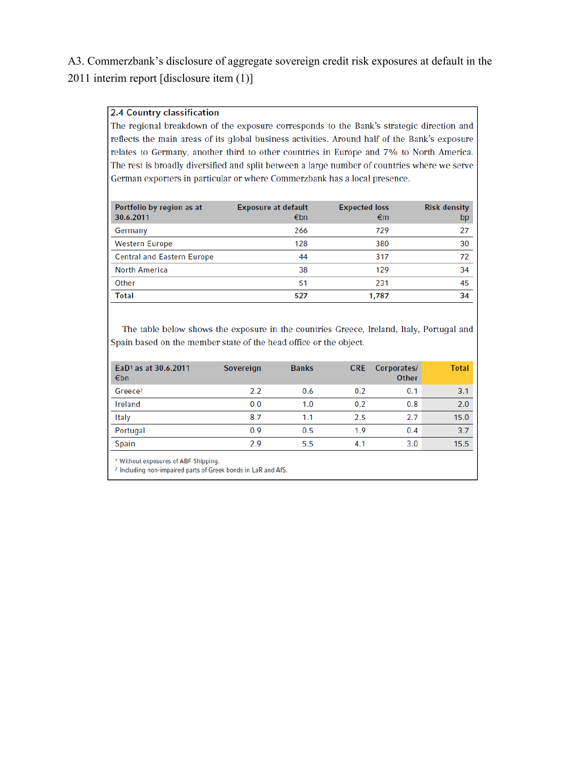# A3. Commerzbank's disclosure of aggregate sovereign credit risk exposures at default in the 2011 interim report [disclosure item (1)]

### **2.4 Country classification**

The regional breakdown of the exposure corresponds to the Bank's strategic direction and reflects the main areas of its global business activities. Around half of the Bank's exposure relates to Germany, another third to other countries in Europe and 7% to North America. The rest is broadly diversified and split between a large number of countries where we serve German exporters in particular or where Commerzbank has a local presence.

| Portfolio by region as at<br>30.6.2011 | <b>Exposure at default</b><br>€bn | <b>Expected loss</b><br>€m | <b>Risk density</b><br>bp |
|----------------------------------------|-----------------------------------|----------------------------|---------------------------|
| Germany                                | 266                               | 729                        | 27                        |
| <b>Western Europe</b>                  | 128                               | 380                        | 30                        |
| <b>Central and Eastern Europe</b>      | 44                                | 317                        | 72                        |
| North America                          | 38                                | 129                        | 34                        |
| Other                                  | 51                                | 231                        | 45                        |
| <b>Total</b>                           | 527                               | 1,787                      | 34                        |

The table below shows the exposure in the countries Greece, Ireland, Italy, Portugal and Spain based on the member state of the head office or the object.

| EaD <sup>1</sup> as at 30.6.2011<br>€bn | Sovereign | <b>Banks</b> | <b>CRE</b> | Corporates/<br><b>Other</b> | <b>Total</b> |
|-----------------------------------------|-----------|--------------|------------|-----------------------------|--------------|
| Greece <sup>2</sup>                     | 2.2       | 0.6          | 0.2        | 0.1                         | 3.1          |
| Ireland                                 | 0.0       | 1.0          | 0.2        | 0.8                         | 2.0          |
| Italy                                   | 8.7       | 1.1          | 2.5        | 2.7                         | 15.0         |
| Portugal                                | 0.9       | 0.5          | 1.9        | 0.4                         | 3.7          |
| Spain                                   | 2.9       | 5.5          | 4.1        | 3.0                         | 15.5         |

<sup>1</sup> Without exposures of ABF Shipping.

<sup>2</sup> Including non-impaired parts of Greek bonds in LaR and AfS.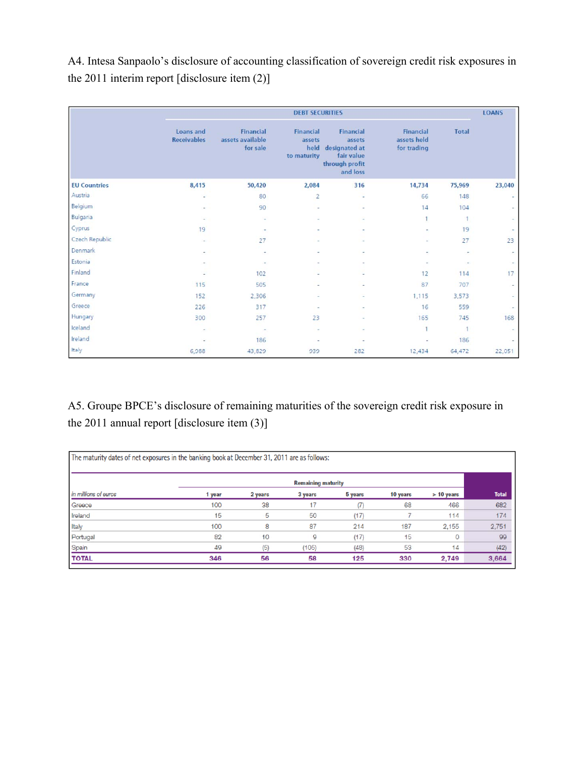A4. Intesa Sanpaolo's disclosure of accounting classification of sovereign credit risk exposures in the 2011 interim report [disclosure item (2)]

|                     |                                 |                                                  | <b>DEBT SECURITIES</b>                     |                                                                                  |                                                |                          | <b>LOANS</b> |
|---------------------|---------------------------------|--------------------------------------------------|--------------------------------------------|----------------------------------------------------------------------------------|------------------------------------------------|--------------------------|--------------|
|                     | Loans and<br><b>Receivables</b> | <b>Financial</b><br>assets available<br>for sale | Financial<br>assets<br>held<br>to maturity | Financial<br>assets<br>designated at<br>fair value<br>through profit<br>and loss | <b>Financial</b><br>assets held<br>for trading | <b>Total</b>             |              |
| <b>EU Countries</b> | 8,415                           | 50,420                                           | 2,084                                      | 316                                                                              | 14,734                                         | 75,969                   | 23,040       |
| Austria             | ÷                               | 80                                               | $\overline{2}$                             | ٠                                                                                | 66                                             | 148                      | z            |
| Belgium             |                                 | 90                                               | $\overline{\phantom{a}}$                   | $\overline{\phantom{a}}$                                                         | 14                                             | 104                      | $\sim$ :     |
| Bulgaria            | ÷                               | ×                                                |                                            |                                                                                  | 1                                              | 1                        | $\sim$       |
| Cyprus              | 19                              | $\overline{\phantom{a}}$                         |                                            |                                                                                  |                                                | 19                       | ÷            |
| Czech Republic      | $\sim$                          | 27                                               |                                            |                                                                                  | ×                                              | 27                       | 23           |
| Denmark             |                                 | ۰                                                |                                            |                                                                                  |                                                | $\overline{\phantom{a}}$ | $\sim$       |
| Estonia             |                                 | ٠                                                |                                            |                                                                                  |                                                |                          | $\sim$ .     |
| Finland             | ۰                               | 102                                              |                                            |                                                                                  | 12                                             | 114                      | 17           |
| France              | 115                             | 505                                              |                                            |                                                                                  | 87                                             | 707                      | $\sim$       |
| Germany             | 152                             | 2,306                                            | $\overline{\phantom{a}}$                   |                                                                                  | 1,115                                          | 3,573                    | $\sim$       |
| Greece              | 226                             | 317                                              | $\sim$                                     |                                                                                  | 16                                             | 559                      | $\sim$       |
| Hungary             | 300                             | 257                                              | 23                                         |                                                                                  | 165                                            | 745                      | 168          |
| Iceland             | $\overline{\phantom{a}}$        | $\overline{\phantom{a}}$                         | $\overline{\phantom{a}}$                   |                                                                                  |                                                | 3                        | $\sim$       |
| Ireland             |                                 | 186                                              |                                            |                                                                                  |                                                | 186                      | $\sim$       |
| Italy               | 6,988                           | 43,829                                           | 939                                        | 282                                                                              | 12,434                                         | 64,472                   | 22,051       |

A5. Groupe BPCE's disclosure of remaining maturities of the sovereign credit risk exposure in the 2011 annual report [disclosure item (3)]

| The maturity dates of net exposures in the banking book at December 31, 2011 are as follows: |        |         |                           |         |          |              |              |
|----------------------------------------------------------------------------------------------|--------|---------|---------------------------|---------|----------|--------------|--------------|
|                                                                                              |        |         | <b>Remaining maturity</b> |         |          |              |              |
| in millions of euros                                                                         | 1 year | 2 years | 3 years                   | 5 years | 10 years | > 10 years   | <b>Total</b> |
| Greece                                                                                       | 100    | 38      | 17                        |         | 68       | 466          | 682          |
| Ireland                                                                                      | 15     | 5       | 50                        | (17)    |          | 114          | 174          |
| Italy                                                                                        | 100    | 8       | 87                        | 214     | 187      | 2.155        | 2,751        |
| Portugal                                                                                     | 82     | 10      | 9                         | (17)    | 15       | $\mathbf{0}$ | 99           |
| Spain                                                                                        | 49     | (5)     | (105)                     | (48)    | 53       | 14           | (42)         |
| <b>TOTAL</b>                                                                                 | 346    | 56      | 58                        | 125     | 330      | 2,749        | 3,664        |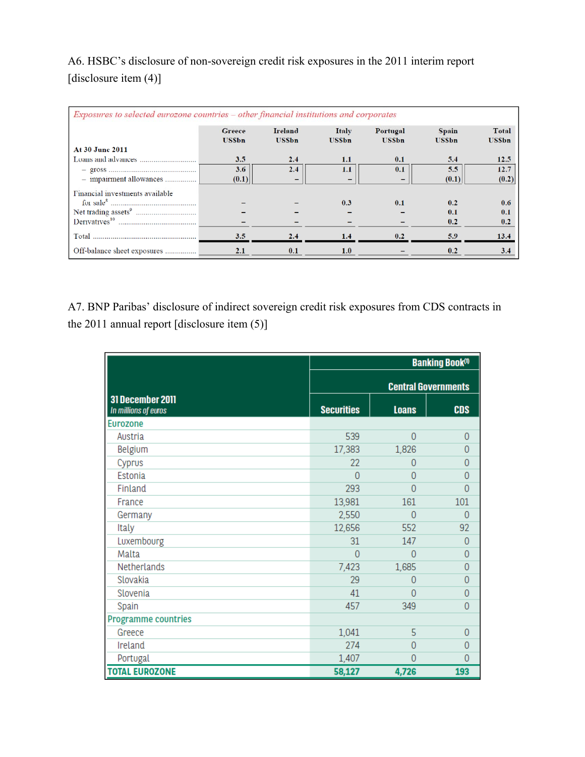A6. HSBC's disclosure of non-sovereign credit risk exposures in the 2011 interim report [disclosure item (4)]

| Exposures to selected eurozone countries – other financial institutions and corporates |                        |                                |                       |                          |                              |                       |  |  |  |  |  |
|----------------------------------------------------------------------------------------|------------------------|--------------------------------|-----------------------|--------------------------|------------------------------|-----------------------|--|--|--|--|--|
|                                                                                        | Greece<br><b>USSbn</b> | <b>Ireland</b><br><b>USSbn</b> | Italy<br><b>USSbn</b> | Portugal<br><b>USSbn</b> | <b>Spain</b><br><b>USSbn</b> | Total<br><b>USSbn</b> |  |  |  |  |  |
| At 30 June 2011                                                                        |                        |                                |                       |                          |                              |                       |  |  |  |  |  |
|                                                                                        | 3.5                    | 2.4                            | 1.1                   | 0.1                      | 5.4                          | 12.5                  |  |  |  |  |  |
|                                                                                        | 3.6                    | 2.4                            | $1.1\,$               | 0.1                      | 5.5                          | 12.7                  |  |  |  |  |  |
| - impairment allowances                                                                | (0.1)                  | -                              |                       |                          | (0.1)                        | (0.2)                 |  |  |  |  |  |
| Financial investments available                                                        |                        |                                |                       |                          |                              |                       |  |  |  |  |  |
|                                                                                        |                        |                                | 0.3                   | 0.1                      | 0.2                          | 0.6                   |  |  |  |  |  |
|                                                                                        |                        |                                |                       |                          | 0.1                          | 0.1                   |  |  |  |  |  |
|                                                                                        |                        |                                |                       |                          | 0.2                          | 0.2                   |  |  |  |  |  |
| Total                                                                                  | 3.5                    | 2.4                            | 1.4                   | 0.2                      | 5.9                          | 13.4                  |  |  |  |  |  |
| Off-balance sheet exposures                                                            | 2.1                    | 0.1                            | 1.0                   |                          | 0.2                          | 3.4                   |  |  |  |  |  |

A7. BNP Paribas' disclosure of indirect sovereign credit risk exposures from CDS contracts in the 2011 annual report [disclosure item (5)]

|                                          | <b>Banking Book®</b> |              |                            |  |  |  |
|------------------------------------------|----------------------|--------------|----------------------------|--|--|--|
|                                          |                      |              | <b>Central Governments</b> |  |  |  |
| 31 December 2011<br>In millions of euros | <b>Securities</b>    | <b>Loans</b> | <b>CDS</b>                 |  |  |  |
| <b>Eurozone</b>                          |                      |              |                            |  |  |  |
| Austria                                  | 539                  | $\Omega$     | 0                          |  |  |  |
| Belgium                                  | 17,383               | 1,826        | 0                          |  |  |  |
| Cyprus                                   | 22                   | 0            | Ω                          |  |  |  |
| Estonia                                  | O                    | $\Omega$     | Λ                          |  |  |  |
| Finland                                  | 293                  | 0            | ∩                          |  |  |  |
| France                                   | 13,981               | 161          | 101                        |  |  |  |
| Germany                                  | 2,550                | $\Omega$     | $\Omega$                   |  |  |  |
| Italy                                    | 12,656               | 552          | 92                         |  |  |  |
| Luxembourg                               | 31                   | 147          | 0                          |  |  |  |
| Malta                                    | 0                    | $\Omega$     | 0                          |  |  |  |
| Netherlands                              | 7,423                | 1,685        | 0                          |  |  |  |
| Slovakia                                 | 29                   | 0            | 0                          |  |  |  |
| Slovenia                                 | 41                   | O            | 0                          |  |  |  |
| Spain                                    | 457                  | 349          | 0                          |  |  |  |
| <b>Programme countries</b>               |                      |              |                            |  |  |  |
| Greece                                   | 1,041                | 5            | 0                          |  |  |  |
| Ireland                                  | 274                  | 0            | 0                          |  |  |  |
| Portugal                                 | 1,407                | $\Omega$     | 0                          |  |  |  |
| <b>TOTAL EUROZONE</b>                    | 58,127               | 4,726        | 193                        |  |  |  |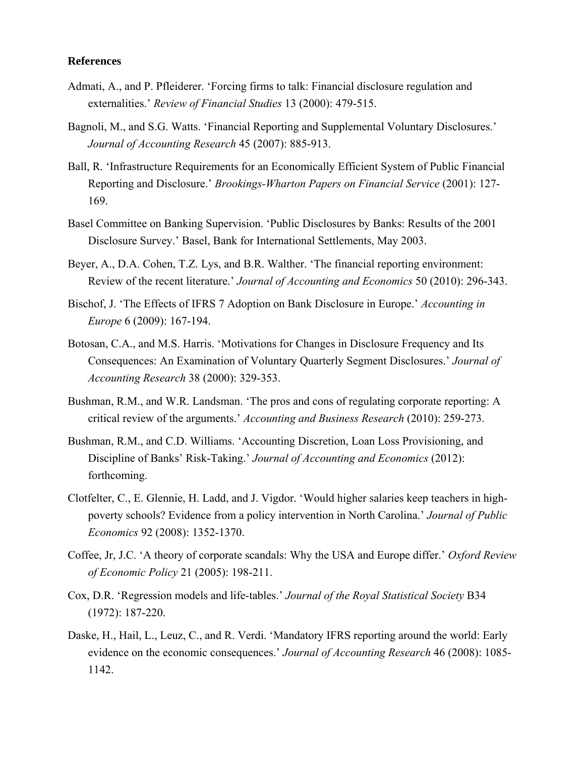### **References**

- Admati, A., and P. Pfleiderer. 'Forcing firms to talk: Financial disclosure regulation and externalities.' *Review of Financial Studies* 13 (2000): 479-515.
- Bagnoli, M., and S.G. Watts. 'Financial Reporting and Supplemental Voluntary Disclosures.' *Journal of Accounting Research* 45 (2007): 885-913.
- Ball, R. 'Infrastructure Requirements for an Economically Efficient System of Public Financial Reporting and Disclosure.' *Brookings-Wharton Papers on Financial Service* (2001): 127- 169.
- Basel Committee on Banking Supervision. 'Public Disclosures by Banks: Results of the 2001 Disclosure Survey.' Basel, Bank for International Settlements, May 2003.
- Beyer, A., D.A. Cohen, T.Z. Lys, and B.R. Walther. 'The financial reporting environment: Review of the recent literature.' *Journal of Accounting and Economics* 50 (2010): 296-343.
- Bischof, J. 'The Effects of IFRS 7 Adoption on Bank Disclosure in Europe.' *Accounting in Europe* 6 (2009): 167-194.
- Botosan, C.A., and M.S. Harris. 'Motivations for Changes in Disclosure Frequency and Its Consequences: An Examination of Voluntary Quarterly Segment Disclosures.' *Journal of Accounting Research* 38 (2000): 329-353.
- Bushman, R.M., and W.R. Landsman. 'The pros and cons of regulating corporate reporting: A critical review of the arguments.' *Accounting and Business Research* (2010): 259-273.
- Bushman, R.M., and C.D. Williams. 'Accounting Discretion, Loan Loss Provisioning, and Discipline of Banks' Risk-Taking.' *Journal of Accounting and Economics* (2012): forthcoming.
- Clotfelter, C., E. Glennie, H. Ladd, and J. Vigdor. 'Would higher salaries keep teachers in highpoverty schools? Evidence from a policy intervention in North Carolina.' *Journal of Public Economics* 92 (2008): 1352-1370.
- Coffee, Jr, J.C. 'A theory of corporate scandals: Why the USA and Europe differ.' *Oxford Review of Economic Policy* 21 (2005): 198-211.
- Cox, D.R. 'Regression models and life-tables.' *Journal of the Royal Statistical Society* B34 (1972): 187-220.
- Daske, H., Hail, L., Leuz, C., and R. Verdi. 'Mandatory IFRS reporting around the world: Early evidence on the economic consequences.' *Journal of Accounting Research* 46 (2008): 1085- 1142.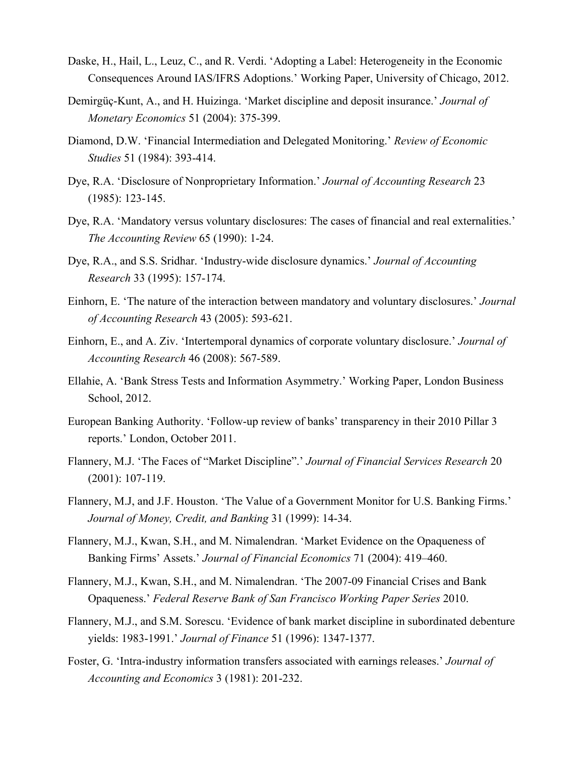- Daske, H., Hail, L., Leuz, C., and R. Verdi. 'Adopting a Label: Heterogeneity in the Economic Consequences Around IAS/IFRS Adoptions.' Working Paper, University of Chicago, 2012.
- Demirgüç-Kunt, A., and H. Huizinga. 'Market discipline and deposit insurance.' *Journal of Monetary Economics* 51 (2004): 375-399.
- Diamond, D.W. 'Financial Intermediation and Delegated Monitoring.' *Review of Economic Studies* 51 (1984): 393-414.
- Dye, R.A. 'Disclosure of Nonproprietary Information.' *Journal of Accounting Research* 23 (1985): 123-145.
- Dye, R.A. 'Mandatory versus voluntary disclosures: The cases of financial and real externalities.' *The Accounting Review* 65 (1990): 1-24.
- Dye, R.A., and S.S. Sridhar. 'Industry-wide disclosure dynamics.' *Journal of Accounting Research* 33 (1995): 157-174.
- Einhorn, E. 'The nature of the interaction between mandatory and voluntary disclosures.' *Journal of Accounting Research* 43 (2005): 593-621.
- Einhorn, E., and A. Ziv. 'Intertemporal dynamics of corporate voluntary disclosure.' *Journal of Accounting Research* 46 (2008): 567-589.
- Ellahie, A. 'Bank Stress Tests and Information Asymmetry.' Working Paper, London Business School, 2012.
- European Banking Authority. 'Follow-up review of banks' transparency in their 2010 Pillar 3 reports.' London, October 2011.
- Flannery, M.J. 'The Faces of "Market Discipline".' *Journal of Financial Services Research* 20 (2001): 107-119.
- Flannery, M.J, and J.F. Houston. 'The Value of a Government Monitor for U.S. Banking Firms.' *Journal of Money, Credit, and Banking* 31 (1999): 14-34.
- Flannery, M.J., Kwan, S.H., and M. Nimalendran. 'Market Evidence on the Opaqueness of Banking Firms' Assets.' *Journal of Financial Economics* 71 (2004): 419–460.
- Flannery, M.J., Kwan, S.H., and M. Nimalendran. 'The 2007-09 Financial Crises and Bank Opaqueness.' *Federal Reserve Bank of San Francisco Working Paper Series* 2010.
- Flannery, M.J., and S.M. Sorescu. 'Evidence of bank market discipline in subordinated debenture yields: 1983-1991.' *Journal of Finance* 51 (1996): 1347-1377.
- Foster, G. 'Intra-industry information transfers associated with earnings releases.' *Journal of Accounting and Economics* 3 (1981): 201-232.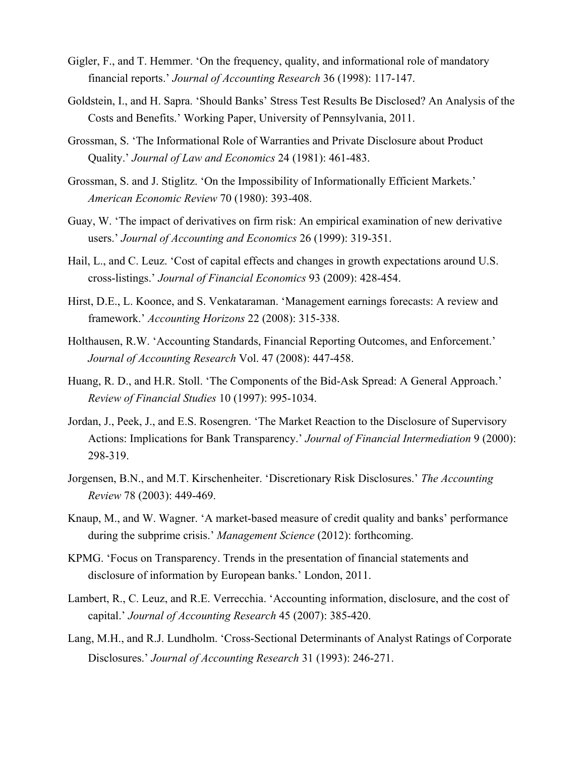- Gigler, F., and T. Hemmer. 'On the frequency, quality, and informational role of mandatory financial reports.' *Journal of Accounting Research* 36 (1998): 117-147.
- Goldstein, I., and H. Sapra. 'Should Banks' Stress Test Results Be Disclosed? An Analysis of the Costs and Benefits.' Working Paper, University of Pennsylvania, 2011.
- Grossman, S. 'The Informational Role of Warranties and Private Disclosure about Product Quality.' *Journal of Law and Economics* 24 (1981): 461-483.
- Grossman, S. and J. Stiglitz. 'On the Impossibility of Informationally Efficient Markets.' *American Economic Review* 70 (1980): 393-408.
- Guay, W. 'The impact of derivatives on firm risk: An empirical examination of new derivative users.' *Journal of Accounting and Economics* 26 (1999): 319-351.
- Hail, L., and C. Leuz. 'Cost of capital effects and changes in growth expectations around U.S. cross-listings.' *Journal of Financial Economics* 93 (2009): 428-454.
- Hirst, D.E., L. Koonce, and S. Venkataraman. 'Management earnings forecasts: A review and framework.' *Accounting Horizons* 22 (2008): 315-338.
- Holthausen, R.W. 'Accounting Standards, Financial Reporting Outcomes, and Enforcement.' *Journal of Accounting Research* Vol. 47 (2008): 447-458.
- Huang, R. D., and H.R. Stoll. 'The Components of the Bid-Ask Spread: A General Approach.' *Review of Financial Studies* 10 (1997): 995-1034.
- Jordan, J., Peek, J., and E.S. Rosengren. 'The Market Reaction to the Disclosure of Supervisory Actions: Implications for Bank Transparency.' *Journal of Financial Intermediation* 9 (2000): 298-319.
- Jorgensen, B.N., and M.T. Kirschenheiter. 'Discretionary Risk Disclosures.' *The Accounting Review* 78 (2003): 449-469.
- Knaup, M., and W. Wagner. 'A market-based measure of credit quality and banks' performance during the subprime crisis.' *Management Science* (2012): forthcoming.
- KPMG. 'Focus on Transparency. Trends in the presentation of financial statements and disclosure of information by European banks.' London, 2011.
- Lambert, R., C. Leuz, and R.E. Verrecchia. 'Accounting information, disclosure, and the cost of capital.' *Journal of Accounting Research* 45 (2007): 385-420.
- Lang, M.H., and R.J. Lundholm. 'Cross-Sectional Determinants of Analyst Ratings of Corporate Disclosures.' *Journal of Accounting Research* 31 (1993): 246-271.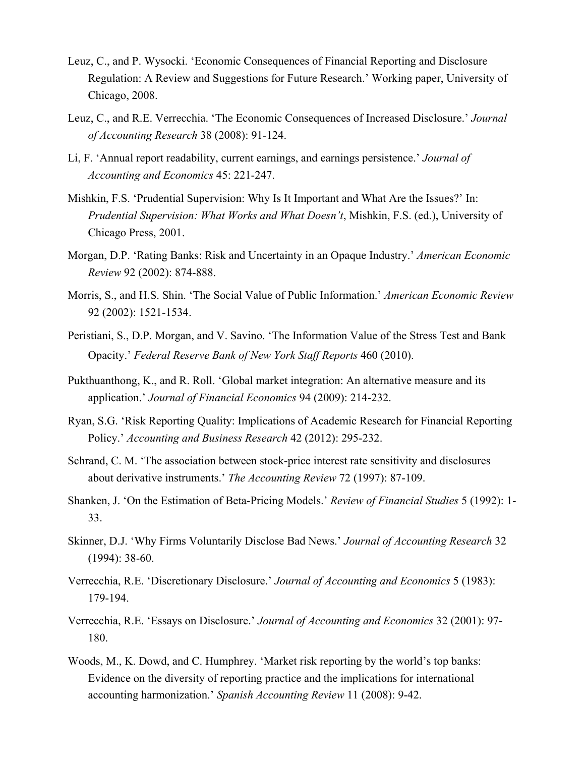- Leuz, C., and P. Wysocki. 'Economic Consequences of Financial Reporting and Disclosure Regulation: A Review and Suggestions for Future Research.' Working paper, University of Chicago, 2008.
- Leuz, C., and R.E. Verrecchia. 'The Economic Consequences of Increased Disclosure.' *Journal of Accounting Research* 38 (2008): 91-124.
- Li, F. 'Annual report readability, current earnings, and earnings persistence.' *Journal of Accounting and Economics* 45: 221-247.
- Mishkin, F.S. 'Prudential Supervision: Why Is It Important and What Are the Issues?' In: *Prudential Supervision: What Works and What Doesn't*, Mishkin, F.S. (ed.), University of Chicago Press, 2001.
- Morgan, D.P. 'Rating Banks: Risk and Uncertainty in an Opaque Industry.' *American Economic Review* 92 (2002): 874-888.
- Morris, S., and H.S. Shin. 'The Social Value of Public Information.' *American Economic Review* 92 (2002): 1521-1534.
- Peristiani, S., D.P. Morgan, and V. Savino. 'The Information Value of the Stress Test and Bank Opacity.' *Federal Reserve Bank of New York Staff Reports* 460 (2010).
- Pukthuanthong, K., and R. Roll. 'Global market integration: An alternative measure and its application.' *Journal of Financial Economics* 94 (2009): 214-232.
- Ryan, S.G. 'Risk Reporting Quality: Implications of Academic Research for Financial Reporting Policy.' *Accounting and Business Research* 42 (2012): 295-232.
- Schrand, C. M. 'The association between stock-price interest rate sensitivity and disclosures about derivative instruments.' *The Accounting Review* 72 (1997): 87-109.
- Shanken, J. 'On the Estimation of Beta-Pricing Models.' *Review of Financial Studies* 5 (1992): 1- 33.
- Skinner, D.J. 'Why Firms Voluntarily Disclose Bad News.' *Journal of Accounting Research* 32 (1994): 38-60.
- Verrecchia, R.E. 'Discretionary Disclosure.' *Journal of Accounting and Economics* 5 (1983): 179-194.
- Verrecchia, R.E. 'Essays on Disclosure.' *Journal of Accounting and Economics* 32 (2001): 97- 180.
- Woods, M., K. Dowd, and C. Humphrey. 'Market risk reporting by the world's top banks: Evidence on the diversity of reporting practice and the implications for international accounting harmonization.' *Spanish Accounting Review* 11 (2008): 9-42.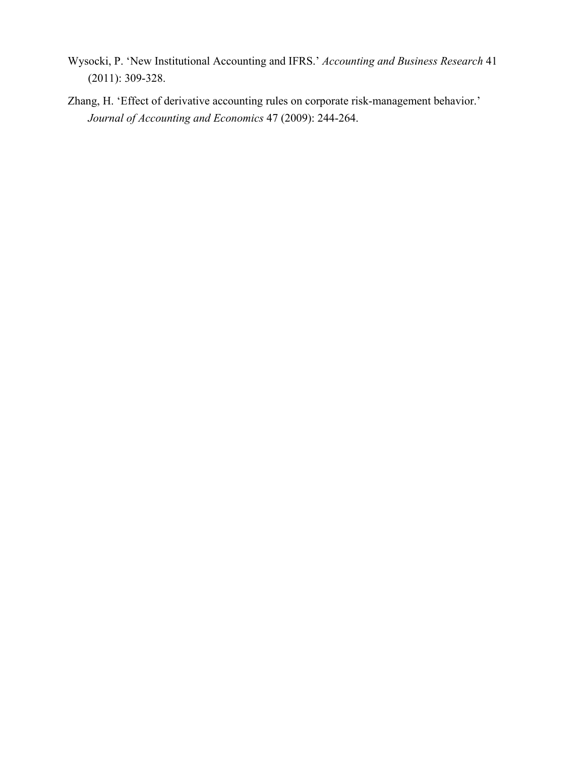- Wysocki, P. 'New Institutional Accounting and IFRS.' *Accounting and Business Research* 41 (2011): 309-328.
- Zhang, H. 'Effect of derivative accounting rules on corporate risk-management behavior.' *Journal of Accounting and Economics* 47 (2009): 244-264.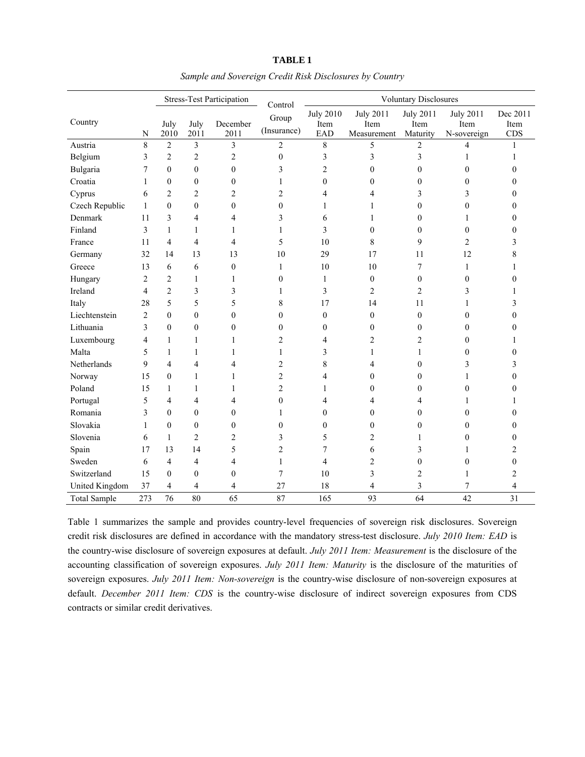|                     |                |                  |                         | <b>Stress-Test Participation</b> | <b>Voluntary Disclosures</b><br>Control |                                 |                                         |                                      |                                         |                         |
|---------------------|----------------|------------------|-------------------------|----------------------------------|-----------------------------------------|---------------------------------|-----------------------------------------|--------------------------------------|-----------------------------------------|-------------------------|
| Country             | N              | July<br>2010     | July<br>2011            | December<br>2011                 | Group<br>(Insurance)                    | <b>July 2010</b><br>Item<br>EAD | <b>July 2011</b><br>Item<br>Measurement | <b>July 2011</b><br>Item<br>Maturity | <b>July 2011</b><br>Item<br>N-sovereign | Dec 2011<br>Item<br>CDS |
| Austria             | 8              | $\sqrt{2}$       | 3                       | 3                                | $\sqrt{2}$                              | 8                               | 5                                       | $\overline{c}$                       | 4                                       |                         |
| Belgium             | 3              | $\sqrt{2}$       | $\overline{c}$          | $\overline{c}$                   | $\boldsymbol{0}$                        | 3                               | 3                                       | 3                                    | 1                                       | 1                       |
| Bulgaria            | 7              | $\boldsymbol{0}$ | $\overline{0}$          | $\boldsymbol{0}$                 | 3                                       | $\overline{c}$                  | $\boldsymbol{0}$                        | $\overline{0}$                       | $\mathbf{0}$                            | 0                       |
| Croatia             | 1              | $\boldsymbol{0}$ | $\mathbf{0}$            | $\boldsymbol{0}$                 | $\mathbf{1}$                            | $\mathbf{0}$                    | $\boldsymbol{0}$                        | 0                                    | $\mathbf{0}$                            | 0                       |
| Cyprus              | 6              | $\overline{c}$   | $\overline{\mathbf{c}}$ | 2                                | $\overline{c}$                          | 4                               | 4                                       | 3                                    | 3                                       | 0                       |
| Czech Republic      | $\mathbf{1}$   | $\mathbf{0}$     | $\boldsymbol{0}$        | $\mathbf{0}$                     | $\boldsymbol{0}$                        | 1                               | 1                                       | 0                                    | $\boldsymbol{0}$                        | 0                       |
| Denmark             | 11             | 3                | 4                       | 4                                | 3                                       | 6                               | 1                                       | $\boldsymbol{0}$                     | 1                                       | 0                       |
| Finland             | 3              | $\mathbf{1}$     | 1                       | 1                                | $\mathbf{1}$                            | 3                               | $\boldsymbol{0}$                        | 0                                    | $\mathbf{0}$                            | 0                       |
| France              | 11             | $\overline{4}$   | 4                       | 4                                | 5                                       | 10                              | 8                                       | 9                                    | 2                                       | 3                       |
| Germany             | 32             | 14               | 13                      | 13                               | 10                                      | 29                              | 17                                      | 11                                   | 12                                      | 8                       |
| Greece              | 13             | 6                | 6                       | $\boldsymbol{0}$                 | 1                                       | 10                              | 10                                      | 7                                    | 1                                       |                         |
| Hungary             | $\overline{2}$ | $\overline{c}$   | $\mathbf{1}$            | 1                                | $\overline{0}$                          | 1                               | $\mathbf{0}$                            | 0                                    | $\mathbf{0}$                            | 0                       |
| Ireland             | $\overline{4}$ | $\overline{2}$   | 3                       | 3                                | $\mathbf{1}$                            | 3                               | 2                                       | $\overline{c}$                       | 3                                       |                         |
| Italy               | 28             | 5                | 5                       | 5                                | 8                                       | 17                              | 14                                      | 11                                   | 1                                       | 3                       |
| Liechtenstein       | $\overline{2}$ | $\mathbf{0}$     | $\boldsymbol{0}$        | $\boldsymbol{0}$                 | $\boldsymbol{0}$                        | $\mathbf{0}$                    | $\mathbf{0}$                            | $\boldsymbol{0}$                     | $\theta$                                | 0                       |
| Lithuania           | 3              | $\boldsymbol{0}$ | $\mathbf{0}$            | $\boldsymbol{0}$                 | $\boldsymbol{0}$                        | $\boldsymbol{0}$                | $\mathbf{0}$                            | 0                                    | $\mathbf{0}$                            | 0                       |
| Luxembourg          | 4              | $\mathbf{1}$     | 1                       | 1                                | $\overline{c}$                          | $\overline{4}$                  | 2                                       | 2                                    | $\mathbf{0}$                            |                         |
| Malta               | 5              | $\mathbf{1}$     | $\mathbf{1}$            | 1                                | $\mathbf{1}$                            | 3                               | 1                                       | 1                                    | $\mathbf{0}$                            | $\theta$                |
| Netherlands         | 9              | $\overline{4}$   | $\overline{4}$          | $\overline{4}$                   | $\overline{2}$                          | 8                               | 4                                       | $\boldsymbol{0}$                     | 3                                       | 3                       |
| Norway              | 15             | $\boldsymbol{0}$ | $\mathbf{1}$            | 1                                | $\overline{c}$                          | $\overline{4}$                  | $\theta$                                | $\boldsymbol{0}$                     | 1                                       | $\theta$                |
| Poland              | 15             | 1                | 1                       | 1                                | $\overline{c}$                          | 1                               | $\theta$                                | 0                                    | $\theta$                                | 0                       |
| Portugal            | 5              | 4                | 4                       | 4                                | $\boldsymbol{0}$                        | 4                               | 4                                       | 4                                    |                                         |                         |
| Romania             | 3              | $\mathbf{0}$     | $\mathbf{0}$            | 0                                | 1                                       | $\theta$                        | 0                                       | 0                                    | $\theta$                                | 0                       |
| Slovakia            | 1              | $\mathbf{0}$     | $\mathbf{0}$            | $\mathbf{0}$                     | $\mathbf{0}$                            | $\theta$                        | $\mathbf{0}$                            | $\boldsymbol{0}$                     | 0                                       | 0                       |
| Slovenia            | 6              | 1                | 2                       | 2                                | 3                                       | 5                               | 2                                       |                                      | 0                                       | 0                       |
| Spain               | 17             | 13               | 14                      | 5                                | $\overline{c}$                          | 7                               | 6                                       | 3                                    | 1                                       | 2                       |
| Sweden              | 6              | $\overline{4}$   | 4                       | 4                                | $\mathbf{1}$                            | 4                               | 2                                       | 0                                    | $\mathbf{0}$                            | $\mathbf{0}$            |
| Switzerland         | 15             | $\boldsymbol{0}$ | $\boldsymbol{0}$        | 0                                | 7                                       | 10                              | 3                                       | 2                                    | 1                                       | 2                       |
| United Kingdom      | 37             | 4                | 4                       | 4                                | 27                                      | 18                              | 4                                       | 3                                    | 7                                       | 4                       |
| <b>Total Sample</b> | 273            | 76               | 80                      | 65                               | 87                                      | 165                             | 93                                      | 64                                   | 42                                      | 31                      |

**TABLE 1**  *Sample and Sovereign Credit Risk Disclosures by Country* 

Table 1 summarizes the sample and provides country-level frequencies of sovereign risk disclosures. Sovereign credit risk disclosures are defined in accordance with the mandatory stress-test disclosure. *July 2010 Item: EAD* is the country-wise disclosure of sovereign exposures at default. *July 2011 Item: Measurement* is the disclosure of the accounting classification of sovereign exposures. *July 2011 Item: Maturity* is the disclosure of the maturities of sovereign exposures. *July 2011 Item: Non-sovereign* is the country-wise disclosure of non-sovereign exposures at default. *December 2011 Item: CDS* is the country-wise disclosure of indirect sovereign exposures from CDS contracts or similar credit derivatives.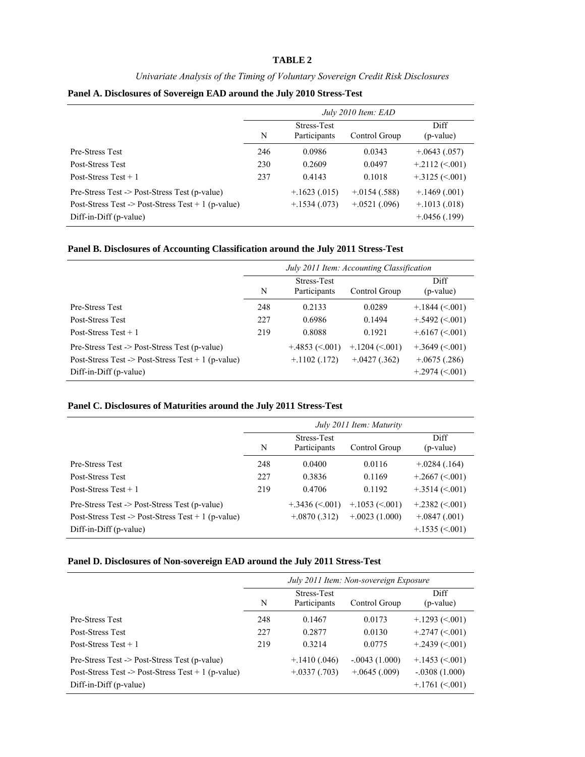#### **TABLE 2**

#### *Univariate Analysis of the Timing of Voluntary Sovereign Credit Risk Disclosures*

|  | Panel A. Disclosures of Sovereign EAD around the July 2010 Stress-Test |  |  |  |  |  |
|--|------------------------------------------------------------------------|--|--|--|--|--|
|  |                                                                        |  |  |  |  |  |

|                                                    | July 2010 Item: EAD |                                    |                  |                    |  |  |  |  |
|----------------------------------------------------|---------------------|------------------------------------|------------------|--------------------|--|--|--|--|
|                                                    | N                   | <b>Stress-Test</b><br>Participants | Control Group    | Diff.<br>(p-value) |  |  |  |  |
| <b>Pre-Stress Test</b>                             | 246                 | 0.0986                             | 0.0343           | $+0.643(0.057)$    |  |  |  |  |
| Post-Stress Test                                   | 230                 | 0.2609                             | 0.0497           | $+2112 \le 001$    |  |  |  |  |
| Post-Stress Test $+1$                              | 237                 | 0.4143                             | 0.1018           | $+.3125 (< 001)$   |  |  |  |  |
| Pre-Stress Test -> Post-Stress Test (p-value)      |                     | $+1623(.015)$                      | $+0.0154(0.588)$ | $+1469(001)$       |  |  |  |  |
| Post-Stress Test -> Post-Stress Test + 1 (p-value) |                     | $+.1534(.073)$                     | $+0.0521(0.096)$ | $+.1013(.018)$     |  |  |  |  |
| Diff-in-Diff (p-value)                             |                     |                                    |                  | $+0.0456(0.199)$   |  |  |  |  |

**Panel B. Disclosures of Accounting Classification around the July 2011 Stress-Test** 

|                                                                                                                               | July 2011 Item: Accounting Classification |                                       |                                    |                                                          |  |  |  |  |
|-------------------------------------------------------------------------------------------------------------------------------|-------------------------------------------|---------------------------------------|------------------------------------|----------------------------------------------------------|--|--|--|--|
|                                                                                                                               | N                                         | Stress-Test<br>Participants           | Control Group                      | Diff<br>(p-value)                                        |  |  |  |  |
| <b>Pre-Stress Test</b>                                                                                                        | 248                                       | 0.2133                                | 0.0289                             | $+1844 \le 001$                                          |  |  |  |  |
| <b>Post-Stress Test</b>                                                                                                       | 227                                       | 0.6986                                | 0.1494                             | $+.5492 (< 001)$                                         |  |  |  |  |
| Post-Stress Test $+1$                                                                                                         | 219                                       | 0.8088                                | 0.1921                             | $+6167 \approx 001$                                      |  |  |  |  |
| Pre-Stress Test -> Post-Stress Test (p-value)<br>Post-Stress Test -> Post-Stress Test + 1 (p-value)<br>Diff-in-Diff (p-value) |                                           | $+4853 \approx 0.001$<br>$+1102(172)$ | $+1204 \le 001$<br>$+0.427(0.362)$ | $+3649 (< 001$<br>$+0.675(0.286)$<br>$+2974 \approx 001$ |  |  |  |  |

# **Panel C. Disclosures of Maturities around the July 2011 Stress-Test**

|                                                    |     |                                    | July 2011 Item: Maturity |                       |
|----------------------------------------------------|-----|------------------------------------|--------------------------|-----------------------|
|                                                    | N   | <b>Stress-Test</b><br>Participants | Control Group            | Diff.<br>(p-value)    |
| <b>Pre-Stress Test</b>                             | 248 | 0.0400                             | 0.0116                   | $+.0284(.164)$        |
| Post-Stress Test                                   | 227 | 0.3836                             | 0.1169                   | $+.2667 (< 001)$      |
| Post-Stress Test $+1$                              | 219 | 0.4706                             | 0.1192                   | $+.3514 (< 001)$      |
| Pre-Stress Test -> Post-Stress Test (p-value)      |     | $+.3436 (< 001)$                   | $+.1053 \le 0.001$       | $+2382 \le 0.001$     |
| Post-Stress Test -> Post-Stress Test + 1 (p-value) |     | $+0.0870(0.312)$                   | $+0.0023(1.000)$         | $+.0847(.001)$        |
| Diff-in-Diff (p-value)                             |     |                                    |                          | $+1535 \approx 0.001$ |

#### **Panel D. Disclosures of Non-sovereign EAD around the July 2011 Stress-Test**

|                                                                                                                               |                                                   |                                 | July 2011 Item: Non-sovereign Exposure |                                                       |
|-------------------------------------------------------------------------------------------------------------------------------|---------------------------------------------------|---------------------------------|----------------------------------------|-------------------------------------------------------|
|                                                                                                                               | Stress-Test<br>Participants<br>N<br>Control Group |                                 |                                        |                                                       |
| <b>Pre-Stress Test</b>                                                                                                        | 248                                               | 0.1467                          | 0.0173                                 | $+1293 \le 001$                                       |
| Post-Stress Test                                                                                                              | 227                                               | 0.2877                          | 0.0130                                 | $+.2747 (< 001$                                       |
| Post-Stress Test $+1$                                                                                                         | 219                                               | 0.3214                          | 0.0775                                 | $+.2439 (< 001)$                                      |
| Pre-Stress Test -> Post-Stress Test (p-value)<br>Post-Stress Test -> Post-Stress Test + 1 (p-value)<br>Diff-in-Diff (p-value) |                                                   | $+1410(.046)$<br>$+.0337(.703)$ | $-.0043(1.000)$<br>$+0.645(0.009)$     | $+.1453 (< 001)$<br>$-.0308(1.000)$<br>$+1761 (< 001$ |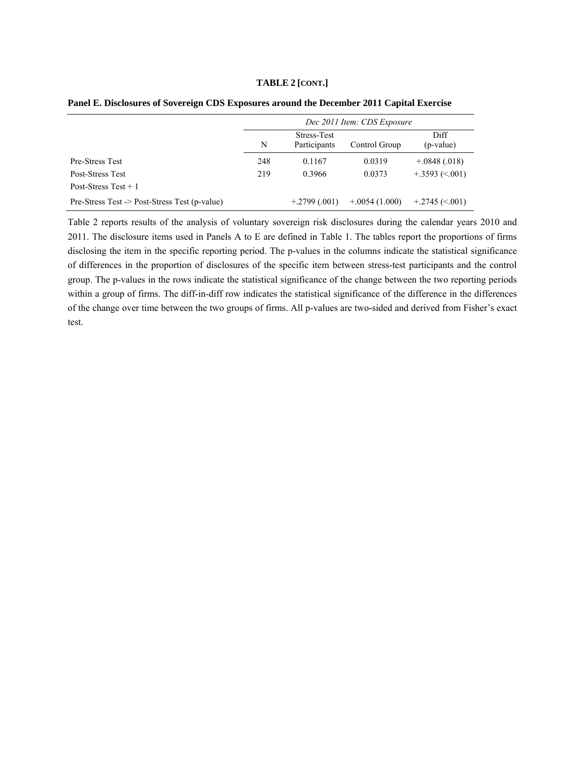#### **TABLE 2 [CONT.]**

|                                               | Dec 2011 Item: CDS Exposure |                             |                  |                   |  |  |  |  |  |
|-----------------------------------------------|-----------------------------|-----------------------------|------------------|-------------------|--|--|--|--|--|
|                                               | N                           | Stress-Test<br>Participants | Control Group    | Diff<br>(p-value) |  |  |  |  |  |
| <b>Pre-Stress Test</b>                        | 248                         | 0.1167                      | 0.0319           | $+.0848(.018)$    |  |  |  |  |  |
| Post-Stress Test                              | 219                         | 0.3966                      | 0.0373           | $+3593 \le 001$   |  |  |  |  |  |
| Post-Stress Test $+1$                         |                             |                             |                  |                   |  |  |  |  |  |
| Pre-Stress Test -> Post-Stress Test (p-value) |                             | $+2799(.001)$               | $+0.0054(1.000)$ | $+2745 (< 001$    |  |  |  |  |  |

|  |  | Panel E. Disclosures of Sovereign CDS Exposures around the December 2011 Capital Exercise |  |  |
|--|--|-------------------------------------------------------------------------------------------|--|--|
|  |  |                                                                                           |  |  |

Table 2 reports results of the analysis of voluntary sovereign risk disclosures during the calendar years 2010 and 2011. The disclosure items used in Panels A to E are defined in Table 1. The tables report the proportions of firms disclosing the item in the specific reporting period. The p-values in the columns indicate the statistical significance of differences in the proportion of disclosures of the specific item between stress-test participants and the control group. The p-values in the rows indicate the statistical significance of the change between the two reporting periods within a group of firms. The diff-in-diff row indicates the statistical significance of the difference in the differences of the change over time between the two groups of firms. All p-values are two-sided and derived from Fisher's exact test.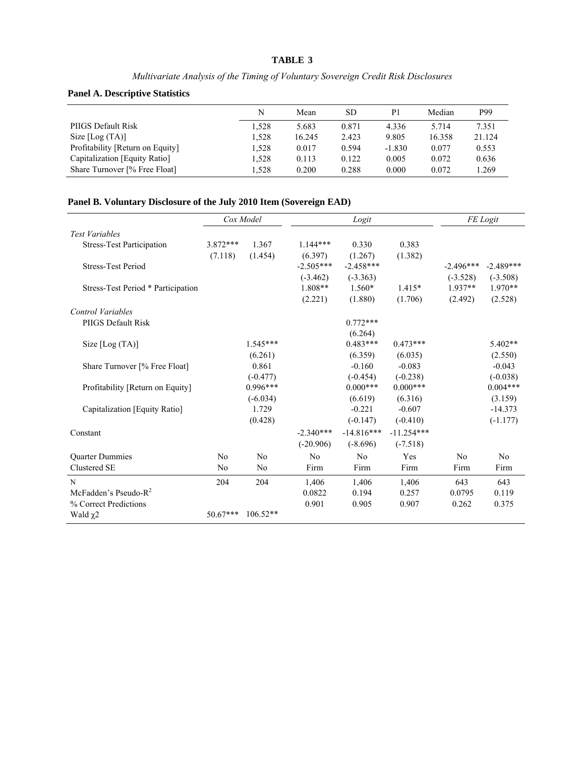### **TABLE 3**

# *Multivariate Analysis of the Timing of Voluntary Sovereign Credit Risk Disclosures*

# **Panel A. Descriptive Statistics**

|                                  | N     | Mean   | SD    | P <sub>1</sub> | Median | P99    |
|----------------------------------|-------|--------|-------|----------------|--------|--------|
| PIIGS Default Risk               | 1.528 | 5.683  | 0.871 | 4.336          | 5.714  | 7.351  |
| Size [Log (TA)]                  | 1,528 | 16.245 | 2.423 | 9.805          | 16.358 | 21.124 |
| Profitability [Return on Equity] | 1.528 | 0.017  | 0.594 | $-1.830$       | 0.077  | 0.553  |
| Capitalization [Equity Ratio]    | 1.528 | 0.113  | 0.122 | 0.005          | 0.072  | 0.636  |
| Share Turnover [% Free Float]    | 1.528 | 0.200  | 0.288 | 0.000          | 0.072  | 1.269  |

# **Panel B. Voluntary Disclosure of the July 2010 Item (Sovereign EAD)**

|                                    |                | Cox Model      |             | Logit        |              | FE Logit    |             |  |
|------------------------------------|----------------|----------------|-------------|--------------|--------------|-------------|-------------|--|
| <b>Test Variables</b>              |                |                |             |              |              |             |             |  |
| <b>Stress-Test Participation</b>   | 3.872***       | 1.367          | $1.144***$  | 0.330        | 0.383        |             |             |  |
|                                    | (7.118)        | (1.454)        | (6.397)     | (1.267)      | (1.382)      |             |             |  |
| <b>Stress-Test Period</b>          |                |                | $-2.505***$ | $-2.458***$  |              | $-2.496***$ | $-2.489***$ |  |
|                                    |                |                | $(-3.462)$  | $(-3.363)$   |              | $(-3.528)$  | $(-3.508)$  |  |
| Stress-Test Period * Participation |                |                | $1.808**$   | $1.560*$     | $1.415*$     | $1.937**$   | $1.970**$   |  |
|                                    |                |                | (2.221)     | (1.880)      | (1.706)      | (2.492)     | (2.528)     |  |
| Control Variables                  |                |                |             |              |              |             |             |  |
| PIIGS Default Risk                 |                |                |             | $0.772***$   |              |             |             |  |
|                                    |                |                |             | (6.264)      |              |             |             |  |
| Size $[Log(TA)]$                   |                | $1.545***$     |             | $0.483***$   | $0.473***$   |             | $5.402**$   |  |
|                                    |                | (6.261)        |             | (6.359)      | (6.035)      |             | (2.550)     |  |
| Share Turnover [% Free Float]      |                | 0.861          |             | $-0.160$     | $-0.083$     |             | $-0.043$    |  |
|                                    |                | $(-0.477)$     |             | $(-0.454)$   | $(-0.238)$   |             | $(-0.038)$  |  |
| Profitability [Return on Equity]   |                | $0.996***$     |             | $0.000***$   | $0.000***$   |             | $0.004***$  |  |
|                                    |                | $(-6.034)$     |             | (6.619)      | (6.316)      |             | (3.159)     |  |
| Capitalization [Equity Ratio]      |                | 1.729          |             | $-0.221$     | $-0.607$     |             | $-14.373$   |  |
|                                    |                | (0.428)        |             | $(-0.147)$   | $(-0.410)$   |             | $(-1.177)$  |  |
| Constant                           |                |                | $-2.340***$ | $-14.816***$ | $-11.254***$ |             |             |  |
|                                    |                |                | $(-20.906)$ | $(-8.696)$   | $(-7.518)$   |             |             |  |
| <b>Ouarter Dummies</b>             | N <sub>0</sub> | No             | No          | No           | Yes          | No          | No          |  |
| Clustered SE                       | No             | N <sub>0</sub> | Firm        | Firm         | Firm         | Firm        | Firm        |  |
| N                                  | 204            | 204            | 1,406       | 1,406        | 1,406        | 643         | 643         |  |
| McFadden's Pseudo- $R^2$           |                |                | 0.0822      | 0.194        | 0.257        | 0.0795      | 0.119       |  |
| % Correct Predictions              |                |                | 0.901       | 0.905        | 0.907        | 0.262       | 0.375       |  |
| Wald $\chi$ 2                      | $50.67***$     | $106.52**$     |             |              |              |             |             |  |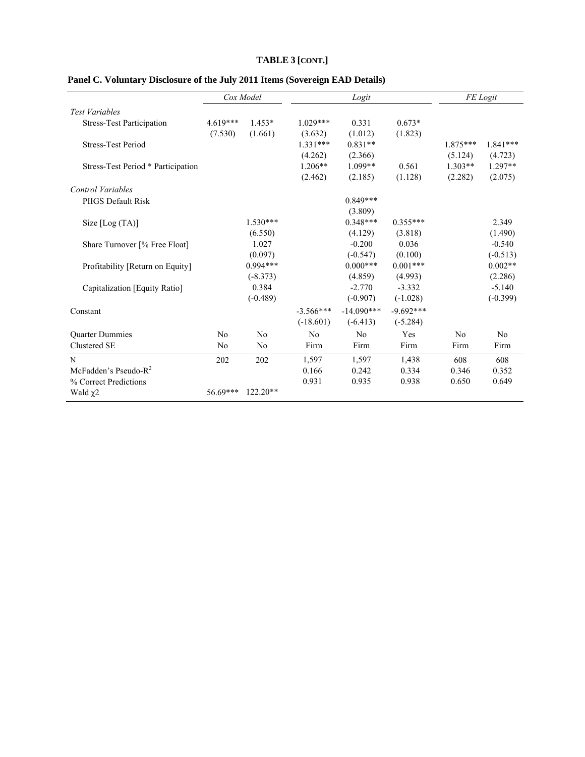# **TABLE 3 [CONT.]**

|                                    |                | Cox Model      |             | Logit        |             | FE Logit       |            |  |
|------------------------------------|----------------|----------------|-------------|--------------|-------------|----------------|------------|--|
| <b>Test Variables</b>              |                |                |             |              |             |                |            |  |
| <b>Stress-Test Participation</b>   | $4.619***$     | $1.453*$       | $1.029***$  | 0.331        | $0.673*$    |                |            |  |
|                                    | (7.530)        | (1.661)        | (3.632)     | (1.012)      | (1.823)     |                |            |  |
| <b>Stress-Test Period</b>          |                |                | $1.331***$  | $0.831**$    |             | 1.875***       | $1.841***$ |  |
|                                    |                |                | (4.262)     | (2.366)      |             | (5.124)        | (4.723)    |  |
| Stress-Test Period * Participation |                |                | $1.206**$   | $1.099**$    | 0.561       | $1.303**$      | $1.297**$  |  |
|                                    |                |                | (2.462)     | (2.185)      | (1.128)     | (2.282)        | (2.075)    |  |
| <b>Control Variables</b>           |                |                |             |              |             |                |            |  |
| PIIGS Default Risk                 |                |                |             | $0.849***$   |             |                |            |  |
|                                    |                |                |             | (3.809)      |             |                |            |  |
| Size $[Log(TA)]$                   |                | $1.530***$     |             | $0.348***$   | $0.355***$  |                | 2.349      |  |
|                                    |                | (6.550)        |             | (4.129)      | (3.818)     |                | (1.490)    |  |
| Share Turnover [% Free Float]      |                | 1.027          |             | $-0.200$     | 0.036       |                | $-0.540$   |  |
|                                    |                | (0.097)        |             | $(-0.547)$   | (0.100)     |                | $(-0.513)$ |  |
| Profitability [Return on Equity]   |                | $0.994***$     |             | $0.000***$   | $0.001***$  |                | $0.002**$  |  |
|                                    |                | $(-8.373)$     |             | (4.859)      | (4.993)     |                | (2.286)    |  |
| Capitalization [Equity Ratio]      |                | 0.384          |             | $-2.770$     | $-3.332$    |                | $-5.140$   |  |
|                                    |                | $(-0.489)$     |             | $(-0.907)$   | $(-1.028)$  |                | $(-0.399)$ |  |
| Constant                           |                |                | $-3.566***$ | $-14.090***$ | $-9.692***$ |                |            |  |
|                                    |                |                | $(-18.601)$ | $(-6.413)$   | $(-5.284)$  |                |            |  |
| <b>Ouarter Dummies</b>             | N <sub>0</sub> | No             | No          | No           | Yes         | N <sub>0</sub> | No         |  |
| Clustered SE                       | N <sub>0</sub> | N <sub>0</sub> | Firm        | Firm         | Firm        | Firm           | Firm       |  |
| N                                  | 202            | 202            | 1,597       | 1,597        | 1,438       | 608            | 608        |  |
| McFadden's Pseudo- $R^2$           |                |                | 0.166       | 0.242        | 0.334       | 0.346          | 0.352      |  |
| % Correct Predictions              |                |                | 0.931       | 0.935        | 0.938       | 0.650          | 0.649      |  |
| Wald $\chi$ 2                      | $56.69***$     | $122.20**$     |             |              |             |                |            |  |

# **Panel C. Voluntary Disclosure of the July 2011 Items (Sovereign EAD Details)**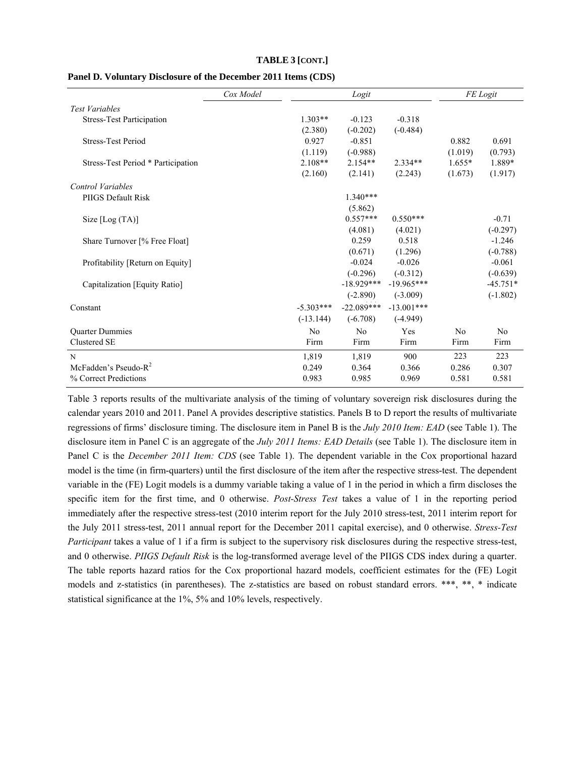|                                    | Cox Model |             |                | FE Logit     |          |            |
|------------------------------------|-----------|-------------|----------------|--------------|----------|------------|
| <b>Test Variables</b>              |           |             |                |              |          |            |
| <b>Stress-Test Participation</b>   |           | $1.303**$   | $-0.123$       | $-0.318$     |          |            |
|                                    |           | (2.380)     | $(-0.202)$     | $(-0.484)$   |          |            |
| <b>Stress-Test Period</b>          |           | 0.927       | $-0.851$       |              | 0.882    | 0.691      |
|                                    |           | (1.119)     | $(-0.988)$     |              | (1.019)  | (0.793)    |
| Stress-Test Period * Participation |           | $2.108**$   | $2.154**$      | $2.334**$    | $1.655*$ | 1.889*     |
|                                    |           | (2.160)     | (2.141)        | (2.243)      | (1.673)  | (1.917)    |
| <b>Control Variables</b>           |           |             |                |              |          |            |
| PIIGS Default Risk                 |           |             | $1.340***$     |              |          |            |
|                                    |           |             | (5.862)        |              |          |            |
| Size $[Log(TA)]$                   |           |             | $0.557***$     | $0.550***$   |          | $-0.71$    |
|                                    |           |             | (4.081)        | (4.021)      |          | $(-0.297)$ |
| Share Turnover [% Free Float]      |           |             | 0.259          | 0.518        |          | $-1.246$   |
|                                    |           |             | (0.671)        | (1.296)      |          | $(-0.788)$ |
| Profitability [Return on Equity]   |           |             | $-0.024$       | $-0.026$     |          | $-0.061$   |
|                                    |           |             | $(-0.296)$     | $(-0.312)$   |          | $(-0.639)$ |
| Capitalization [Equity Ratio]      |           |             | $-18.929***$   | $-19.965***$ |          | $-45.751*$ |
|                                    |           |             | $(-2.890)$     | $(-3.009)$   |          | $(-1.802)$ |
| Constant                           |           | $-5.303***$ | $-22.089***$   | $-13.001***$ |          |            |
|                                    |           | $(-13.144)$ | $(-6.708)$     | $(-4.949)$   |          |            |
| <b>Ouarter Dummies</b>             |           | No          | N <sub>0</sub> | Yes          | No       | No         |
| Clustered SE                       |           | Firm        | Firm           | Firm         | Firm     | Firm       |
| N                                  |           | 1,819       | 1,819          | 900          | 223      | 223        |
| McFadden's Pseudo- $R^2$           |           | 0.249       | 0.364          | 0.366        | 0.286    | 0.307      |
| % Correct Predictions              |           | 0.983       | 0.985          | 0.969        | 0.581    | 0.581      |

#### **TABLE 3 [CONT.]**

#### **Panel D. Voluntary Disclosure of the December 2011 Items (CDS)**

Table 3 reports results of the multivariate analysis of the timing of voluntary sovereign risk disclosures during the calendar years 2010 and 2011. Panel A provides descriptive statistics. Panels B to D report the results of multivariate regressions of firms' disclosure timing. The disclosure item in Panel B is the *July 2010 Item: EAD* (see Table 1). The disclosure item in Panel C is an aggregate of the *July 2011 Items: EAD Details* (see Table 1). The disclosure item in Panel C is the *December 2011 Item: CDS* (see Table 1). The dependent variable in the Cox proportional hazard model is the time (in firm-quarters) until the first disclosure of the item after the respective stress-test. The dependent variable in the (FE) Logit models is a dummy variable taking a value of 1 in the period in which a firm discloses the specific item for the first time, and 0 otherwise. *Post-Stress Test* takes a value of 1 in the reporting period immediately after the respective stress-test (2010 interim report for the July 2010 stress-test, 2011 interim report for the July 2011 stress-test, 2011 annual report for the December 2011 capital exercise), and 0 otherwise. *Stress-Test Participant* takes a value of 1 if a firm is subject to the supervisory risk disclosures during the respective stress-test, and 0 otherwise. *PIIGS Default Risk* is the log-transformed average level of the PIIGS CDS index during a quarter. The table reports hazard ratios for the Cox proportional hazard models, coefficient estimates for the (FE) Logit models and z-statistics (in parentheses). The z-statistics are based on robust standard errors. \*\*\*, \*\*, \* indicate statistical significance at the 1%, 5% and 10% levels, respectively.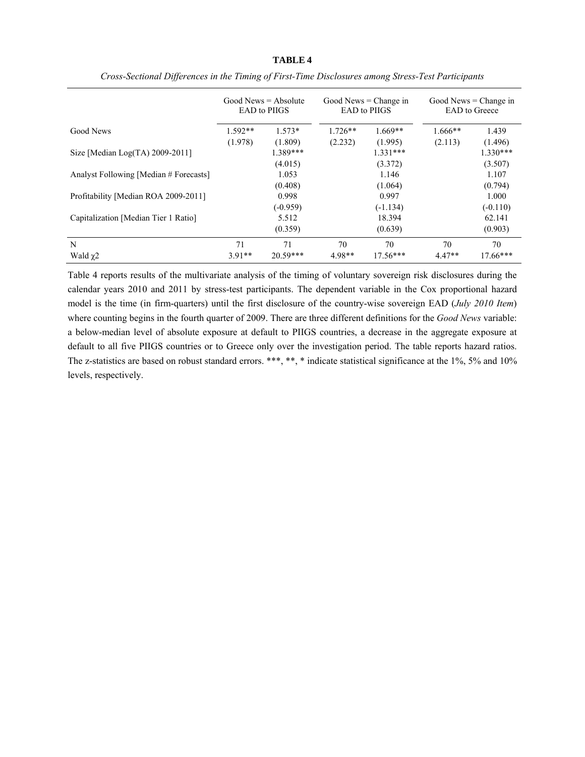|                                        |           | Good News $=$ Absolute<br><b>EAD</b> to PIIGS |           | Good News $=$ Change in<br><b>EAD</b> to PIIGS |           | Good News $=$ Change in<br><b>EAD</b> to Greece |
|----------------------------------------|-----------|-----------------------------------------------|-----------|------------------------------------------------|-----------|-------------------------------------------------|
| Good News                              | $1.592**$ | $1.573*$                                      | $1.726**$ | $1.669**$                                      | $1.666**$ | 1.439                                           |
|                                        | (1.978)   | (1.809)                                       | (2.232)   | (1.995)                                        | (2.113)   | (1.496)                                         |
| Size [Median Log(TA) $2009-2011$ ]     |           | 1.389***                                      |           | $1.331***$                                     |           | $1.330***$                                      |
|                                        |           | (4.015)                                       |           | (3.372)                                        |           | (3.507)                                         |
| Analyst Following [Median # Forecasts] |           | 1.053                                         |           | 1.146                                          |           | 1.107                                           |
|                                        |           | (0.408)                                       |           | (1.064)                                        |           | (0.794)                                         |
| Profitability [Median ROA 2009-2011]   |           | 0.998                                         |           | 0.997                                          |           | 1.000                                           |
|                                        |           | $(-0.959)$                                    |           | $(-1.134)$                                     |           | $(-0.110)$                                      |
| Capitalization [Median Tier 1 Ratio]   |           | 5.512                                         |           | 18.394                                         |           | 62.141                                          |
|                                        |           | (0.359)                                       |           | (0.639)                                        |           | (0.903)                                         |
| N                                      | 71        | 71                                            | 70        | 70                                             | 70        | 70                                              |
| Wald $\chi$ 2                          | $3.91**$  | $20.59***$                                    | $4.98**$  | $17.56***$                                     | $4.47**$  | $17.66***$                                      |

*Cross-Sectional Differences in the Timing of First-Time Disclosures among Stress-Test Participants* 

Table 4 reports results of the multivariate analysis of the timing of voluntary sovereign risk disclosures during the calendar years 2010 and 2011 by stress-test participants. The dependent variable in the Cox proportional hazard model is the time (in firm-quarters) until the first disclosure of the country-wise sovereign EAD (*July 2010 Item*) where counting begins in the fourth quarter of 2009. There are three different definitions for the *Good News* variable: a below-median level of absolute exposure at default to PIIGS countries, a decrease in the aggregate exposure at default to all five PIIGS countries or to Greece only over the investigation period. The table reports hazard ratios. The z-statistics are based on robust standard errors. \*\*\*, \*\*, \* indicate statistical significance at the 1%, 5% and 10% levels, respectively.

#### **TABLE 4**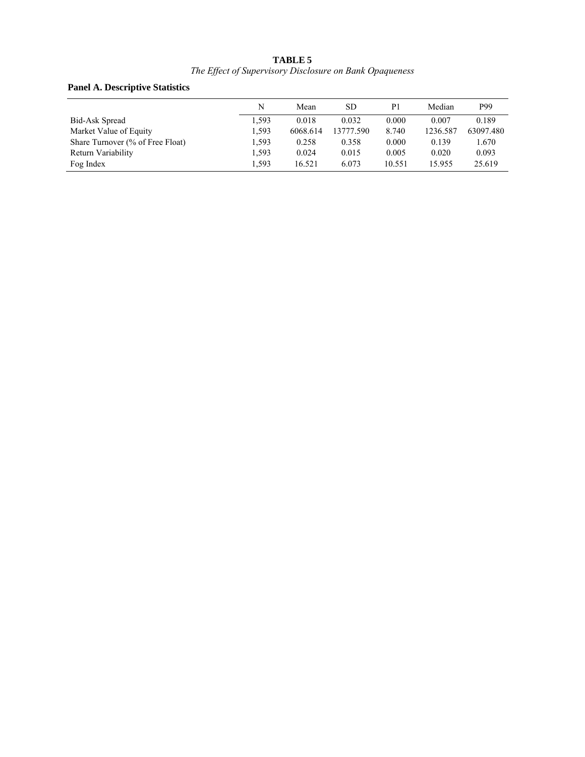#### **TABLE 5**  *The Effect of Supervisory Disclosure on Bank Opaqueness*

# **Panel A. Descriptive Statistics**

|                                  |       |           | <b>SD</b> |        |          |           |
|----------------------------------|-------|-----------|-----------|--------|----------|-----------|
|                                  |       | N<br>Mean |           | P1     | Median   | P99       |
| Bid-Ask Spread                   | 1,593 | 0.018     | 0.032     | 0.000  | 0.007    | 0.189     |
| Market Value of Equity           | 1,593 | 6068.614  | 13777.590 | 8.740  | 1236.587 | 63097.480 |
| Share Turnover (% of Free Float) | 1,593 | 0.258     | 0.358     | 0.000  | 0.139    | 1.670     |
| Return Variability               | 1.593 | 0.024     | 0.015     | 0.005  | 0.020    | 0.093     |
| Fog Index                        | 1.593 | 16.521    | 6.073     | 10.551 | 15.955   | 25.619    |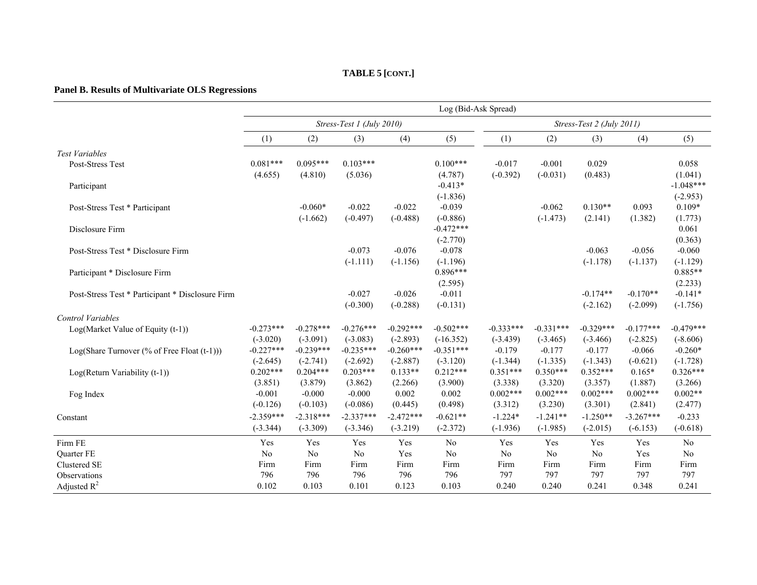#### **TABLE 5 [CONT.]**

## **Panel B. Results of Multivariate OLS Regressions**

|                                                  |             |             |                           |             | Log (Bid-Ask Spread) |             |             |                           |             |             |
|--------------------------------------------------|-------------|-------------|---------------------------|-------------|----------------------|-------------|-------------|---------------------------|-------------|-------------|
|                                                  |             |             | Stress-Test 1 (July 2010) |             |                      |             |             | Stress-Test 2 (July 2011) |             |             |
|                                                  | (1)         | (2)         | (3)                       | (4)         | (5)                  | (1)         | (2)         | (3)                       | (4)         | (5)         |
| <b>Test Variables</b>                            |             |             |                           |             |                      |             |             |                           |             |             |
| Post-Stress Test                                 | $0.081***$  | $0.095***$  | $0.103***$                |             | $0.100***$           | $-0.017$    | $-0.001$    | 0.029                     |             | 0.058       |
|                                                  | (4.655)     | (4.810)     | (5.036)                   |             | (4.787)              | $(-0.392)$  | $(-0.031)$  | (0.483)                   |             | (1.041)     |
| Participant                                      |             |             |                           |             | $-0.413*$            |             |             |                           |             | $-1.048***$ |
|                                                  |             |             |                           |             | $(-1.836)$           |             |             |                           |             | $(-2.953)$  |
| Post-Stress Test * Participant                   |             | $-0.060*$   | $-0.022$                  | $-0.022$    | $-0.039$             |             | $-0.062$    | $0.130**$                 | 0.093       | $0.109*$    |
|                                                  |             | $(-1.662)$  | $(-0.497)$                | $(-0.488)$  | $(-0.886)$           |             | $(-1.473)$  | (2.141)                   | (1.382)     | (1.773)     |
| Disclosure Firm                                  |             |             |                           |             | $-0.472***$          |             |             |                           |             | 0.061       |
|                                                  |             |             |                           |             | $(-2.770)$           |             |             |                           |             | (0.363)     |
| Post-Stress Test * Disclosure Firm               |             |             | $-0.073$                  | $-0.076$    | $-0.078$             |             |             | $-0.063$                  | $-0.056$    | $-0.060$    |
|                                                  |             |             | $(-1.111)$                | $(-1.156)$  | $(-1.196)$           |             |             | $(-1.178)$                | $(-1.137)$  | $(-1.129)$  |
| Participant * Disclosure Firm                    |             |             |                           |             | $0.896***$           |             |             |                           |             | $0.885**$   |
|                                                  |             |             |                           |             | (2.595)              |             |             |                           |             | (2.233)     |
| Post-Stress Test * Participant * Disclosure Firm |             |             | $-0.027$                  | $-0.026$    | $-0.011$             |             |             | $-0.174**$                | $-0.170**$  | $-0.141*$   |
|                                                  |             |             | $(-0.300)$                | $(-0.288)$  | $(-0.131)$           |             |             | $(-2.162)$                | $(-2.099)$  | $(-1.756)$  |
| <b>Control Variables</b>                         |             |             |                           |             |                      |             |             |                           |             |             |
| Log(Market Value of Equity (t-1))                | $-0.273***$ | $-0.278***$ | $-0.276***$               | $-0.292***$ | $-0.502***$          | $-0.333***$ | $-0.331***$ | $-0.329***$               | $-0.177***$ | $-0.479***$ |
|                                                  | $(-3.020)$  | $(-3.091)$  | $(-3.083)$                | $(-2.893)$  | $(-16.352)$          | $(-3.439)$  | $(-3.465)$  | $(-3.466)$                | $(-2.825)$  | $(-8.606)$  |
| Log(Share Turnover (% of Free Float (t-1)))      | $-0.227***$ | $-0.239***$ | $-0.235***$               | $-0.260***$ | $-0.351***$          | $-0.179$    | $-0.177$    | $-0.177$                  | $-0.066$    | $-0.260*$   |
|                                                  | $(-2.645)$  | $(-2.741)$  | $(-2.692)$                | $(-2.887)$  | $(-3.120)$           | $(-1.344)$  | $(-1.335)$  | $(-1.343)$                | $(-0.621)$  | $(-1.728)$  |
| Log(Return Variability (t-1))                    | $0.202***$  | $0.204***$  | $0.203***$                | $0.133**$   | $0.212***$           | $0.351***$  | $0.350***$  | $0.352***$                | $0.165*$    | $0.326***$  |
|                                                  | (3.851)     | (3.879)     | (3.862)                   | (2.266)     | (3.900)              | (3.338)     | (3.320)     | (3.357)                   | (1.887)     | (3.266)     |
| Fog Index                                        | $-0.001$    | $-0.000$    | $-0.000$                  | 0.002       | 0.002                | $0.002***$  | $0.002***$  | $0.002***$                | $0.002***$  | $0.002**$   |
|                                                  | $(-0.126)$  | $(-0.103)$  | $(-0.086)$                | (0.445)     | (0.498)              | (3.312)     | (3.230)     | (3.301)                   | (2.841)     | (2.477)     |
| Constant                                         | $-2.359***$ | $-2.318***$ | $-2.337***$               | $-2.472***$ | $-0.621**$           | $-1.224*$   | $-1.241**$  | $-1.250**$                | $-3.267***$ | $-0.233$    |
|                                                  | $(-3.344)$  | $(-3.309)$  | $(-3.346)$                | $(-3.219)$  | $(-2.372)$           | $(-1.936)$  | $(-1.985)$  | $(-2.015)$                | $(-6.153)$  | $(-0.618)$  |
| Firm FE                                          | Yes         | Yes         | Yes                       | Yes         | No                   | Yes         | Yes         | Yes                       | Yes         | No          |
| <b>Ouarter FE</b>                                | $\rm No$    | No          | No                        | Yes         | $\rm No$             | $\rm No$    | No          | $\rm No$                  | Yes         | No          |
| Clustered SE                                     | Firm        | Firm        | Firm                      | Firm        | Firm                 | Firm        | Firm        | Firm                      | Firm        | Firm        |
| Observations                                     | 796         | 796         | 796                       | 796         | 796                  | 797         | 797         | 797                       | 797         | 797         |
| Adjusted $R^2$                                   | 0.102       | 0.103       | 0.101                     | 0.123       | 0.103                | 0.240       | 0.240       | 0.241                     | 0.348       | 0.241       |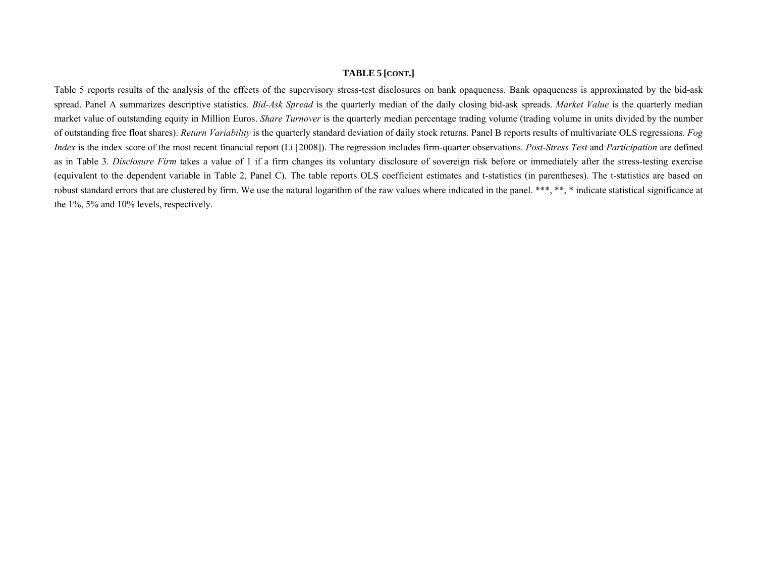#### **TABLE 5 [CONT.]**

Table 5 reports results of the analysis of the effects of the supervisory stress-test disclosures on bank opaqueness. Bank opaqueness is approximated by the bid-ask spread. Panel A summarizes descriptive statistics. *Bid-Ask Spread* is the quarterly median of the daily closing bid-ask spreads. *Market Value* is the quarterly median market value of outstanding equity in Million Euros. *Share Turnover* is the quarterly median percentage trading volume (trading volume in units divided by the number of outstanding free float shares). *Return Variability* is the quarterly standard deviation of daily stock returns. Panel B reports results of multivariate OLS regressions. *Fog Index* is the index score of the most recent financial report (Li [2008]). The regression includes firm-quarter observations. *Post-Stress Test* and *Participation* are defined as in Table 3. *Disclosure Firm* takes a value of 1 if a firm changes its voluntary disclosure of sovereign risk before or immediately after the stress-testing exercise (equivalent to the dependent variable in Table 2, Panel C). The table reports OLS coefficient estimates and t-statistics (in parentheses). The t-statistics are based on robust standard errors that are clustered by firm. We use the natural logarithm of the raw values where indicated in the panel. \*\*\*, \*\*, \* indicate statistical significance at the 1%, 5% and 10% levels, respectively.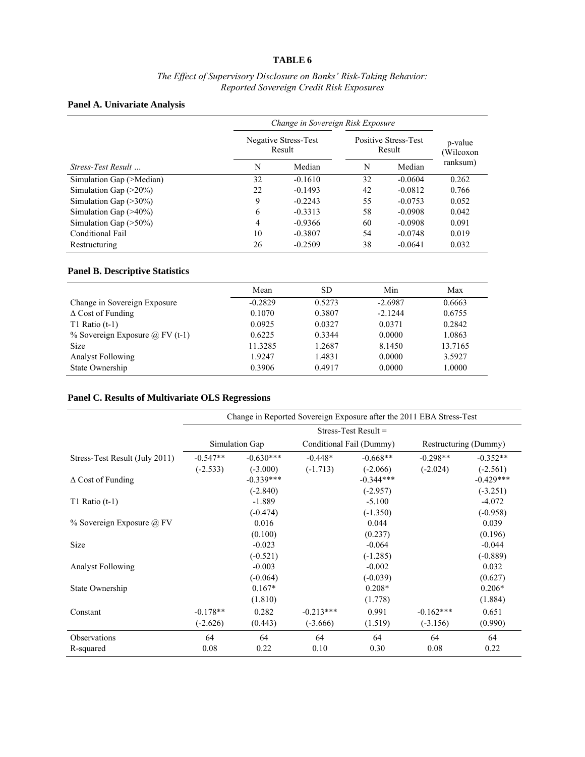#### **TABLE 6**

#### *The Effect of Supervisory Disclosure on Banks' Risk-Taking Behavior: Reported Sovereign Credit Risk Exposures*

#### **Panel A. Univariate Analysis**

|                           | Change in Sovereign Risk Exposure |                                |                                       |           |                     |  |
|---------------------------|-----------------------------------|--------------------------------|---------------------------------------|-----------|---------------------|--|
|                           |                                   | Negative Stress-Test<br>Result | <b>Positive Stress-Test</b><br>Result |           | p-value<br>Wilcoxon |  |
| <i>Stress-Test Result</i> | N                                 | Median                         | N                                     | Median    | ranksum)            |  |
| Simulation Gap (>Median)  | 32                                | $-0.1610$                      | 32                                    | $-0.0604$ | 0.262               |  |
| Simulation Gap $(>20\%)$  | 22                                | $-0.1493$                      | 42                                    | $-0.0812$ | 0.766               |  |
| Simulation Gap $(>30\%)$  | 9                                 | $-0.2243$                      | 55                                    | $-0.0753$ | 0.052               |  |
| Simulation Gap $(>40\%)$  | 6                                 | $-0.3313$                      | 58                                    | $-0.0908$ | 0.042               |  |
| Simulation Gap $(>50\%)$  | 4                                 | $-0.9366$                      | 60                                    | $-0.0908$ | 0.091               |  |
| Conditional Fail          | 10                                | $-0.3807$                      | 54                                    | $-0.0748$ | 0.019               |  |
| Restructuring             | 26                                | $-0.2509$                      | 38                                    | $-0.0641$ | 0.032               |  |

#### **Panel B. Descriptive Statistics**

|                                           | Mean      | SD     | Min       | Max     |
|-------------------------------------------|-----------|--------|-----------|---------|
| Change in Sovereign Exposure              | $-0.2829$ | 0.5273 | $-2.6987$ | 0.6663  |
| $\Delta$ Cost of Funding                  | 0.1070    | 0.3807 | $-2.1244$ | 0.6755  |
| T1 Ratio $(t-1)$                          | 0.0925    | 0.0327 | 0.0371    | 0.2842  |
| $\%$ Sovereign Exposure $\omega$ FV (t-1) | 0.6225    | 0.3344 | 0.0000    | 1.0863  |
| <b>Size</b>                               | 11.3285   | 1.2687 | 8.1450    | 13.7165 |
| <b>Analyst Following</b>                  | 1.9247    | 1.4831 | 0.0000    | 3.5927  |
| State Ownership                           | 0.3906    | 0.4917 | 0.0000    | 1.0000  |

#### **Panel C. Results of Multivariate OLS Regressions**

|                                | Change in Reported Sovereign Exposure after the 2011 EBA Stress-Test |             |                          |             |                       |             |  |
|--------------------------------|----------------------------------------------------------------------|-------------|--------------------------|-------------|-----------------------|-------------|--|
|                                | Stress-Test Result $=$                                               |             |                          |             |                       |             |  |
|                                | Simulation Gap                                                       |             | Conditional Fail (Dummy) |             | Restructuring (Dummy) |             |  |
| Stress-Test Result (July 2011) | $-0.547**$                                                           | $-0.630***$ | $-0.448*$                | $-0.668**$  | $-0.298**$            | $-0.352**$  |  |
|                                | $(-2.533)$                                                           | $(-3.000)$  | $(-1.713)$               | $(-2.066)$  | $(-2.024)$            | $(-2.561)$  |  |
| $\Delta$ Cost of Funding       |                                                                      | $-0.339***$ |                          | $-0.344***$ |                       | $-0.429***$ |  |
|                                |                                                                      | $(-2.840)$  |                          | $(-2.957)$  |                       | $(-3.251)$  |  |
| T1 Ratio $(t-1)$               |                                                                      | $-1.889$    |                          | $-5.100$    |                       | $-4.072$    |  |
|                                |                                                                      | $(-0.474)$  |                          | $(-1.350)$  |                       | $(-0.958)$  |  |
| $%$ Sovereign Exposure $@$ FV  |                                                                      | 0.016       |                          | 0.044       |                       | 0.039       |  |
|                                |                                                                      | (0.100)     |                          | (0.237)     |                       | (0.196)     |  |
| Size                           |                                                                      | $-0.023$    |                          | $-0.064$    |                       | $-0.044$    |  |
|                                |                                                                      | $(-0.521)$  |                          | $(-1.285)$  |                       | $(-0.889)$  |  |
| <b>Analyst Following</b>       |                                                                      | $-0.003$    |                          | $-0.002$    |                       | 0.032       |  |
|                                |                                                                      | $(-0.064)$  |                          | $(-0.039)$  |                       | (0.627)     |  |
| State Ownership                |                                                                      | $0.167*$    |                          | $0.208*$    |                       | $0.206*$    |  |
|                                |                                                                      | (1.810)     |                          | (1.778)     |                       | (1.884)     |  |
| Constant                       | $-0.178**$                                                           | 0.282       | $-0.213***$              | 0.991       | $-0.162***$           | 0.651       |  |
|                                | $(-2.626)$                                                           | (0.443)     | $(-3.666)$               | (1.519)     | $(-3.156)$            | (0.990)     |  |
| <b>Observations</b>            | 64                                                                   | 64          | 64                       | 64          | 64                    | 64          |  |
| R-squared                      | 0.08                                                                 | 0.22        | 0.10                     | 0.30        | 0.08                  | 0.22        |  |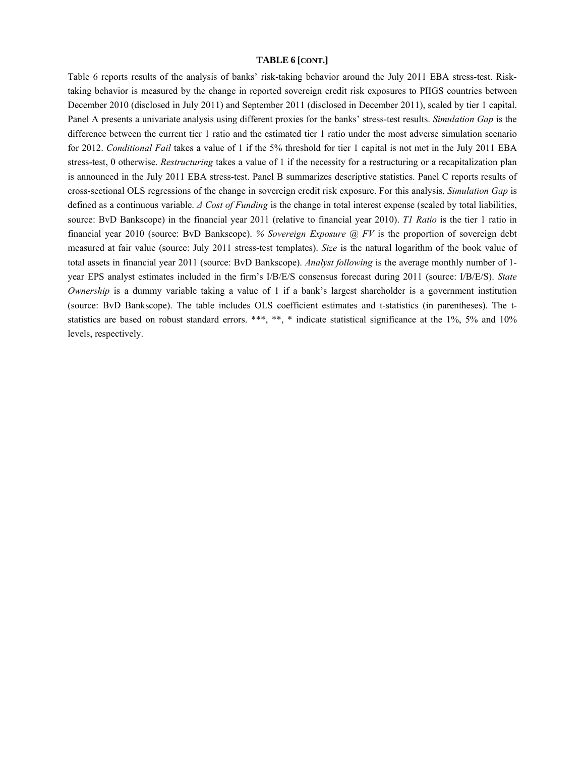#### **TABLE 6 [CONT.]**

Table 6 reports results of the analysis of banks' risk-taking behavior around the July 2011 EBA stress-test. Risktaking behavior is measured by the change in reported sovereign credit risk exposures to PIIGS countries between December 2010 (disclosed in July 2011) and September 2011 (disclosed in December 2011), scaled by tier 1 capital. Panel A presents a univariate analysis using different proxies for the banks' stress-test results. *Simulation Gap* is the difference between the current tier 1 ratio and the estimated tier 1 ratio under the most adverse simulation scenario for 2012. *Conditional Fail* takes a value of 1 if the 5% threshold for tier 1 capital is not met in the July 2011 EBA stress-test, 0 otherwise. *Restructuring* takes a value of 1 if the necessity for a restructuring or a recapitalization plan is announced in the July 2011 EBA stress-test. Panel B summarizes descriptive statistics. Panel C reports results of cross-sectional OLS regressions of the change in sovereign credit risk exposure. For this analysis, *Simulation Gap* is defined as a continuous variable. *Δ Cost of Funding* is the change in total interest expense (scaled by total liabilities, source: BvD Bankscope) in the financial year 2011 (relative to financial year 2010). *T1 Ratio* is the tier 1 ratio in financial year 2010 (source: BvD Bankscope). *% Sovereign Exposure @ FV* is the proportion of sovereign debt measured at fair value (source: July 2011 stress-test templates). *Size* is the natural logarithm of the book value of total assets in financial year 2011 (source: BvD Bankscope). *Analyst following* is the average monthly number of 1 year EPS analyst estimates included in the firm's I/B/E/S consensus forecast during 2011 (source: I/B/E/S). *State Ownership* is a dummy variable taking a value of 1 if a bank's largest shareholder is a government institution (source: BvD Bankscope). The table includes OLS coefficient estimates and t-statistics (in parentheses). The tstatistics are based on robust standard errors. \*\*\*, \*\*, \* indicate statistical significance at the 1%, 5% and 10% levels, respectively.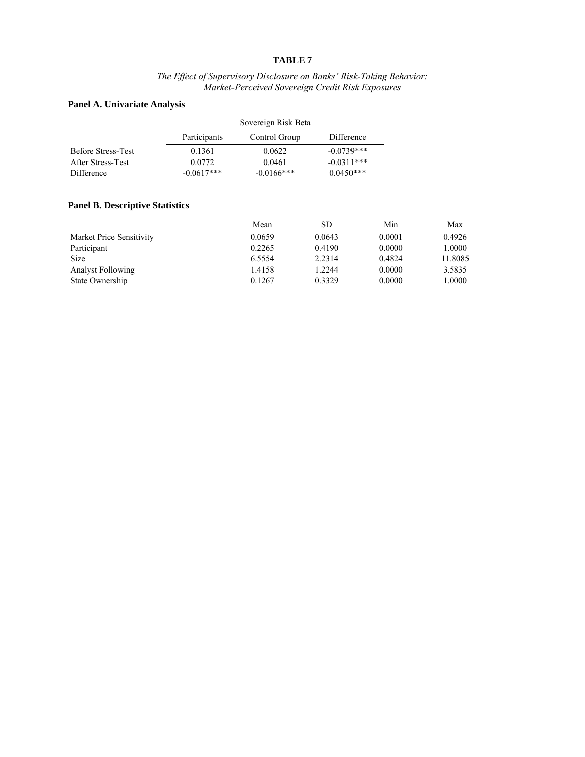#### **TABLE 7**

#### *The Effect of Supervisory Disclosure on Banks' Risk-Taking Behavior: Market-Perceived Sovereign Credit Risk Exposures*

#### **Panel A. Univariate Analysis**

|                           |              | Sovereign Risk Beta |              |
|---------------------------|--------------|---------------------|--------------|
|                           | Participants | Control Group       | Difference   |
| <b>Before Stress-Test</b> | 0.1361       | 0.0622              | $-0.0739***$ |
| After Stress-Test         | 0.0772       | 0.0461              | $-0.0311***$ |
| Difference                | $-0.0617***$ | $-0.0166$ ***       | $0.0450***$  |

#### **Panel B. Descriptive Statistics**

|                          | Mean   | SD     | Min    | Max     |
|--------------------------|--------|--------|--------|---------|
| Market Price Sensitivity | 0.0659 | 0.0643 | 0.0001 | 0.4926  |
| Participant              | 0.2265 | 0.4190 | 0.0000 | 1.0000  |
| <b>Size</b>              | 6.5554 | 2.2314 | 0.4824 | 11.8085 |
| <b>Analyst Following</b> | 1.4158 | 1.2244 | 0.0000 | 3.5835  |
| State Ownership          | 0.1267 | 0.3329 | 0.0000 | 1.0000  |